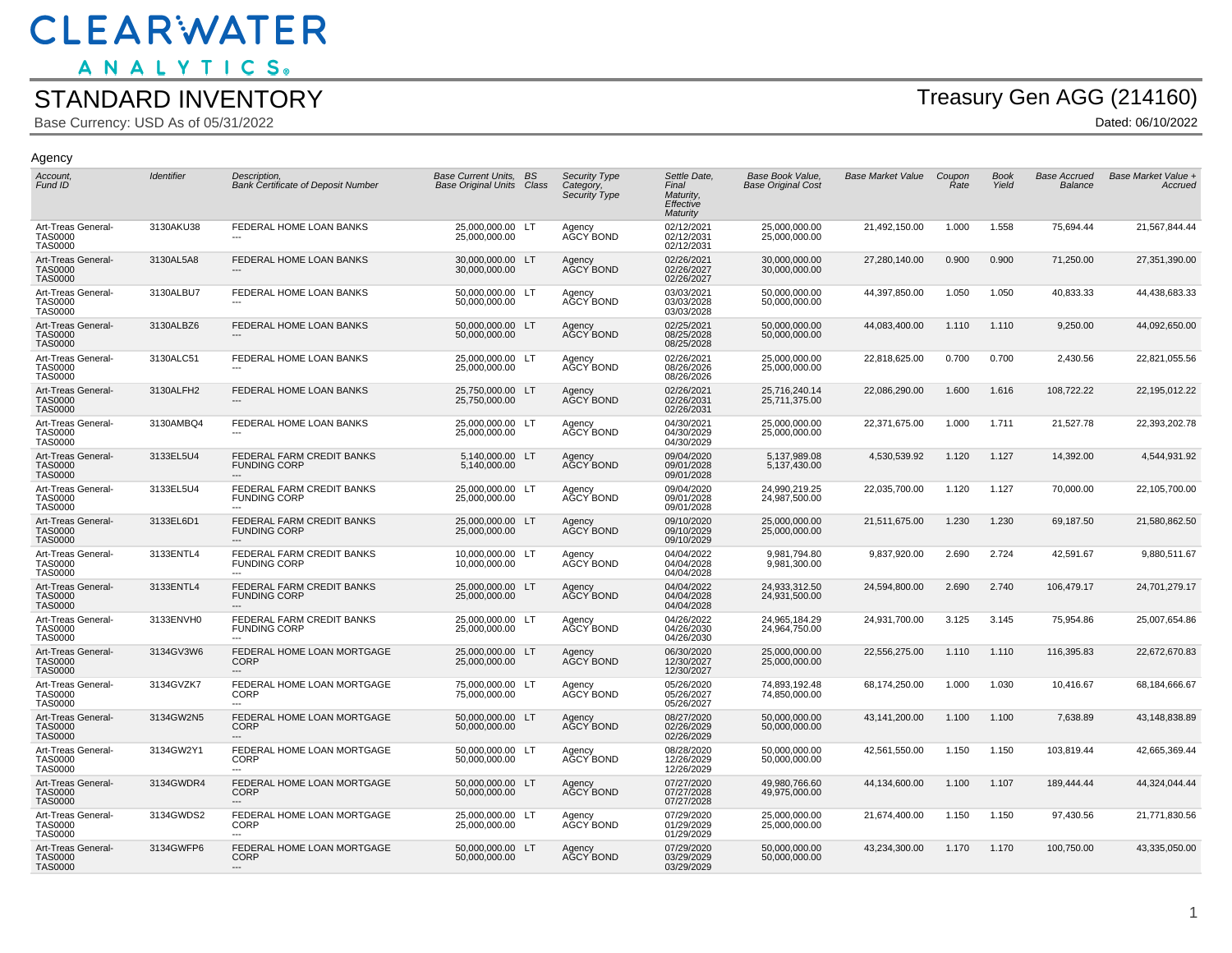ANALYTICS.

#### STANDARD INVENTORY

Base Currency: USD As of 05/31/2022

Agency

# Treasury Gen AGG (214160)

| Account,<br>Fund ID                                    | Identifier | Description,<br><b>Bank Certificate of Deposit Number</b> | <b>Base Current Units, BS</b><br><b>Base Original Units Class</b> | Security Type<br>Category,<br>Security Type | Settle Date,<br>Final<br>Maturity.<br>Effective<br>Maturity | Base Book Value,<br><b>Base Original Cost</b> | <b>Base Market Value</b> | Coupon<br>Rate | <b>Book</b><br>Yield | <b>Base Accrued</b><br><b>Balance</b> | Base Market Value +<br>Accrued |
|--------------------------------------------------------|------------|-----------------------------------------------------------|-------------------------------------------------------------------|---------------------------------------------|-------------------------------------------------------------|-----------------------------------------------|--------------------------|----------------|----------------------|---------------------------------------|--------------------------------|
| Art-Treas General-<br><b>TAS0000</b><br><b>TAS0000</b> | 3130AKU38  | FEDERAL HOME LOAN BANKS                                   | 25,000,000.00 LT<br>25,000,000.00                                 | Agency<br>AGCY BOND                         | 02/12/2021<br>02/12/2031<br>02/12/2031                      | 25,000,000.00<br>25,000,000.00                | 21,492,150.00            | 1.000          | 1.558                | 75,694.44                             | 21,567,844.44                  |
| Art-Treas General-<br><b>TAS0000</b><br><b>TAS0000</b> | 3130AL5A8  | FEDERAL HOME LOAN BANKS                                   | 30,000,000.00 LT<br>30,000,000.00                                 | Agency<br>AGCY BOND                         | 02/26/2021<br>02/26/2027<br>02/26/2027                      | 30,000,000.00<br>30,000,000.00                | 27,280,140.00            | 0.900          | 0.900                | 71,250.00                             | 27,351,390.00                  |
| Art-Treas General-<br><b>TAS0000</b><br><b>TAS0000</b> | 3130ALBU7  | FEDERAL HOME LOAN BANKS                                   | 50,000,000.00 LT<br>50,000,000.00                                 | Agency<br>AĞCY BOND                         | 03/03/2021<br>03/03/2028<br>03/03/2028                      | 50,000,000.00<br>50,000,000.00                | 44,397,850.00            | 1.050          | 1.050                | 40,833.33                             | 44,438,683.33                  |
| Art-Treas General-<br><b>TAS0000</b><br><b>TAS0000</b> | 3130ALBZ6  | FEDERAL HOME LOAN BANKS                                   | 50,000,000.00 LT<br>50,000,000.00                                 | Agency<br>AĞCY BOND                         | 02/25/2021<br>08/25/2028<br>08/25/2028                      | 50,000,000.00<br>50,000,000.00                | 44,083,400.00            | 1.110          | 1.110                | 9,250.00                              | 44,092,650.00                  |
| Art-Treas General-<br><b>TAS0000</b><br><b>TAS0000</b> | 3130ALC51  | FEDERAL HOME LOAN BANKS                                   | 25.000.000.00 LT<br>25,000,000.00                                 | Agency<br>AĞCY BOND                         | 02/26/2021<br>08/26/2026<br>08/26/2026                      | 25.000.000.00<br>25,000,000.00                | 22,818,625.00            | 0.700          | 0.700                | 2,430.56                              | 22,821,055.56                  |
| Art-Treas General-<br><b>TAS0000</b><br><b>TAS0000</b> | 3130ALFH2  | <b>FEDERAL HOME LOAN BANKS</b>                            | 25,750,000.00 LT<br>25,750,000.00                                 | Agency<br>AĞCY BOND                         | 02/26/2021<br>02/26/2031<br>02/26/2031                      | 25,716,240.14<br>25,711,375.00                | 22,086,290.00            | 1.600          | 1.616                | 108,722.22                            | 22,195,012.22                  |
| Art-Treas General-<br><b>TAS0000</b><br><b>TAS0000</b> | 3130AMBQ4  | FEDERAL HOME LOAN BANKS                                   | 25,000,000.00 LT<br>25,000,000.00                                 | Agency<br>AĞCY BOND                         | 04/30/2021<br>04/30/2029<br>04/30/2029                      | 25,000,000.00<br>25,000,000.00                | 22,371,675.00            | 1.000          | 1.711                | 21,527.78                             | 22,393,202.78                  |
| Art-Treas General-<br><b>TAS0000</b><br><b>TAS0000</b> | 3133EL5U4  | FEDERAL FARM CREDIT BANKS<br><b>FUNDING CORP</b>          | 5,140,000.00 LT<br>5,140,000.00                                   | Agency<br>AĞCY BOND                         | 09/04/2020<br>09/01/2028<br>09/01/2028                      | 5,137,989.08<br>5,137,430.00                  | 4,530,539.92             | 1.120          | 1.127                | 14,392.00                             | 4,544,931.92                   |
| Art-Treas General-<br><b>TAS0000</b><br><b>TAS0000</b> | 3133EL5U4  | FEDERAL FARM CREDIT BANKS<br><b>FUNDING CORP</b>          | 25,000,000.00 LT<br>25,000,000.00                                 | Agency<br>AĞCY BOND                         | 09/04/2020<br>09/01/2028<br>09/01/2028                      | 24,990,219.25<br>24,987,500.00                | 22,035,700.00            | 1.120          | 1.127                | 70,000.00                             | 22,105,700.00                  |
| Art-Treas General-<br><b>TAS0000</b><br><b>TAS0000</b> | 3133EL6D1  | FEDERAL FARM CREDIT BANKS<br><b>FUNDING CORP</b>          | 25,000,000.00 LT<br>25,000,000.00                                 | Agency<br>AĞCY BOND                         | 09/10/2020<br>09/10/2029<br>09/10/2029                      | 25,000,000.00<br>25,000,000.00                | 21,511,675.00            | 1.230          | 1.230                | 69,187.50                             | 21,580,862.50                  |
| Art-Treas General-<br><b>TAS0000</b><br><b>TAS0000</b> | 3133ENTL4  | FEDERAL FARM CREDIT BANKS<br><b>FUNDING CORP</b>          | 10,000,000.00 LT<br>10.000.000.00                                 | Agency<br>AGCY BOND                         | 04/04/2022<br>04/04/2028<br>04/04/2028                      | 9,981,794.80<br>9,981,300.00                  | 9,837,920.00             | 2.690          | 2.724                | 42,591.67                             | 9,880,511.67                   |
| Art-Treas General-<br><b>TAS0000</b><br><b>TAS0000</b> | 3133ENTL4  | FEDERAL FARM CREDIT BANKS<br><b>FUNDING CORP</b>          | 25,000,000.00 LT<br>25,000,000.00                                 | Agency<br>AGCY BOND                         | 04/04/2022<br>04/04/2028<br>04/04/2028                      | 24,933,312.50<br>24,931,500.00                | 24,594,800.00            | 2.690          | 2.740                | 106,479.17                            | 24,701,279.17                  |
| Art-Treas General-<br><b>TAS0000</b><br><b>TAS0000</b> | 3133ENVH0  | FEDERAL FARM CREDIT BANKS<br><b>FUNDING CORP</b>          | 25,000,000.00 LT<br>25,000,000.00                                 | Agency<br>AGCY BOND                         | 04/26/2022<br>04/26/2030<br>04/26/2030                      | 24,965,184.29<br>24,964,750.00                | 24,931,700.00            | 3.125          | 3.145                | 75,954.86                             | 25,007,654.86                  |
| Art-Treas General-<br><b>TAS0000</b><br><b>TAS0000</b> | 3134GV3W6  | FEDERAL HOME LOAN MORTGAGE<br><b>CORP</b>                 | 25,000,000.00 LT<br>25,000,000.00                                 | Agency<br>AGCY BOND                         | 06/30/2020<br>12/30/2027<br>12/30/2027                      | 25,000,000.00<br>25,000,000.00                | 22,556,275.00            | 1.110          | 1.110                | 116,395.83                            | 22,672,670.83                  |
| Art-Treas General-<br><b>TAS0000</b><br><b>TAS0000</b> | 3134GVZK7  | FEDERAL HOME LOAN MORTGAGE<br>CORP                        | 75,000,000.00 LT<br>75,000,000.00                                 | Agency<br>AĞCY BOND                         | 05/26/2020<br>05/26/2027<br>05/26/2027                      | 74,893,192.48<br>74,850,000.00                | 68,174,250.00            | 1.000          | 1.030                | 10,416.67                             | 68,184,666.67                  |
| Art-Treas General-<br><b>TAS0000</b><br><b>TAS0000</b> | 3134GW2N5  | FEDERAL HOME LOAN MORTGAGE<br><b>CORP</b><br>$---$        | 50,000,000.00 LT<br>50,000,000.00                                 | Agency<br>AĞCY BOND                         | 08/27/2020<br>02/26/2029<br>02/26/2029                      | 50,000,000.00<br>50,000,000.00                | 43,141,200.00            | 1.100          | 1.100                | 7,638.89                              | 43,148,838.89                  |
| Art-Treas General-<br><b>TAS0000</b><br><b>TAS0000</b> | 3134GW2Y1  | FEDERAL HOME LOAN MORTGAGE<br>CORP                        | 50,000,000.00 LT<br>50,000,000.00                                 | Agency<br>AĞCY BOND                         | 08/28/2020<br>12/26/2029<br>12/26/2029                      | 50,000,000.00<br>50,000,000.00                | 42,561,550.00            | 1.150          | 1.150                | 103,819.44                            | 42,665,369.44                  |
| Art-Treas General-<br><b>TAS0000</b><br><b>TAS0000</b> | 3134GWDR4  | FEDERAL HOME LOAN MORTGAGE<br><b>CORP</b>                 | 50,000,000.00 LT<br>50,000,000.00                                 | Agency<br>AĞCY BOND                         | 07/27/2020<br>07/27/2028<br>07/27/2028                      | 49,980,766.60<br>49,975,000.00                | 44,134,600.00            | 1.100          | 1.107                | 189,444.44                            | 44,324,044.44                  |
| Art-Treas General-<br><b>TAS0000</b><br><b>TAS0000</b> | 3134GWDS2  | FEDERAL HOME LOAN MORTGAGE<br><b>CORP</b><br>---          | 25.000.000.00 LT<br>25,000,000.00                                 | Agency<br>AGCY BOND                         | 07/29/2020<br>01/29/2029<br>01/29/2029                      | 25.000.000.00<br>25,000,000.00                | 21,674,400.00            | 1.150          | 1.150                | 97,430.56                             | 21,771,830.56                  |
| Art-Treas General-<br><b>TAS0000</b><br><b>TAS0000</b> | 3134GWFP6  | FEDERAL HOME LOAN MORTGAGE<br><b>CORP</b><br>---          | 50,000,000.00 LT<br>50,000,000.00                                 | Agency<br>AĞCY BOND                         | 07/29/2020<br>03/29/2029<br>03/29/2029                      | 50,000,000.00<br>50,000,000.00                | 43,234,300.00            | 1.170          | 1.170                | 100,750.00                            | 43,335,050.00                  |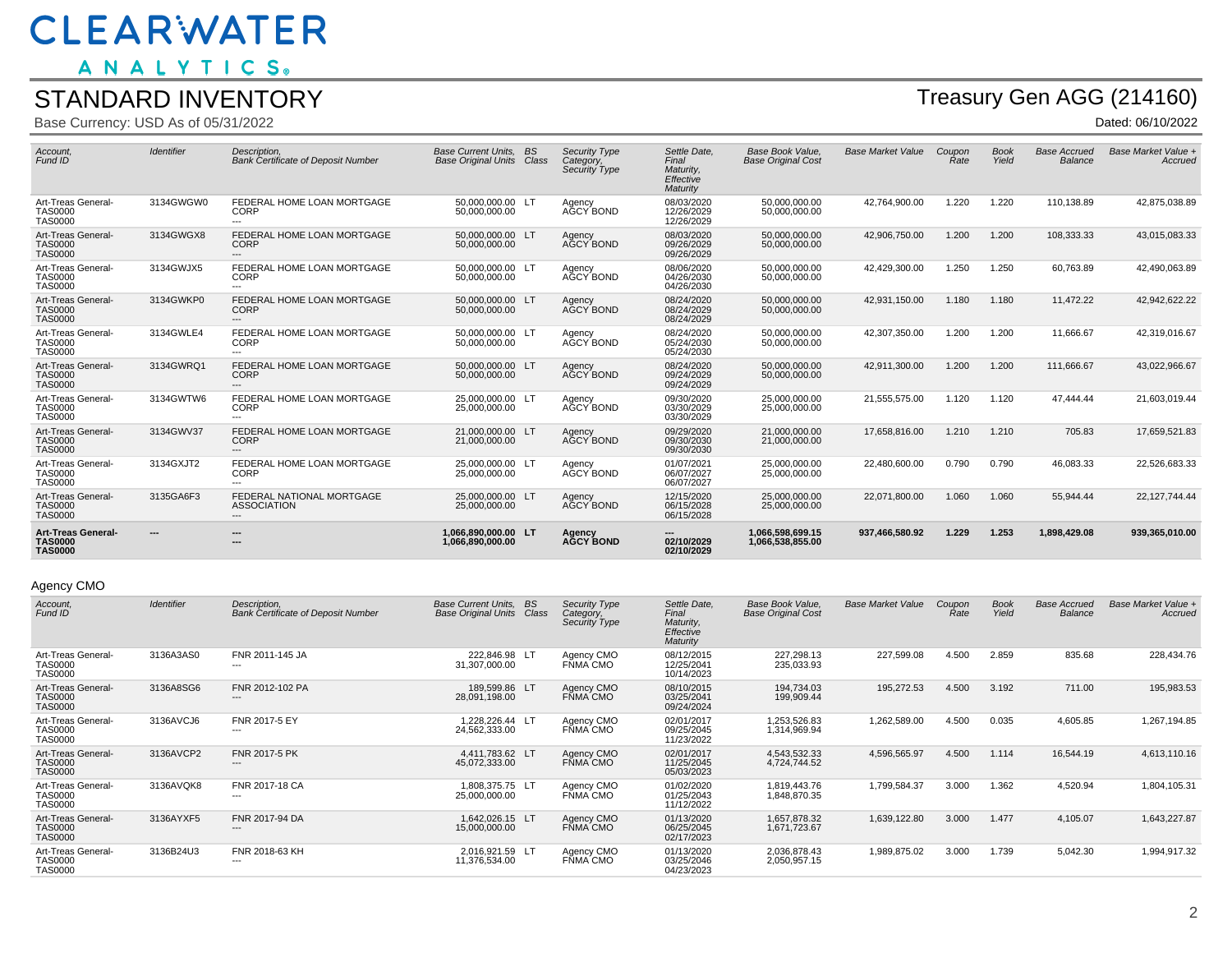ANALYTICS.

#### STANDARD INVENTORY

Base Currency: USD As of 05/31/2022

## Treasury Gen AGG (214160)

Dated: 06/10/2022

| Account,<br>Fund ID                                           | Identifier | Description.<br><b>Bank Certificate of Deposit Number</b> | <b>Base Current Units.</b><br><b>Base Original Units</b> | <b>BS</b><br>Class | <b>Security Type</b><br>Category,<br>Security Type | Settle Date.<br>Final<br>Maturity.<br>Effective<br>Maturity | <b>Base Book Value.</b><br><b>Base Original Cost</b> | <b>Base Market Value</b> | Coupon<br>Rate | <b>Book</b><br>Yield | <b>Base Accrued</b><br><b>Balance</b> | Base Market Value +<br>Accrued |
|---------------------------------------------------------------|------------|-----------------------------------------------------------|----------------------------------------------------------|--------------------|----------------------------------------------------|-------------------------------------------------------------|------------------------------------------------------|--------------------------|----------------|----------------------|---------------------------------------|--------------------------------|
| Art-Treas General-<br><b>TAS0000</b><br><b>TAS0000</b>        | 3134GWGW0  | FEDERAL HOME LOAN MORTGAGE<br><b>CORP</b><br>---          | 50.000.000.00 LT<br>50.000.000.00                        |                    | Agency<br>AGCY BOND                                | 08/03/2020<br>12/26/2029<br>12/26/2029                      | 50.000.000.00<br>50.000.000.00                       | 42,764,900.00            | 1.220          | 1.220                | 110,138.89                            | 42,875,038.89                  |
| Art-Treas General-<br><b>TAS0000</b><br><b>TAS0000</b>        | 3134GWGX8  | FEDERAL HOME LOAN MORTGAGE<br><b>CORP</b><br>---          | 50.000.000.00 LT<br>50,000,000.00                        |                    | Agency<br>AGCY BOND                                | 08/03/2020<br>09/26/2029<br>09/26/2029                      | 50.000.000.00<br>50,000,000.00                       | 42,906,750.00            | 1.200          | 1.200                | 108,333.33                            | 43,015,083.33                  |
| Art-Treas General-<br><b>TAS0000</b><br><b>TAS0000</b>        | 3134GWJX5  | FEDERAL HOME LOAN MORTGAGE<br><b>CORP</b><br>$---$        | 50,000,000.00 LT<br>50,000,000.00                        |                    | Agency<br>AGCY BOND                                | 08/06/2020<br>04/26/2030<br>04/26/2030                      | 50.000.000.00<br>50,000,000.00                       | 42,429,300.00            | 1.250          | 1.250                | 60,763.89                             | 42,490,063.89                  |
| Art-Treas General-<br><b>TAS0000</b><br><b>TAS0000</b>        | 3134GWKP0  | FEDERAL HOME LOAN MORTGAGE<br><b>CORP</b><br>---          | 50.000.000.00 LT<br>50.000.000.00                        |                    | Agency<br>AGCY BOND                                | 08/24/2020<br>08/24/2029<br>08/24/2029                      | 50.000.000.00<br>50.000.000.00                       | 42,931,150.00            | 1.180          | 1.180                | 11,472.22                             | 42,942,622.22                  |
| Art-Treas General-<br><b>TAS0000</b><br><b>TAS0000</b>        | 3134GWLE4  | FEDERAL HOME LOAN MORTGAGE<br><b>CORP</b><br>$---$        | 50,000,000.00 LT<br>50,000,000.00                        |                    | Agency<br>AGCY BOND                                | 08/24/2020<br>05/24/2030<br>05/24/2030                      | 50,000,000.00<br>50,000,000.00                       | 42,307,350.00            | 1.200          | 1.200                | 11,666.67                             | 42,319,016.67                  |
| Art-Treas General-<br><b>TAS0000</b><br><b>TAS0000</b>        | 3134GWRQ1  | FEDERAL HOME LOAN MORTGAGE<br><b>CORP</b><br>---          | 50.000.000.00 LT<br>50.000.000.00                        |                    | Agency<br>AGCY BOND                                | 08/24/2020<br>09/24/2029<br>09/24/2029                      | 50.000.000.00<br>50.000.000.00                       | 42,911,300.00            | 1.200          | 1.200                | 111.666.67                            | 43,022,966.67                  |
| Art-Treas General-<br><b>TAS0000</b><br><b>TAS0000</b>        | 3134GWTW6  | FEDERAL HOME LOAN MORTGAGE<br><b>CORP</b><br>---          | 25.000.000.00 LT<br>25,000,000.00                        |                    | Agency<br>AGCY BOND                                | 09/30/2020<br>03/30/2029<br>03/30/2029                      | 25.000.000.00<br>25,000,000.00                       | 21,555,575.00            | 1.120          | 1.120                | 47.444.44                             | 21,603,019.44                  |
| Art-Treas General-<br><b>TAS0000</b><br><b>TAS0000</b>        | 3134GWV37  | FEDERAL HOME LOAN MORTGAGE<br><b>CORP</b><br>---          | 21.000.000.00 LT<br>21,000,000.00                        |                    | Agency<br>AGCY BOND                                | 09/29/2020<br>09/30/2030<br>09/30/2030                      | 21.000.000.00<br>21,000,000.00                       | 17,658,816.00            | 1.210          | 1.210                | 705.83                                | 17,659,521.83                  |
| Art-Treas General-<br><b>TAS0000</b><br><b>TAS0000</b>        | 3134GXJT2  | FEDERAL HOME LOAN MORTGAGE<br><b>CORP</b><br>$---$        | 25.000.000.00 LT<br>25,000,000,00                        |                    | Agency<br>AGCY BOND                                | 01/07/2021<br>06/07/2027<br>06/07/2027                      | 25,000,000.00<br>25.000.000.00                       | 22,480,600.00            | 0.790          | 0.790                | 46.083.33                             | 22,526,683.33                  |
| Art-Treas General-<br><b>TAS0000</b><br><b>TAS0000</b>        | 3135GA6F3  | FEDERAL NATIONAL MORTGAGE<br><b>ASSOCIATION</b><br>---    | 25,000,000.00 LT<br>25,000,000.00                        |                    | Agency<br>AGCY BOND                                | 12/15/2020<br>06/15/2028<br>06/15/2028                      | 25,000,000.00<br>25,000,000.00                       | 22,071,800.00            | 1.060          | 1.060                | 55,944.44                             | 22, 127, 744. 44               |
| <b>Art-Treas General-</b><br><b>TAS0000</b><br><b>TAS0000</b> | ---        | ---<br>$\overline{1}$                                     | 1.066.890.000.00 LT<br>1.066.890.000.00                  |                    | Agency<br><b>AGCY BOND</b>                         | $\overline{\phantom{a}}$<br>02/10/2029<br>02/10/2029        | 1.066.598.699.15<br>1.066.538.855.00                 | 937,466,580.92           | 1.229          | 1.253                | 1,898,429.08                          | 939,365,010.00                 |

#### Agency CMO

| Account,<br>Fund ID                                    | <b>Identifier</b> | Description.<br><b>Bank Certificate of Deposit Number</b> | <b>Base Current Units.</b><br><b>Base Original Units</b> | <b>BS</b><br>Class | <b>Security Type</b><br>Category,<br>Security Type | Settle Date,<br>Final<br>Maturity,<br>Effective<br>Maturity | Base Book Value.<br><b>Base Original Cost</b> | <b>Base Market Value</b> | Coupon<br>Rate | <b>Book</b><br>Yield | <b>Base Accrued</b><br>Balance | Base Market Value +<br>Accrued |
|--------------------------------------------------------|-------------------|-----------------------------------------------------------|----------------------------------------------------------|--------------------|----------------------------------------------------|-------------------------------------------------------------|-----------------------------------------------|--------------------------|----------------|----------------------|--------------------------------|--------------------------------|
| Art-Treas General-<br><b>TAS0000</b><br><b>TAS0000</b> | 3136A3AS0         | FNR 2011-145 JA<br>---                                    | 222.846.98 LT<br>31.307.000.00                           |                    | Agency CMO<br>FŇMA CMO                             | 08/12/2015<br>12/25/2041<br>10/14/2023                      | 227,298.13<br>235,033.93                      | 227,599.08               | 4.500          | 2.859                | 835.68                         | 228,434.76                     |
| Art-Treas General-<br><b>TAS0000</b><br><b>TAS0000</b> | 3136A8SG6         | FNR 2012-102 PA<br>---                                    | 189.599.86 LT<br>28,091,198.00                           |                    | Agency CMO<br>FŇMA CMO                             | 08/10/2015<br>03/25/2041<br>09/24/2024                      | 194,734.03<br>199,909.44                      | 195,272.53               | 4.500          | 3.192                | 711.00                         | 195,983.53                     |
| Art-Treas General-<br><b>TAS0000</b><br><b>TAS0000</b> | 3136AVCJ6         | FNR 2017-5 EY<br>---                                      | 1.228.226.44 LT<br>24,562,333.00                         |                    | Agency CMO<br>FŇMA CMO                             | 02/01/2017<br>09/25/2045<br>11/23/2022                      | 1.253.526.83<br>1,314,969.94                  | 1,262,589.00             | 4.500          | 0.035                | 4,605.85                       | 1,267,194.85                   |
| Art-Treas General-<br><b>TAS0000</b><br><b>TAS0000</b> | 3136AVCP2         | FNR 2017-5 PK<br>---                                      | 4.411.783.62 LT<br>45,072,333.00                         |                    | Agency CMO<br>FŇMA CMO                             | 02/01/2017<br>11/25/2045<br>05/03/2023                      | 4,543,532.33<br>4,724,744.52                  | 4,596,565.97             | 4.500          | 1.114                | 16,544.19                      | 4,613,110.16                   |
| Art-Treas General-<br><b>TAS0000</b><br><b>TAS0000</b> | 3136AVQK8         | FNR 2017-18 CA<br>---                                     | 1,808,375.75 LT<br>25,000,000.00                         |                    | Agency CMO<br>FÑMA CMO                             | 01/02/2020<br>01/25/2043<br>11/12/2022                      | 1.819.443.76<br>1,848,870.35                  | 1,799,584.37             | 3.000          | 1.362                | 4,520.94                       | 1,804,105.31                   |
| Art-Treas General-<br><b>TAS0000</b><br><b>TAS0000</b> | 3136AYXF5         | FNR 2017-94 DA<br>---                                     | 1.642.026.15 LT<br>15,000,000.00                         |                    | Agency CMO<br>FŇMA CMO                             | 01/13/2020<br>06/25/2045<br>02/17/2023                      | 1,657,878.32<br>1,671,723.67                  | 1,639,122.80             | 3.000          | 1.477                | 4,105.07                       | 1,643,227.87                   |
| Art-Treas General-<br><b>TAS0000</b><br><b>TAS0000</b> | 3136B24U3         | FNR 2018-63 KH<br>---                                     | 2.016.921.59 LT<br>11,376,534.00                         |                    | Agency CMO<br>FŇMA CMO                             | 01/13/2020<br>03/25/2046<br>04/23/2023                      | 2.036.878.43<br>2,050,957.15                  | 1,989,875.02             | 3.000          | 1.739                | 5,042.30                       | 1,994,917.32                   |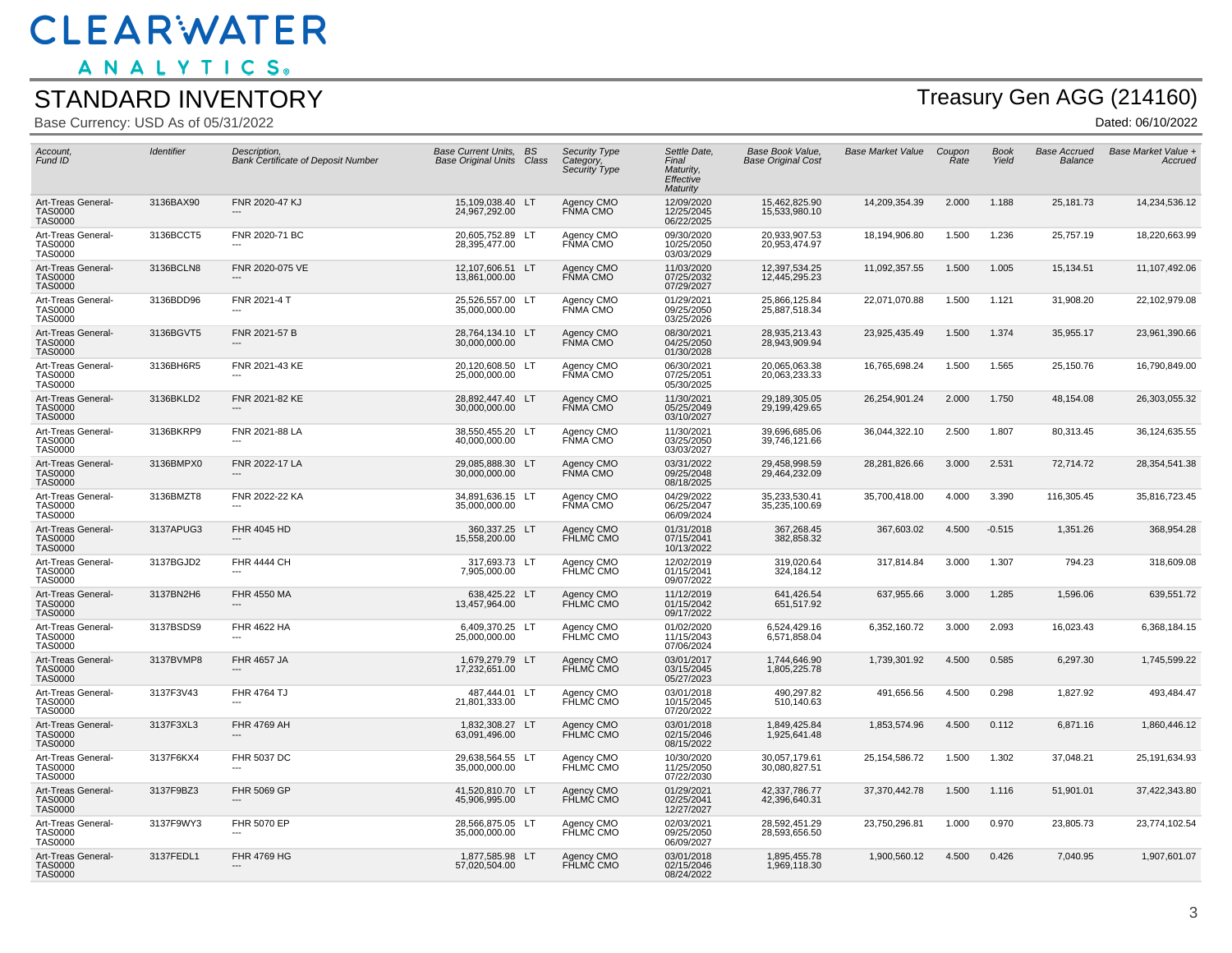ANALYTICS.

#### STANDARD INVENTORY

Base Currency: USD As of 05/31/2022

## Treasury Gen AGG (214160)

| Account.<br>Fund ID                                    | Identifier | Description.<br><b>Bank Certificate of Deposit Number</b> | Base Current Units. BS<br><b>Base Original Units Class</b> | Security Type<br>Category,<br>Security Type | Settle Date,<br>Final<br>Maturity,<br>Effective<br>Maturity | <b>Base Book Value.</b><br><b>Base Original Cost</b> | <b>Base Market Value</b> | Coupon<br>Rate | <b>Book</b><br>Yield | <b>Base Accrued</b><br>Balance | Base Market Value +<br>Accruea |
|--------------------------------------------------------|------------|-----------------------------------------------------------|------------------------------------------------------------|---------------------------------------------|-------------------------------------------------------------|------------------------------------------------------|--------------------------|----------------|----------------------|--------------------------------|--------------------------------|
| Art-Treas General-<br><b>TAS0000</b><br><b>TAS0000</b> | 3136BAX90  | FNR 2020-47 KJ                                            | 15,109,038.40 LT<br>24,967,292.00                          | Agency CMO<br>FŇMA CMO                      | 12/09/2020<br>12/25/2045<br>06/22/2025                      | 15,462,825.90<br>15,533,980.10                       | 14,209,354.39            | 2.000          | 1.188                | 25,181.73                      | 14,234,536.12                  |
| Art-Treas General-<br><b>TAS0000</b><br><b>TAS0000</b> | 3136BCCT5  | FNR 2020-71 BC                                            | 20,605,752.89 LT<br>28,395,477.00                          | Agency CMO<br>FÑMA CMO                      | 09/30/2020<br>10/25/2050<br>03/03/2029                      | 20,933,907.53<br>20,953,474.97                       | 18,194,906.80            | 1.500          | 1.236                | 25,757.19                      | 18,220,663.99                  |
| Art-Treas General-<br><b>TAS0000</b><br><b>TAS0000</b> | 3136BCLN8  | FNR 2020-075 VE                                           | 12,107,606.51 LT<br>13,861,000.00                          | Agency CMO<br>FŇMA CMO                      | 11/03/2020<br>07/25/2032<br>07/29/2027                      | 12,397,534.25<br>12,445,295.23                       | 11,092,357.55            | 1.500          | 1.005                | 15,134.51                      | 11,107,492.06                  |
| Art-Treas General-<br><b>TAS0000</b><br><b>TAS0000</b> | 3136BDD96  | FNR 2021-4 T                                              | 25,526,557.00 LT<br>35,000,000.00                          | Agency CMO<br>FŇMA CMO                      | 01/29/2021<br>09/25/2050<br>03/25/2026                      | 25,866,125.84<br>25,887,518.34                       | 22,071,070.88            | 1.500          | 1.121                | 31,908.20                      | 22,102,979.08                  |
| Art-Treas General-<br><b>TAS0000</b><br><b>TAS0000</b> | 3136BGVT5  | FNR 2021-57 B                                             | 28,764,134.10 LT<br>30,000,000.00                          | Agency CMO<br>FŇMA CMO                      | 08/30/2021<br>04/25/2050<br>01/30/2028                      | 28,935,213.43<br>28,943,909.94                       | 23,925,435.49            | 1.500          | 1.374                | 35,955.17                      | 23,961,390.66                  |
| Art-Treas General-<br><b>TAS0000</b><br><b>TAS0000</b> | 3136BH6R5  | FNR 2021-43 KE                                            | 20,120,608.50 LT<br>25,000,000.00                          | Agency CMO<br>FŇMA CMO                      | 06/30/2021<br>07/25/2051<br>05/30/2025                      | 20,065,063.38<br>20,063,233.33                       | 16,765,698.24            | 1.500          | 1.565                | 25,150.76                      | 16,790,849.00                  |
| Art-Treas General-<br><b>TAS0000</b><br><b>TAS0000</b> | 3136BKLD2  | FNR 2021-82 KE                                            | 28.892.447.40 LT<br>30,000,000.00                          | Agency CMO<br>FŇMA CMO                      | 11/30/2021<br>05/25/2049<br>03/10/2027                      | 29,189,305.05<br>29,199,429.65                       | 26,254,901.24            | 2.000          | 1.750                | 48,154.08                      | 26,303,055.32                  |
| Art-Treas General-<br><b>TAS0000</b><br><b>TAS0000</b> | 3136BKRP9  | FNR 2021-88 LA                                            | 38,550,455.20 LT<br>40,000,000.00                          | Agency CMO<br>FŇMA CMO                      | 11/30/2021<br>03/25/2050<br>03/03/2027                      | 39,696,685.06<br>39,746,121.66                       | 36,044,322.10            | 2.500          | 1.807                | 80,313.45                      | 36,124,635.55                  |
| Art-Treas General-<br><b>TAS0000</b><br><b>TAS0000</b> | 3136BMPX0  | FNR 2022-17 LA                                            | 29,085,888.30 LT<br>30,000,000.00                          | Agency CMO<br>FŇMA CMO                      | 03/31/2022<br>09/25/2048<br>08/18/2025                      | 29,458,998.59<br>29,464,232.09                       | 28,281,826.66            | 3.000          | 2.531                | 72,714.72                      | 28,354,541.38                  |
| Art-Treas General-<br><b>TAS0000</b><br><b>TAS0000</b> | 3136BMZT8  | FNR 2022-22 KA                                            | 34,891,636.15 LT<br>35,000,000.00                          | Agency CMO<br>FŇMA CMO                      | 04/29/2022<br>06/25/2047<br>06/09/2024                      | 35,233,530.41<br>35,235,100.69                       | 35,700,418.00            | 4.000          | 3.390                | 116,305.45                     | 35,816,723.45                  |
| Art-Treas General-<br><b>TAS0000</b><br><b>TAS0000</b> | 3137APUG3  | FHR 4045 HD                                               | 360,337.25 LT<br>15,558,200.00                             | Agency CMO<br>FHLMC CMO                     | 01/31/2018<br>07/15/2041<br>10/13/2022                      | 367,268.45<br>382,858.32                             | 367,603.02               | 4.500          | $-0.515$             | 1,351.26                       | 368,954.28                     |
| Art-Treas General-<br><b>TAS0000</b><br><b>TAS0000</b> | 3137BGJD2  | <b>FHR 4444 CH</b>                                        | 317,693.73 LT<br>7,905,000.00                              | Agency CMO<br>FHLMC CMO                     | 12/02/2019<br>01/15/2041<br>09/07/2022                      | 319,020.64<br>324,184.12                             | 317,814.84               | 3.000          | 1.307                | 794.23                         | 318,609.08                     |
| Art-Treas General-<br><b>TAS0000</b><br><b>TAS0000</b> | 3137BN2H6  | FHR 4550 MA<br>---                                        | 638,425.22 LT<br>13,457,964.00                             | Agency CMO<br>FHLMĆ CMO                     | 11/12/2019<br>01/15/2042<br>09/17/2022                      | 641,426.54<br>651,517.92                             | 637,955.66               | 3.000          | 1.285                | 1,596.06                       | 639,551.72                     |
| Art-Treas General-<br><b>TAS0000</b><br><b>TAS0000</b> | 3137BSDS9  | FHR 4622 HA                                               | 6,409,370.25 LT<br>25,000,000.00                           | Agency CMO<br>FHLMC CMO                     | 01/02/2020<br>11/15/2043<br>07/06/2024                      | 6,524,429.16<br>6,571,858.04                         | 6,352,160.72             | 3.000          | 2.093                | 16,023.43                      | 6,368,184.15                   |
| Art-Treas General-<br><b>TAS0000</b><br><b>TAS0000</b> | 3137BVMP8  | <b>FHR 4657 JA</b>                                        | 1,679,279.79 LT<br>17,232,651.00                           | Agency CMO<br>FHLMC CMO                     | 03/01/2017<br>03/15/2045<br>05/27/2023                      | 1.744.646.90<br>1,805,225.78                         | 1,739,301.92             | 4.500          | 0.585                | 6,297.30                       | 1,745,599.22                   |
| Art-Treas General-<br><b>TAS0000</b><br><b>TAS0000</b> | 3137F3V43  | <b>FHR 4764 TJ</b><br>---                                 | 487.444.01 LT<br>21,801,333.00                             | Agency CMO<br>FHLMC CMO                     | 03/01/2018<br>10/15/2045<br>07/20/2022                      | 490,297.82<br>510,140.63                             | 491,656.56               | 4.500          | 0.298                | 1,827.92                       | 493,484.47                     |
| Art-Treas General-<br><b>TAS0000</b><br><b>TAS0000</b> | 3137F3XL3  | FHR 4769 AH                                               | 1,832,308.27 LT<br>63,091,496.00                           | Agency CMO<br>FHLMĆ CMO                     | 03/01/2018<br>02/15/2046<br>08/15/2022                      | 1,849,425.84<br>1,925,641.48                         | 1,853,574.96             | 4.500          | 0.112                | 6,871.16                       | 1,860,446.12                   |
| Art-Treas General-<br><b>TAS0000</b><br><b>TAS0000</b> | 3137F6KX4  | FHR 5037 DC                                               | 29,638,564.55 LT<br>35,000,000.00                          | Agency CMO<br>FHLMC CMO                     | 10/30/2020<br>11/25/2050<br>07/22/2030                      | 30,057,179.61<br>30,080,827.51                       | 25, 154, 586. 72         | 1.500          | 1.302                | 37,048.21                      | 25,191,634.93                  |
| Art-Treas General-<br><b>TAS0000</b><br><b>TAS0000</b> | 3137F9BZ3  | <b>FHR 5069 GP</b>                                        | 41.520.810.70 LT<br>45,906,995.00                          | Agency CMO<br>FHLMĆ CMO                     | 01/29/2021<br>02/25/2041<br>12/27/2027                      | 42.337.786.77<br>42,396,640.31                       | 37,370,442.78            | 1.500          | 1.116                | 51,901.01                      | 37,422,343.80                  |
| Art-Treas General-<br><b>TAS0000</b><br><b>TAS0000</b> | 3137F9WY3  | FHR 5070 EP                                               | 28,566,875.05 LT<br>35.000.000.00                          | Agency CMO<br><b>FHLMC CMO</b>              | 02/03/2021<br>09/25/2050<br>06/09/2027                      | 28,592,451.29<br>28,593,656.50                       | 23,750,296.81            | 1.000          | 0.970                | 23,805.73                      | 23,774,102.54                  |
| Art-Treas General-<br><b>TAS0000</b><br><b>TAS0000</b> | 3137FEDL1  | FHR 4769 HG<br>---                                        | 1,877,585.98 LT<br>57,020,504.00                           | Agency CMO<br>FHLMC CMO                     | 03/01/2018<br>02/15/2046<br>08/24/2022                      | 1,895,455.78<br>1,969,118.30                         | 1,900,560.12             | 4.500          | 0.426                | 7,040.95                       | 1,907,601.07                   |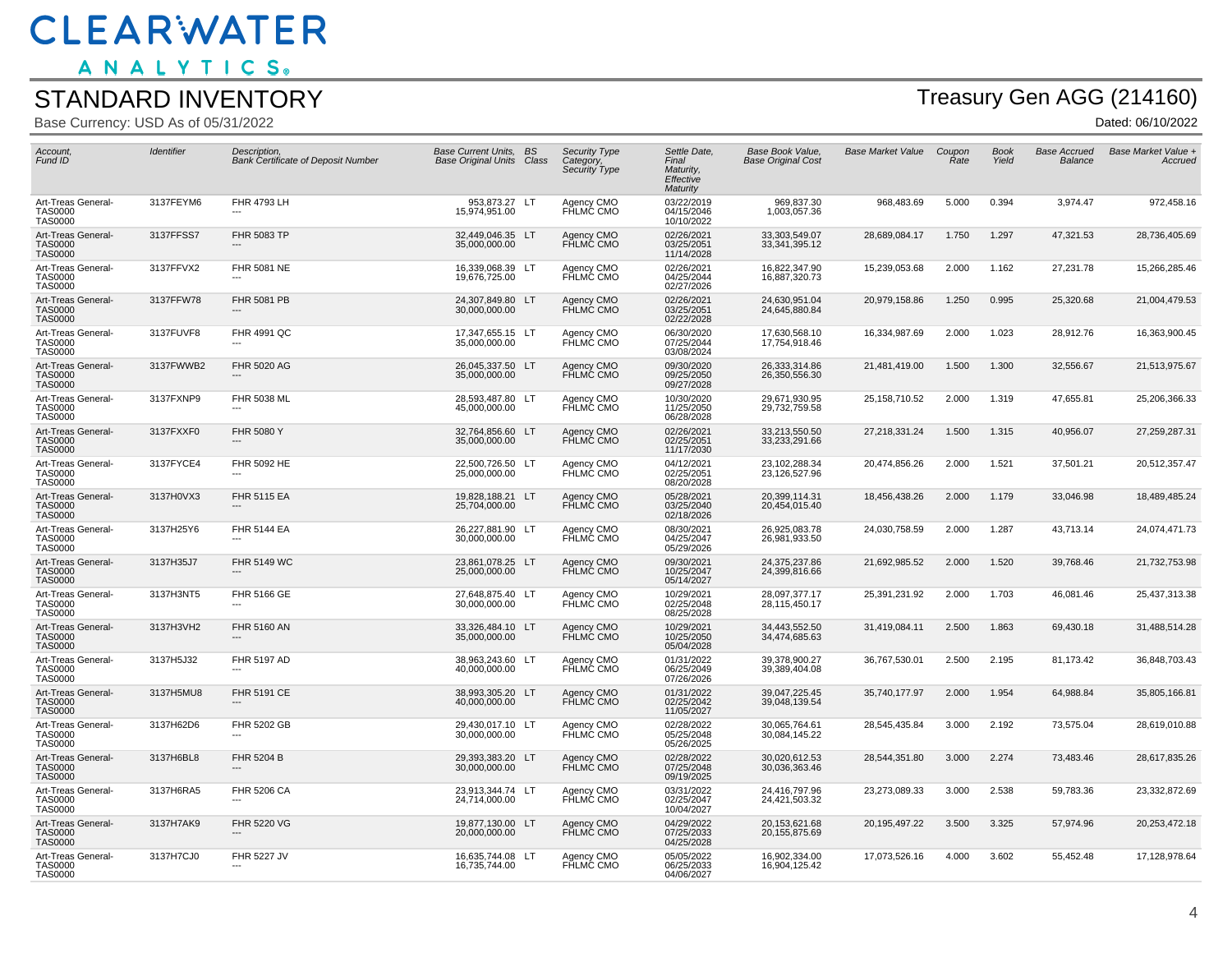ANALYTICS.

#### STANDARD INVENTORY

Base Currency: USD As of 05/31/2022

## Treasury Gen AGG (214160)

| Account,<br>Fund ID                                    | Identifier | Description,<br><b>Bank Certificate of Deposit Number</b> | <b>Base Current Units, BS</b><br><b>Base Original Units Class</b> | <b>Security Type</b><br>Category,<br>Security Type | Settle Date,<br>Final<br>Maturity,<br>Effective<br><b>Maturity</b> | Base Book Value,<br><b>Base Original Cost</b> | <b>Base Market Value</b> | Coupon<br>Rate | <b>Book</b><br>Yield | <b>Base Accrued</b><br>Balance | Base Market Value +<br>Accruea |
|--------------------------------------------------------|------------|-----------------------------------------------------------|-------------------------------------------------------------------|----------------------------------------------------|--------------------------------------------------------------------|-----------------------------------------------|--------------------------|----------------|----------------------|--------------------------------|--------------------------------|
| Art-Treas General-<br><b>TAS0000</b><br><b>TAS0000</b> | 3137FEYM6  | FHR 4793 LH                                               | 953,873.27 LT<br>15,974,951.00                                    | Agency CMO<br>FHLMC CMO                            | 03/22/2019<br>04/15/2046<br>10/10/2022                             | 969,837.30<br>1,003,057.36                    | 968,483.69               | 5.000          | 0.394                | 3,974.47                       | 972,458.16                     |
| Art-Treas General-<br><b>TAS0000</b><br><b>TAS0000</b> | 3137FFSS7  | <b>FHR 5083 TP</b>                                        | 32,449,046.35 LT<br>35,000,000.00                                 | Agency CMO<br>FHLMC CMO                            | 02/26/2021<br>03/25/2051<br>11/14/2028                             | 33,303,549.07<br>33, 341, 395. 12             | 28,689,084.17            | 1.750          | 1.297                | 47,321.53                      | 28,736,405.69                  |
| Art-Treas General-<br><b>TAS0000</b><br><b>TAS0000</b> | 3137FFVX2  | <b>FHR 5081 NE</b>                                        | 16,339,068.39 LT<br>19,676,725.00                                 | Agency CMO<br>FHLMC CMO                            | 02/26/2021<br>04/25/2044<br>02/27/2026                             | 16,822,347.90<br>16,887,320.73                | 15,239,053.68            | 2.000          | 1.162                | 27,231.78                      | 15,266,285.46                  |
| Art-Treas General-<br><b>TAS0000</b><br><b>TAS0000</b> | 3137FFW78  | FHR 5081 PB                                               | 24,307,849.80 LT<br>30,000,000.00                                 | Agency CMO<br>FŘLMČ CMO                            | 02/26/2021<br>03/25/2051<br>02/22/2028                             | 24,630,951.04<br>24,645,880.84                | 20,979,158.86            | 1.250          | 0.995                | 25,320.68                      | 21,004,479.53                  |
| Art-Treas General-<br><b>TAS0000</b><br><b>TAS0000</b> | 3137FUVF8  | FHR 4991 QC                                               | 17,347,655.15 LT<br>35,000,000.00                                 | Agency CMO<br>FHLMC CMO                            | 06/30/2020<br>07/25/2044<br>03/08/2024                             | 17,630,568.10<br>17,754,918.46                | 16,334,987.69            | 2.000          | 1.023                | 28,912.76                      | 16,363,900.45                  |
| Art-Treas General-<br><b>TAS0000</b><br><b>TAS0000</b> | 3137FWWB2  | FHR 5020 AG                                               | 26,045,337.50 LT<br>35,000,000.00                                 | Agency CMO<br>FHLMC CMO                            | 09/30/2020<br>09/25/2050<br>09/27/2028                             | 26,333,314.86<br>26,350,556.30                | 21,481,419.00            | 1.500          | 1.300                | 32,556.67                      | 21,513,975.67                  |
| Art-Treas General-<br><b>TAS0000</b><br><b>TAS0000</b> | 3137FXNP9  | FHR 5038 ML                                               | 28,593,487.80 LT<br>45,000,000.00                                 | Agency CMO<br>FHLMC CMO                            | 10/30/2020<br>11/25/2050<br>06/28/2028                             | 29,671,930.95<br>29,732,759.58                | 25,158,710.52            | 2.000          | 1.319                | 47,655.81                      | 25,206,366.33                  |
| Art-Treas General-<br><b>TAS0000</b><br><b>TAS0000</b> | 3137FXXF0  | FHR 5080 Y                                                | 32,764,856.60 LT<br>35,000,000.00                                 | Agency CMO<br>FHLMĆ CMO                            | 02/26/2021<br>02/25/2051<br>11/17/2030                             | 33,213,550.50<br>33,233,291.66                | 27,218,331.24            | 1.500          | 1.315                | 40,956.07                      | 27,259,287.31                  |
| Art-Treas General-<br><b>TAS0000</b><br><b>TAS0000</b> | 3137FYCE4  | FHR 5092 HE                                               | 22,500,726.50 LT<br>25,000,000.00                                 | Agency CMO<br>FHLMĆ CMO                            | 04/12/2021<br>02/25/2051<br>08/20/2028                             | 23,102,288.34<br>23,126,527.96                | 20,474,856.26            | 2.000          | 1.521                | 37,501.21                      | 20,512,357.47                  |
| Art-Treas General-<br><b>TAS0000</b><br><b>TAS0000</b> | 3137H0VX3  | <b>FHR 5115 EA</b>                                        | 19,828,188.21 LT<br>25,704,000.00                                 | Agency CMO<br>FHLMĆ CMO                            | 05/28/2021<br>03/25/2040<br>02/18/2026                             | 20,399,114.31<br>20,454,015.40                | 18,456,438.26            | 2.000          | 1.179                | 33,046.98                      | 18,489,485.24                  |
| Art-Treas General-<br><b>TAS0000</b><br><b>TAS0000</b> | 3137H25Y6  | <b>FHR 5144 EA</b>                                        | 26,227,881.90 LT<br>30,000,000.00                                 | Agency CMO<br>FHLMC CMO                            | 08/30/2021<br>04/25/2047<br>05/29/2026                             | 26,925,083.78<br>26.981.933.50                | 24,030,758.59            | 2.000          | 1.287                | 43,713.14                      | 24,074,471.73                  |
| Art-Treas General-<br><b>TAS0000</b><br><b>TAS0000</b> | 3137H35J7  | <b>FHR 5149 WC</b>                                        | 23,861,078.25 LT<br>25,000,000.00                                 | Agency CMO<br>FHLMC CMO                            | 09/30/2021<br>10/25/2047<br>05/14/2027                             | 24,375,237.86<br>24,399,816.66                | 21,692,985.52            | 2.000          | 1.520                | 39,768.46                      | 21,732,753.98                  |
| Art-Treas General-<br><b>TAS0000</b><br><b>TAS0000</b> | 3137H3NT5  | FHR 5166 GE<br>---                                        | 27,648,875.40 LT<br>30,000,000.00                                 | Agency CMO<br>FHLMC CMO                            | 10/29/2021<br>02/25/2048<br>08/25/2028                             | 28,097,377.17<br>28,115,450.17                | 25,391,231.92            | 2.000          | 1.703                | 46,081.46                      | 25,437,313.38                  |
| Art-Treas General-<br><b>TAS0000</b><br><b>TAS0000</b> | 3137H3VH2  | FHR 5160 AN                                               | 33.326.484.10 LT<br>35,000,000.00                                 | Agency CMO<br>FHLMC CMO                            | 10/29/2021<br>10/25/2050<br>05/04/2028                             | 34.443.552.50<br>34,474,685.63                | 31,419,084.11            | 2.500          | 1.863                | 69,430.18                      | 31,488,514.28                  |
| Art-Treas General-<br><b>TAS0000</b><br><b>TAS0000</b> | 3137H5J32  | <b>FHR 5197 AD</b>                                        | 38.963.243.60 LT<br>40,000,000.00                                 | Agency CMO<br>FHLMC CMO                            | 01/31/2022<br>06/25/2049<br>07/26/2026                             | 39,378,900.27<br>39,389,404.08                | 36,767,530.01            | 2.500          | 2.195                | 81,173.42                      | 36,848,703.43                  |
| Art-Treas General-<br><b>TAS0000</b><br><b>TAS0000</b> | 3137H5MU8  | FHR 5191 CE<br>---                                        | 38,993,305.20 LT<br>40,000,000.00                                 | Agency CMO<br>FHLMĆ CMO                            | 01/31/2022<br>02/25/2042<br>11/05/2027                             | 39,047,225.45<br>39,048,139.54                | 35,740,177.97            | 2.000          | 1.954                | 64,988.84                      | 35,805,166.81                  |
| Art-Treas General-<br><b>TAS0000</b><br><b>TAS0000</b> | 3137H62D6  | FHR 5202 GB                                               | 29,430,017.10 LT<br>30,000,000.00                                 | Agency CMO<br>FHLMĆ CMO                            | 02/28/2022<br>05/25/2048<br>05/26/2025                             | 30,065,764.61<br>30,084,145.22                | 28,545,435.84            | 3.000          | 2.192                | 73,575.04                      | 28,619,010.88                  |
| Art-Treas General-<br><b>TAS0000</b><br><b>TAS0000</b> | 3137H6BL8  | FHR 5204 B                                                | 29.393.383.20 LT<br>30,000,000.00                                 | Agency CMO<br>FHLMC CMO                            | 02/28/2022<br>07/25/2048<br>09/19/2025                             | 30,020,612.53<br>30,036,363.46                | 28,544,351.80            | 3.000          | 2.274                | 73,483.46                      | 28,617,835.26                  |
| Art-Treas General-<br><b>TAS0000</b><br><b>TAS0000</b> | 3137H6RA5  | <b>FHR 5206 CA</b><br>---                                 | 23,913,344.74 LT<br>24,714,000.00                                 | Agency CMO<br>FHLMĆ CMO                            | 03/31/2022<br>02/25/2047<br>10/04/2027                             | 24,416,797.96<br>24,421,503.32                | 23,273,089.33            | 3.000          | 2.538                | 59,783.36                      | 23,332,872.69                  |
| Art-Treas General-<br><b>TAS0000</b><br><b>TAS0000</b> | 3137H7AK9  | FHR 5220 VG                                               | 19,877,130.00 LT<br>20,000,000.00                                 | Agency CMO<br>FŘLMČ CMO                            | 04/29/2022<br>07/25/2033<br>04/25/2028                             | 20, 153, 621. 68<br>20,155,875.69             | 20,195,497.22            | 3.500          | 3.325                | 57,974.96                      | 20,253,472.18                  |
| Art-Treas General-<br><b>TAS0000</b><br>TAS0000        | 3137H7CJ0  | FHR 5227 JV                                               | 16,635,744.08 LT<br>16,735,744.00                                 | Agency CMO<br>FHLMC CMO                            | 05/05/2022<br>06/25/2033<br>04/06/2027                             | 16,902,334.00<br>16,904,125.42                | 17,073,526.16            | 4.000          | 3.602                | 55,452.48                      | 17,128,978.64                  |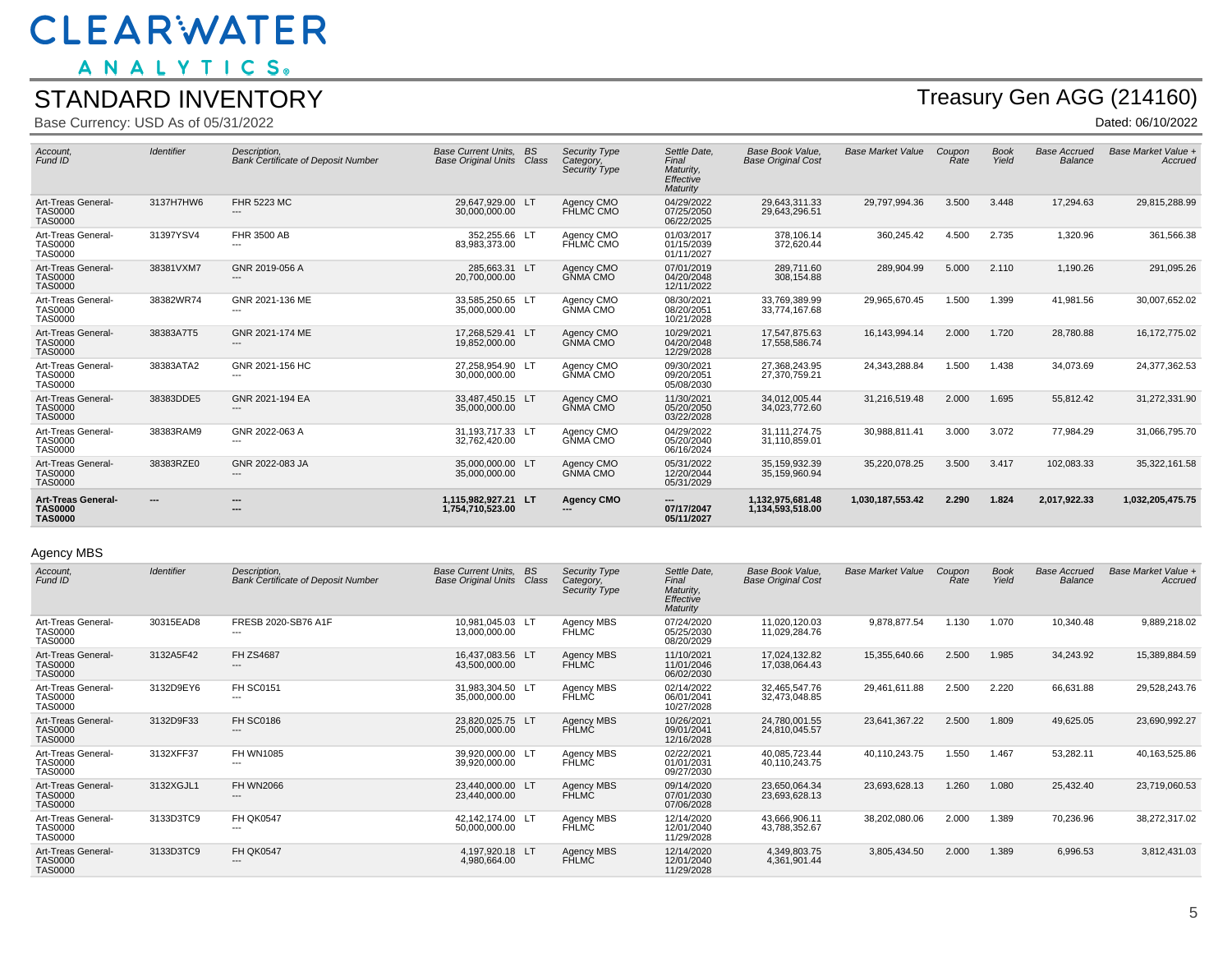ANALYTICS.

#### STANDARD INVENTORY

Base Currency: USD As of 05/31/2022

# Treasury Gen AGG (214160)

Dated: 06/10/2022

| Account,<br>Fund ID                                           | <b>Identifier</b>        | Description,<br><b>Bank Certificate of Deposit Number</b> | <b>Base Current Units.</b><br>BS<br><b>Base Original Units Class</b> | Category, | Security Type<br>Security Type | Settle Date,<br>Final<br>Maturity.<br>Effective<br>Maturity | Base Book Value.<br><b>Base Original Cost</b> | <b>Base Market Value</b> | Coupon<br>Rate | <b>Book</b><br>Yield | <b>Base Accrued</b><br>Balance | Base Market Value +<br>Accruea |
|---------------------------------------------------------------|--------------------------|-----------------------------------------------------------|----------------------------------------------------------------------|-----------|--------------------------------|-------------------------------------------------------------|-----------------------------------------------|--------------------------|----------------|----------------------|--------------------------------|--------------------------------|
| Art-Treas General-<br><b>TAS0000</b><br><b>TAS0000</b>        | 3137H7HW6                | <b>FHR 5223 MC</b><br>---                                 | 29,647,929.00 LT<br>30,000,000.00                                    |           | Agency CMO<br>FHLMC CMO        | 04/29/2022<br>07/25/2050<br>06/22/2025                      | 29,643,311.33<br>29.643.296.51                | 29,797,994.36            | 3.500          | 3.448                | 17,294.63                      | 29,815,288.99                  |
| Art-Treas General-<br><b>TAS0000</b><br><b>TAS0000</b>        | 31397YSV4                | FHR 3500 AB<br>---                                        | 352.255.66 LT<br>83.983.373.00                                       |           | Agency CMO<br>FHLMC CMO        | 01/03/2017<br>01/15/2039<br>01/11/2027                      | 378,106.14<br>372,620.44                      | 360,245.42               | 4.500          | 2.735                | 1,320.96                       | 361,566.38                     |
| Art-Treas General-<br><b>TAS0000</b><br><b>TAS0000</b>        | 38381VXM7                | GNR 2019-056 A<br>---                                     | 285,663.31 LT<br>20,700,000.00                                       |           | Agency CMO<br>GNMA CMO         | 07/01/2019<br>04/20/2048<br>12/11/2022                      | 289,711.60<br>308,154.88                      | 289,904.99               | 5.000          | 2.110                | 1,190.26                       | 291,095.26                     |
| Art-Treas General-<br><b>TAS0000</b><br><b>TAS0000</b>        | 38382WR74                | GNR 2021-136 ME<br>---                                    | 33,585,250.65 LT<br>35,000,000.00                                    |           | Agency CMO<br><b>GŇMA CMO</b>  | 08/30/2021<br>08/20/2051<br>10/21/2028                      | 33,769,389.99<br>33,774,167.68                | 29,965,670.45            | 1.500          | 1.399                | 41,981.56                      | 30,007,652.02                  |
| Art-Treas General-<br><b>TAS0000</b><br><b>TAS0000</b>        | 38383A7T5                | GNR 2021-174 ME<br>---                                    | 17,268,529.41 LT<br>19,852,000.00                                    |           | Agency CMO<br><b>GŇMA CMO</b>  | 10/29/2021<br>04/20/2048<br>12/29/2028                      | 17.547.875.63<br>17,558,586.74                | 16,143,994.14            | 2.000          | 1.720                | 28,780.88                      | 16,172,775.02                  |
| Art-Treas General-<br><b>TAS0000</b><br><b>TAS0000</b>        | 38383ATA2                | GNR 2021-156 HC<br>---                                    | 27,258,954.90 LT<br>30,000,000.00                                    |           | Agency CMO<br>GNMA CMO         | 09/30/2021<br>09/20/2051<br>05/08/2030                      | 27,368,243.95<br>27,370,759.21                | 24,343,288.84            | 1.500          | 1.438                | 34,073.69                      | 24,377,362.53                  |
| Art-Treas General-<br><b>TAS0000</b><br><b>TAS0000</b>        | 38383DDE5                | GNR 2021-194 EA<br>---                                    | 33,487,450.15 LT<br>35,000,000.00                                    |           | Agency CMO<br><b>GŇMA CMO</b>  | 11/30/2021<br>05/20/2050<br>03/22/2028                      | 34,012,005.44<br>34.023.772.60                | 31,216,519.48            | 2.000          | 1.695                | 55,812.42                      | 31,272,331.90                  |
| Art-Treas General-<br><b>TAS0000</b><br><b>TAS0000</b>        | 38383RAM9                | GNR 2022-063 A<br>---                                     | 31,193,717.33 LT<br>32.762.420.00                                    |           | Agency CMO<br><b>GŇMA CMO</b>  | 04/29/2022<br>05/20/2040<br>06/16/2024                      | 31, 111, 274. 75<br>31,110,859.01             | 30,988,811.41            | 3.000          | 3.072                | 77,984.29                      | 31,066,795.70                  |
| Art-Treas General-<br><b>TAS0000</b><br><b>TAS0000</b>        | 38383RZE0                | GNR 2022-083 JA<br>$---$                                  | 35.000.000.00 LT<br>35,000,000.00                                    |           | Agency CMO<br><b>GŇMA CMO</b>  | 05/31/2022<br>12/20/2044<br>05/31/2029                      | 35.159.932.39<br>35, 159, 960. 94             | 35,220,078.25            | 3.500          | 3.417                | 102,083.33                     | 35,322,161.58                  |
| <b>Art-Treas General-</b><br><b>TAS0000</b><br><b>TAS0000</b> | $\overline{\phantom{a}}$ | ---<br>---                                                | 1.115.982.927.21 LT<br>1,754,710,523.00                              | ---       | <b>Agency CMO</b>              | $\overline{\phantom{a}}$<br>07/17/2047<br>05/11/2027        | 1.132.975.681.48<br>1,134,593,518.00          | 1,030,187,553.42         | 2.290          | 1.824                | 2,017,922.33                   | 1,032,205,475.75               |

#### Agency MBS

| Account,<br>Fund ID                                    | <b>Identifier</b> | Description.<br><b>Bank Certificate of Deposit Number</b> | <b>Base Current Units.</b><br><b>Base Original Units Class</b> | <b>BS</b> | <b>Security Type</b><br>Category,<br>Security Type | Settle Date,<br>Final<br>Maturity,<br>Effective<br>Maturity | Base Book Value,<br><b>Base Original Cost</b> | <b>Base Market Value</b> | Coupon<br>Rate | <b>Book</b><br>Yield | <b>Base Accrued</b><br><b>Balance</b> | Base Market Value +<br>Accrued |
|--------------------------------------------------------|-------------------|-----------------------------------------------------------|----------------------------------------------------------------|-----------|----------------------------------------------------|-------------------------------------------------------------|-----------------------------------------------|--------------------------|----------------|----------------------|---------------------------------------|--------------------------------|
| Art-Treas General-<br>TAS0000<br><b>TAS0000</b>        | 30315EAD8         | FRESB 2020-SB76 A1F<br>---                                | 10,981,045.03 LT<br>13,000,000.00                              |           | Agency MBS<br><b>FHLMC</b>                         | 07/24/2020<br>05/25/2030<br>08/20/2029                      | 11,020,120.03<br>11,029,284.76                | 9,878,877.54             | 1.130          | 1.070                | 10,340.48                             | 9,889,218.02                   |
| Art-Treas General-<br><b>TAS0000</b><br><b>TAS0000</b> | 3132A5F42         | <b>FH ZS4687</b><br>---                                   | 16.437.083.56 LT<br>43,500,000.00                              |           | Agency MBS<br><b>FHLMC</b>                         | 11/10/2021<br>11/01/2046<br>06/02/2030                      | 17,024,132.82<br>17,038,064.43                | 15,355,640.66            | 2.500          | 1.985                | 34,243.92                             | 15,389,884.59                  |
| Art-Treas General-<br>TAS0000<br>TAS0000               | 3132D9EY6         | <b>FH SC0151</b><br>---                                   | 31,983,304.50 LT<br>35,000,000.00                              |           | Agency MBS<br>FHLMC                                | 02/14/2022<br>06/01/2041<br>10/27/2028                      | 32,465,547.76<br>32,473,048.85                | 29,461,611.88            | 2.500          | 2.220                | 66,631.88                             | 29,528,243.76                  |
| Art-Treas General-<br><b>TAS0000</b><br><b>TAS0000</b> | 3132D9F33         | <b>FH SC0186</b><br>---                                   | 23,820,025.75 LT<br>25,000,000.00                              |           | Agency MBS<br><b>FHLMC</b>                         | 10/26/2021<br>09/01/2041<br>12/16/2028                      | 24,780,001.55<br>24,810,045.57                | 23,641,367.22            | 2.500          | 1.809                | 49,625.05                             | 23,690,992.27                  |
| Art-Treas General-<br><b>TAS0000</b><br><b>TAS0000</b> | 3132XFF37         | <b>FH WN1085</b><br>---                                   | 39,920,000.00 LT<br>39,920,000.00                              |           | Agency MBS<br><b>FHLMC</b>                         | 02/22/2021<br>01/01/2031<br>09/27/2030                      | 40,085,723.44<br>40,110,243.75                | 40,110,243.75            | 1.550          | 1.467                | 53,282.11                             | 40,163,525.86                  |
| Art-Treas General-<br>TAS0000<br>TAS0000               | 3132XGJL1         | <b>FH WN2066</b><br>---                                   | 23,440,000.00 LT<br>23,440,000.00                              |           | Agency MBS<br><b>FHLMC</b>                         | 09/14/2020<br>07/01/2030<br>07/06/2028                      | 23,650,064.34<br>23,693,628.13                | 23,693,628.13            | 1.260          | 1.080                | 25,432.40                             | 23,719,060.53                  |
| Art-Treas General-<br><b>TAS0000</b><br><b>TAS0000</b> | 3133D3TC9         | <b>FH QK0547</b><br>---                                   | 42,142,174.00 LT<br>50,000,000.00                              |           | Agency MBS<br><b>FHLMC</b>                         | 12/14/2020<br>12/01/2040<br>11/29/2028                      | 43,666,906.11<br>43,788,352.67                | 38,202,080.06            | 2.000          | 1.389                | 70,236.96                             | 38,272,317.02                  |
| Art-Treas General-<br><b>TAS0000</b><br><b>TAS0000</b> | 3133D3TC9         | <b>FH QK0547</b><br>---                                   | 4.197.920.18 LT<br>4,980,664.00                                |           | Agency MBS<br><b>FHLMC</b>                         | 12/14/2020<br>12/01/2040<br>11/29/2028                      | 4,349,803.75<br>4,361,901.44                  | 3,805,434.50             | 2.000          | 1.389                | 6,996.53                              | 3,812,431.03                   |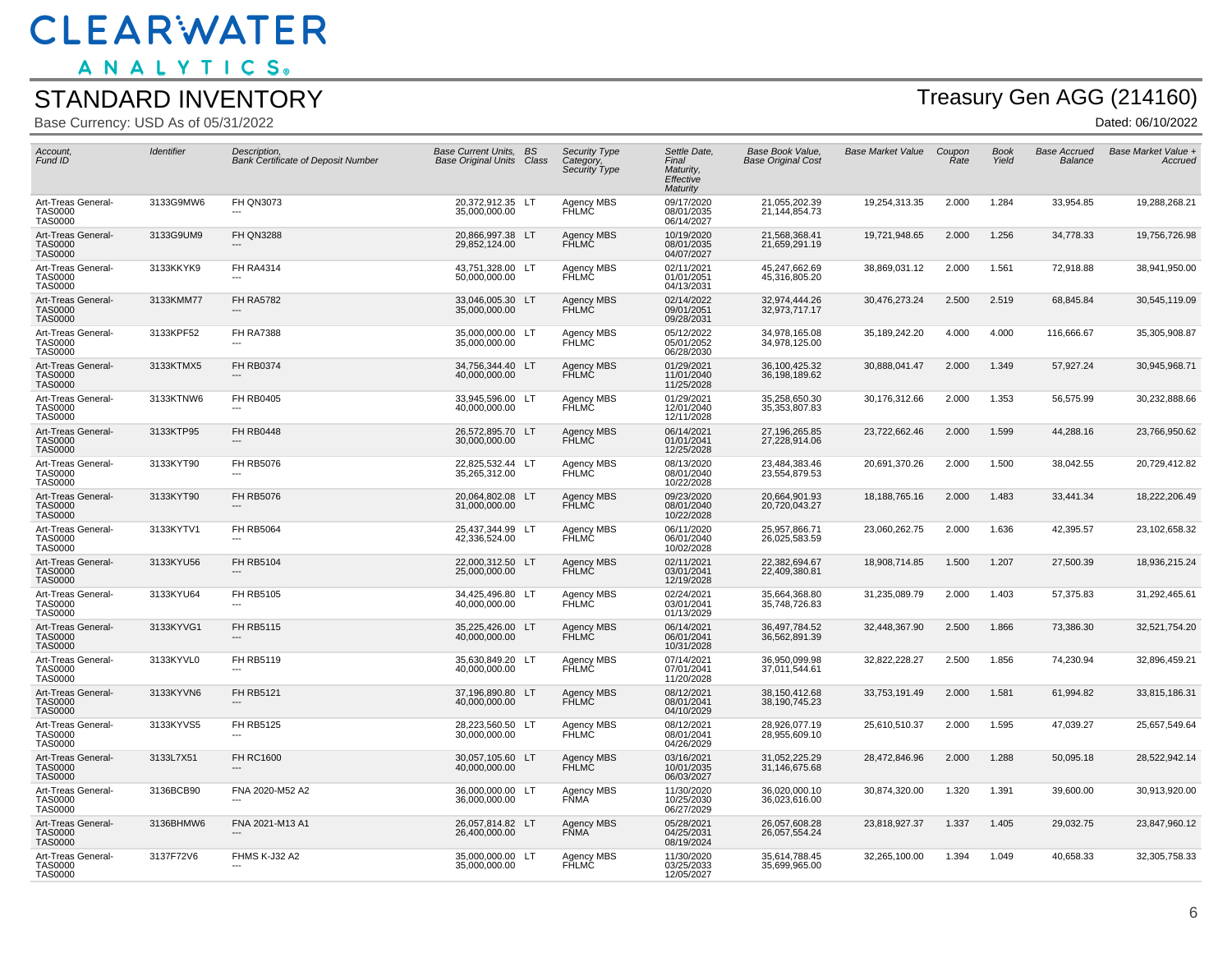ANALYTICS.

#### STANDARD INVENTORY

Base Currency: USD As of 05/31/2022

# Treasury Gen AGG (214160)

| Account,<br>Fund ID                                    | Identifier | Description,<br><b>Bank Certificate of Deposit Number</b> | <b>Base Current Units, BS</b><br><b>Base Original Units Class</b> | <b>Security Type</b><br>Category,<br>Security Type | Settle Date,<br>Final<br>Maturity,<br>Effective<br>Maturity | <b>Base Book Value.</b><br><b>Base Original Cost</b> | <b>Base Market Value</b> | Coupon<br>Rate | <b>Book</b><br>Yield | <b>Base Accrued</b><br>Balance | Base Market Value +<br>Accruea |
|--------------------------------------------------------|------------|-----------------------------------------------------------|-------------------------------------------------------------------|----------------------------------------------------|-------------------------------------------------------------|------------------------------------------------------|--------------------------|----------------|----------------------|--------------------------------|--------------------------------|
| Art-Treas General-<br><b>TAS0000</b><br><b>TAS0000</b> | 3133G9MW6  | <b>FH QN3073</b>                                          | 20,372,912.35 LT<br>35,000,000.00                                 | Agency MBS<br>FHLMC                                | 09/17/2020<br>08/01/2035<br>06/14/2027                      | 21,055,202.39<br>21,144,854.73                       | 19,254,313.35            | 2.000          | 1.284                | 33,954.85                      | 19,288,268.21                  |
| Art-Treas General-<br><b>TAS0000</b><br><b>TAS0000</b> | 3133G9UM9  | <b>FH QN3288</b>                                          | 20,866,997.38 LT<br>29,852,124.00                                 | Agency MBS<br>FHLMC                                | 10/19/2020<br>08/01/2035<br>04/07/2027                      | 21,568,368.41<br>21,659,291.19                       | 19,721,948.65            | 2.000          | 1.256                | 34,778.33                      | 19,756,726.98                  |
| Art-Treas General-<br><b>TAS0000</b><br><b>TAS0000</b> | 3133KKYK9  | <b>FH RA4314</b>                                          | 43,751,328.00 LT<br>50,000,000.00                                 | Agency MBS<br><b>FHLMC</b>                         | 02/11/2021<br>01/01/2051<br>04/13/2031                      | 45,247,662.69<br>45,316,805.20                       | 38,869,031.12            | 2.000          | 1.561                | 72,918.88                      | 38,941,950.00                  |
| Art-Treas General-<br><b>TAS0000</b><br><b>TAS0000</b> | 3133KMM77  | <b>FH RA5782</b>                                          | 33,046,005.30 LT<br>35,000,000.00                                 | Agency MBS<br>FHLMC                                | 02/14/2022<br>09/01/2051<br>09/28/2031                      | 32,974,444.26<br>32,973,717.17                       | 30,476,273.24            | 2.500          | 2.519                | 68,845.84                      | 30,545,119.09                  |
| Art-Treas General-<br><b>TAS0000</b><br><b>TAS0000</b> | 3133KPF52  | <b>FH RA7388</b>                                          | 35,000,000.00 LT<br>35,000,000.00                                 | Agency MBS<br>FHLMC                                | 05/12/2022<br>05/01/2052<br>06/28/2030                      | 34,978,165.08<br>34,978,125.00                       | 35,189,242.20            | 4.000          | 4.000                | 116,666.67                     | 35,305,908.87                  |
| Art-Treas General-<br><b>TAS0000</b><br><b>TAS0000</b> | 3133KTMX5  | <b>FH RB0374</b>                                          | 34,756,344.40 LT<br>40,000,000.00                                 | <b>Agency MBS</b><br>FHLMC                         | 01/29/2021<br>11/01/2040<br>11/25/2028                      | 36,100,425.32<br>36,198,189.62                       | 30,888,041.47            | 2.000          | 1.349                | 57,927.24                      | 30,945,968.71                  |
| Art-Treas General-<br><b>TAS0000</b><br><b>TAS0000</b> | 3133KTNW6  | <b>FH RB0405</b>                                          | 33,945,596.00 LT<br>40,000,000.00                                 | Agency MBS<br>FHLMC                                | 01/29/2021<br>12/01/2040<br>12/11/2028                      | 35,258,650.30<br>35, 353, 807.83                     | 30,176,312.66            | 2.000          | 1.353                | 56,575.99                      | 30,232,888.66                  |
| Art-Treas General-<br><b>TAS0000</b><br><b>TAS0000</b> | 3133KTP95  | <b>FH RB0448</b>                                          | 26,572,895.70 LT<br>30,000,000.00                                 | Agency MBS<br>FHLMC                                | 06/14/2021<br>01/01/2041<br>12/25/2028                      | 27,196,265.85<br>27,228,914.06                       | 23,722,662.46            | 2.000          | 1.599                | 44,288.16                      | 23,766,950.62                  |
| Art-Treas General-<br><b>TAS0000</b><br><b>TAS0000</b> | 3133KYT90  | <b>FH RB5076</b>                                          | 22,825,532.44 LT<br>35,265,312.00                                 | Agency MBS<br>FHLMC                                | 08/13/2020<br>08/01/2040<br>10/22/2028                      | 23,484,383.46<br>23,554,879.53                       | 20,691,370.26            | 2.000          | 1.500                | 38,042.55                      | 20,729,412.82                  |
| Art-Treas General-<br><b>TAS0000</b><br><b>TAS0000</b> | 3133KYT90  | <b>FH RB5076</b>                                          | 20,064,802.08 LT<br>31,000,000.00                                 | <b>Agency MBS</b><br>FHLMC                         | 09/23/2020<br>08/01/2040<br>10/22/2028                      | 20,664,901.93<br>20,720,043.27                       | 18,188,765.16            | 2.000          | 1.483                | 33,441.34                      | 18,222,206.49                  |
| Art-Treas General-<br><b>TAS0000</b><br><b>TAS0000</b> | 3133KYTV1  | <b>FH RB5064</b>                                          | 25,437,344.99 LT<br>42,336,524.00                                 | Agency MBS<br>FHLMC                                | 06/11/2020<br>06/01/2040<br>10/02/2028                      | 25,957,866.71<br>26,025,583.59                       | 23,060,262.75            | 2.000          | 1.636                | 42,395.57                      | 23,102,658.32                  |
| Art-Treas General-<br><b>TAS0000</b><br><b>TAS0000</b> | 3133KYU56  | <b>FH RB5104</b>                                          | 22.000.312.50 LT<br>25,000,000.00                                 | Agency MBS<br>FHLMC                                | 02/11/2021<br>03/01/2041<br>12/19/2028                      | 22,382,694.67<br>22,409,380.81                       | 18,908,714.85            | 1.500          | 1.207                | 27,500.39                      | 18,936,215.24                  |
| Art-Treas General-<br><b>TAS0000</b><br><b>TAS0000</b> | 3133KYU64  | <b>FH RB5105</b><br>---                                   | 34,425,496.80 LT<br>40,000,000.00                                 | Agency MBS<br>FHLMC                                | 02/24/2021<br>03/01/2041<br>01/13/2029                      | 35,664,368.80<br>35,748,726.83                       | 31,235,089.79            | 2.000          | 1.403                | 57,375.83                      | 31,292,465.61                  |
| Art-Treas General-<br><b>TAS0000</b><br><b>TAS0000</b> | 3133KYVG1  | <b>FH RB5115</b>                                          | 35,225,426.00 LT<br>40,000,000.00                                 | <b>Agency MBS</b><br>FHLMC                         | 06/14/2021<br>06/01/2041<br>10/31/2028                      | 36,497,784.52<br>36,562,891.39                       | 32,448,367.90            | 2.500          | 1.866                | 73,386.30                      | 32,521,754.20                  |
| Art-Treas General-<br><b>TAS0000</b><br><b>TAS0000</b> | 3133KYVL0  | <b>FH RB5119</b>                                          | 35.630.849.20 LT<br>40,000,000.00                                 | Agency MBS<br><b>FHLMC</b>                         | 07/14/2021<br>07/01/2041<br>11/20/2028                      | 36.950.099.98<br>37,011,544.61                       | 32,822,228.27            | 2.500          | 1.856                | 74,230.94                      | 32,896,459.21                  |
| Art-Treas General-<br><b>TAS0000</b><br><b>TAS0000</b> | 3133KYVN6  | <b>FH RB5121</b><br>---                                   | 37,196,890.80 LT<br>40,000,000.00                                 | Agency MBS<br><b>FHLMC</b>                         | 08/12/2021<br>08/01/2041<br>04/10/2029                      | 38,150,412.68<br>38,190,745.23                       | 33,753,191.49            | 2.000          | 1.581                | 61,994.82                      | 33,815,186.31                  |
| Art-Treas General-<br><b>TAS0000</b><br><b>TAS0000</b> | 3133KYVS5  | <b>FH RB5125</b>                                          | 28,223,560.50 LT<br>30,000,000.00                                 | Agency MBS<br>FHLMC                                | 08/12/2021<br>08/01/2041<br>04/26/2029                      | 28,926,077.19<br>28,955,609.10                       | 25,610,510.37            | 2.000          | 1.595                | 47,039.27                      | 25,657,549.64                  |
| Art-Treas General-<br><b>TAS0000</b><br><b>TAS0000</b> | 3133L7X51  | <b>FH RC1600</b>                                          | 30,057,105.60 LT<br>40,000,000.00                                 | Agency MBS<br>FHLMC                                | 03/16/2021<br>10/01/2035<br>06/03/2027                      | 31,052,225.29<br>31,146,675.68                       | 28,472,846.96            | 2.000          | 1.288                | 50,095.18                      | 28,522,942.14                  |
| Art-Treas General-<br><b>TAS0000</b><br><b>TAS0000</b> | 3136BCB90  | FNA 2020-M52 A2                                           | 36,000,000.00 LT<br>36,000,000.00                                 | Agency MBS<br><b>FŇMA</b>                          | 11/30/2020<br>10/25/2030<br>06/27/2029                      | 36,020,000.10<br>36,023,616.00                       | 30,874,320.00            | 1.320          | 1.391                | 39,600.00                      | 30,913,920.00                  |
| Art-Treas General-<br><b>TAS0000</b><br><b>TAS0000</b> | 3136BHMW6  | FNA 2021-M13 A1                                           | 26,057,814.82 LT<br>26,400,000.00                                 | Agency MBS<br><b>FNMA</b>                          | 05/28/2021<br>04/25/2031<br>08/19/2024                      | 26,057,608.28<br>26,057,554.24                       | 23,818,927.37            | 1.337          | 1.405                | 29,032.75                      | 23,847,960.12                  |
| Art-Treas General-<br><b>TAS0000</b><br><b>TAS0000</b> | 3137F72V6  | FHMS K-J32 A2<br>$---$                                    | 35,000,000.00 LT<br>35,000,000.00                                 | Agency MBS<br><b>FHLMC</b>                         | 11/30/2020<br>03/25/2033<br>12/05/2027                      | 35,614,788.45<br>35,699,965.00                       | 32,265,100.00            | 1.394          | 1.049                | 40,658.33                      | 32,305,758.33                  |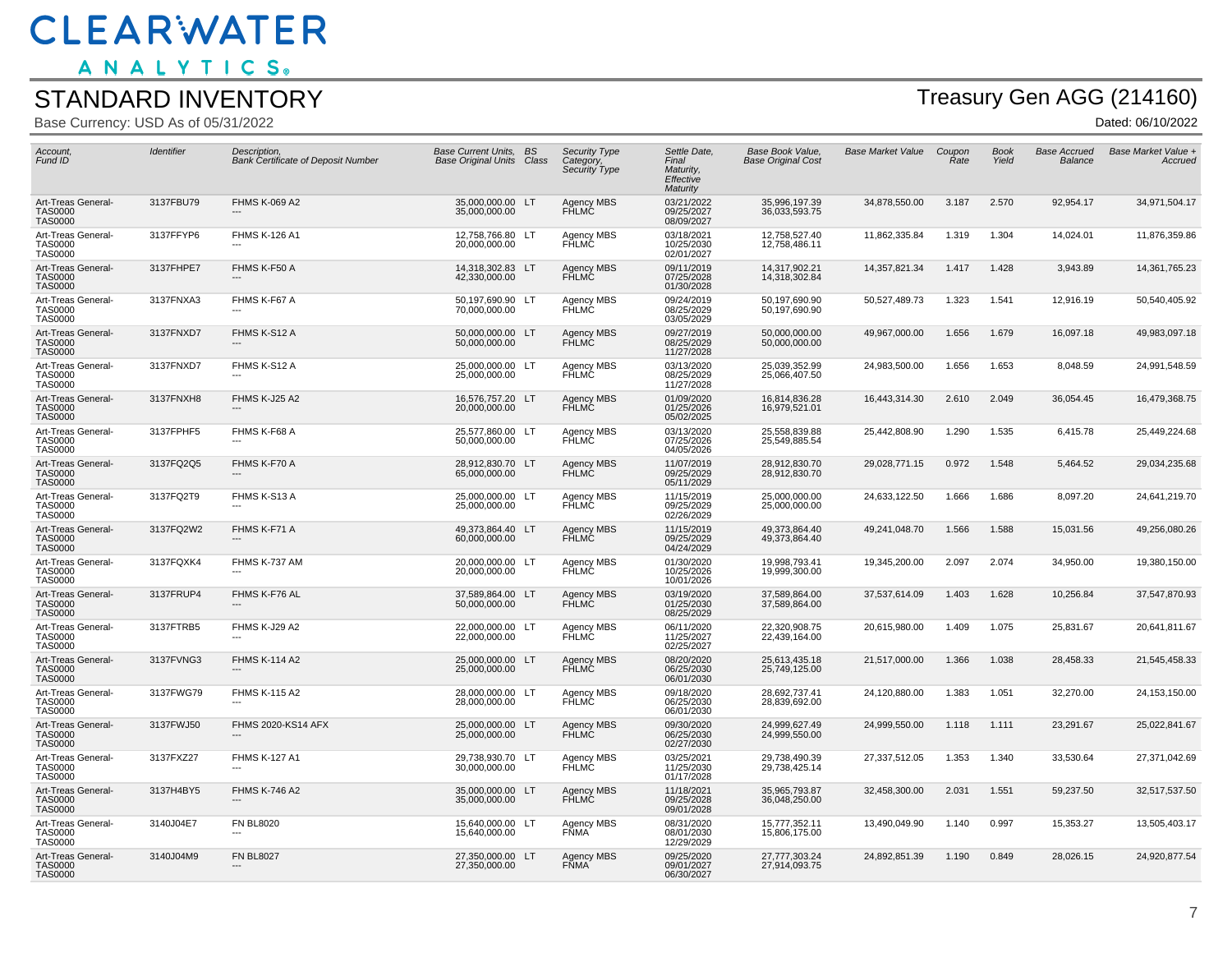ANALYTICS.

#### STANDARD INVENTORY

Base Currency: USD As of 05/31/2022

## Treasury Gen AGG (214160)

| Account,<br>Fund ID                                    | Identifier | Description,<br><b>Bank Certificate of Deposit Number</b> | <b>Base Current Units, BS</b><br><b>Base Original Units Class</b> | <b>Security Type</b><br>Category,<br>Security Type | Settle Date,<br>Final<br>Maturity,<br>Effective<br>Maturity | Base Book Value,<br><b>Base Original Cost</b> | <b>Base Market Value</b> | Coupon<br>Rate | <b>Book</b><br>Yield | <b>Base Accrued</b><br>Balance | Base Market Value +<br>Accruea |
|--------------------------------------------------------|------------|-----------------------------------------------------------|-------------------------------------------------------------------|----------------------------------------------------|-------------------------------------------------------------|-----------------------------------------------|--------------------------|----------------|----------------------|--------------------------------|--------------------------------|
| Art-Treas General-<br><b>TAS0000</b><br><b>TAS0000</b> | 3137FBU79  | <b>FHMS K-069 A2</b>                                      | 35,000,000.00 LT<br>35,000,000.00                                 | Agency MBS<br>FHLMĆ                                | 03/21/2022<br>09/25/2027<br>08/09/2027                      | 35,996,197.39<br>36,033,593.75                | 34,878,550.00            | 3.187          | 2.570                | 92,954.17                      | 34,971,504.17                  |
| Art-Treas General-<br><b>TAS0000</b><br><b>TAS0000</b> | 3137FFYP6  | <b>FHMS K-126 A1</b>                                      | 12,758,766.80 LT<br>20,000,000.00                                 | Agency MBS<br><b>FHLMC</b>                         | 03/18/2021<br>10/25/2030<br>02/01/2027                      | 12,758,527.40<br>12,758,486.11                | 11,862,335.84            | 1.319          | 1.304                | 14,024.01                      | 11,876,359.86                  |
| Art-Treas General-<br><b>TAS0000</b><br><b>TAS0000</b> | 3137FHPE7  | FHMS K-F50 A                                              | 14,318,302.83 LT<br>42,330,000.00                                 | Agency MBS<br>FHLMC                                | 09/11/2019<br>07/25/2028<br>01/30/2028                      | 14,317,902.21<br>14,318,302.84                | 14,357,821.34            | 1.417          | 1.428                | 3,943.89                       | 14,361,765.23                  |
| Art-Treas General-<br><b>TAS0000</b><br><b>TAS0000</b> | 3137FNXA3  | FHMS K-F67 A                                              | 50,197,690.90 LT<br>70,000,000.00                                 | Agency MBS<br>FĤLMĊ                                | 09/24/2019<br>08/25/2029<br>03/05/2029                      | 50,197,690.90<br>50,197,690.90                | 50,527,489.73            | 1.323          | 1.541                | 12,916.19                      | 50,540,405.92                  |
| Art-Treas General-<br><b>TAS0000</b><br><b>TAS0000</b> | 3137FNXD7  | FHMS K-S12 A                                              | 50,000,000.00 LT<br>50,000,000.00                                 | <b>Agency MBS</b><br><b>FHLMC</b>                  | 09/27/2019<br>08/25/2029<br>11/27/2028                      | 50,000,000.00<br>50,000,000.00                | 49,967,000.00            | 1.656          | 1.679                | 16,097.18                      | 49,983,097.18                  |
| Art-Treas General-<br><b>TAS0000</b><br><b>TAS0000</b> | 3137FNXD7  | FHMS K-S12 A                                              | 25,000,000.00 LT<br>25,000,000.00                                 | Agency MBS<br>FHLMC                                | 03/13/2020<br>08/25/2029<br>11/27/2028                      | 25,039,352.99<br>25,066,407.50                | 24,983,500.00            | 1.656          | 1.653                | 8,048.59                       | 24,991,548.59                  |
| Art-Treas General-<br><b>TAS0000</b><br><b>TAS0000</b> | 3137FNXH8  | FHMS K-J25 A2                                             | 16,576,757.20 LT<br>20,000,000.00                                 | Agency MBS<br>FHLMC                                | 01/09/2020<br>01/25/2026<br>05/02/2025                      | 16,814,836.28<br>16,979,521.01                | 16,443,314.30            | 2.610          | 2.049                | 36,054.45                      | 16,479,368.75                  |
| Art-Treas General-<br><b>TAS0000</b><br><b>TAS0000</b> | 3137FPHF5  | FHMS K-F68 A                                              | 25,577,860.00 LT<br>50,000,000.00                                 | Agency MBS<br>FHLMC                                | 03/13/2020<br>07/25/2026<br>04/05/2026                      | 25,558,839.88<br>25,549,885.54                | 25,442,808.90            | 1.290          | 1.535                | 6,415.78                       | 25,449,224.68                  |
| Art-Treas General-<br><b>TAS0000</b><br><b>TAS0000</b> | 3137FQ2Q5  | FHMS K-F70 A                                              | 28,912,830.70 LT<br>65,000,000.00                                 | <b>Agency MBS</b><br>FHLMC                         | 11/07/2019<br>09/25/2029<br>05/11/2029                      | 28,912,830.70<br>28,912,830.70                | 29,028,771.15            | 0.972          | 1.548                | 5,464.52                       | 29,034,235.68                  |
| Art-Treas General-<br><b>TAS0000</b><br><b>TAS0000</b> | 3137FQ2T9  | FHMS K-S13 A                                              | 25.000.000.00 LT<br>25,000,000.00                                 | Agency MBS<br><b>FHLMC</b>                         | 11/15/2019<br>09/25/2029<br>02/26/2029                      | 25,000,000.00<br>25,000,000.00                | 24,633,122.50            | 1.666          | 1.686                | 8,097.20                       | 24,641,219.70                  |
| Art-Treas General-<br><b>TAS0000</b><br><b>TAS0000</b> | 3137FQ2W2  | FHMS K-F71 A                                              | 49,373,864.40 LT<br>60,000,000.00                                 | Agency MBS<br>FHLMC                                | 11/15/2019<br>09/25/2029<br>04/24/2029                      | 49,373,864.40<br>49,373,864.40                | 49,241,048.70            | 1.566          | 1.588                | 15,031.56                      | 49,256,080.26                  |
| Art-Treas General-<br><b>TAS0000</b><br><b>TAS0000</b> | 3137FQXK4  | FHMS K-737 AM                                             | 20,000,000.00 LT<br>20,000,000.00                                 | Agency MBS<br>FHLMC                                | 01/30/2020<br>10/25/2026<br>10/01/2026                      | 19,998,793.41<br>19,999,300.00                | 19,345,200.00            | 2.097          | 2.074                | 34,950.00                      | 19,380,150.00                  |
| Art-Treas General-<br><b>TAS0000</b><br><b>TAS0000</b> | 3137FRUP4  | FHMS K-F76 AL                                             | 37,589,864.00 LT<br>50,000,000.00                                 | <b>Agency MBS</b><br>FHLMC                         | 03/19/2020<br>01/25/2030<br>08/25/2029                      | 37,589,864.00<br>37,589,864.00                | 37,537,614.09            | 1.403          | 1.628                | 10,256.84                      | 37,547,870.93                  |
| Art-Treas General-<br><b>TAS0000</b><br><b>TAS0000</b> | 3137FTRB5  | FHMS K-J29 A2                                             | 22,000,000.00 LT<br>22,000,000.00                                 | Agency MBS<br>FHLMC                                | 06/11/2020<br>11/25/2027<br>02/25/2027                      | 22,320,908.75<br>22,439,164.00                | 20,615,980.00            | 1.409          | 1.075                | 25,831.67                      | 20,641,811.67                  |
| Art-Treas General-<br><b>TAS0000</b><br><b>TAS0000</b> | 3137FVNG3  | <b>FHMS K-114 A2</b>                                      | 25,000,000.00 LT<br>25,000,000.00                                 | Agency MBS<br><b>FHLMC</b>                         | 08/20/2020<br>06/25/2030<br>06/01/2030                      | 25,613,435.18<br>25,749,125.00                | 21,517,000.00            | 1.366          | 1.038                | 28,458.33                      | 21,545,458.33                  |
| Art-Treas General-<br><b>TAS0000</b><br><b>TAS0000</b> | 3137FWG79  | <b>FHMS K-115 A2</b>                                      | 28,000,000.00 LT<br>28,000,000.00                                 | Agency MBS<br>FHLMC                                | 09/18/2020<br>06/25/2030<br>06/01/2030                      | 28,692,737.41<br>28,839,692.00                | 24,120,880.00            | 1.383          | 1.051                | 32,270.00                      | 24, 153, 150.00                |
| Art-Treas General-<br><b>TAS0000</b><br><b>TAS0000</b> | 3137FWJ50  | <b>FHMS 2020-KS14 AFX</b>                                 | 25,000,000.00 LT<br>25,000,000.00                                 | Agency MBS<br><b>FHLMC</b>                         | 09/30/2020<br>06/25/2030<br>02/27/2030                      | 24.999.627.49<br>24,999,550.00                | 24.999.550.00            | 1.118          | 1.111                | 23,291.67                      | 25.022.841.67                  |
| Art-Treas General-<br><b>TAS0000</b><br><b>TAS0000</b> | 3137FXZ27  | <b>FHMS K-127 A1</b>                                      | 29.738.930.70 LT<br>30,000,000.00                                 | Agency MBS<br>FHLMC                                | 03/25/2021<br>11/25/2030<br>01/17/2028                      | 29,738,490.39<br>29,738,425.14                | 27,337,512.05            | 1.353          | 1.340                | 33,530.64                      | 27,371,042.69                  |
| Art-Treas General-<br><b>TAS0000</b><br><b>TAS0000</b> | 3137H4BY5  | <b>FHMS K-746 A2</b><br>---                               | 35,000,000.00 LT<br>35,000,000.00                                 | Agency MBS<br>FHLMC                                | 11/18/2021<br>09/25/2028<br>09/01/2028                      | 35,965,793.87<br>36,048,250.00                | 32,458,300.00            | 2.031          | 1.551                | 59,237.50                      | 32,517,537.50                  |
| Art-Treas General-<br><b>TAS0000</b><br><b>TAS0000</b> | 3140J04E7  | <b>FN BL8020</b>                                          | 15,640,000.00 LT<br>15,640,000.00                                 | Agency MBS<br><b>FNMA</b>                          | 08/31/2020<br>08/01/2030<br>12/29/2029                      | 15,777,352.11<br>15,806,175.00                | 13,490,049.90            | 1.140          | 0.997                | 15,353.27                      | 13,505,403.17                  |
| Art-Treas General-<br><b>TAS0000</b><br>TAS0000        | 3140J04M9  | <b>FN BL8027</b>                                          | 27,350,000.00 LT<br>27,350,000.00                                 | Agency MBS<br><b>FNMA</b>                          | 09/25/2020<br>09/01/2027<br>06/30/2027                      | 27,777,303.24<br>27,914,093.75                | 24,892,851.39            | 1.190          | 0.849                | 28,026.15                      | 24,920,877.54                  |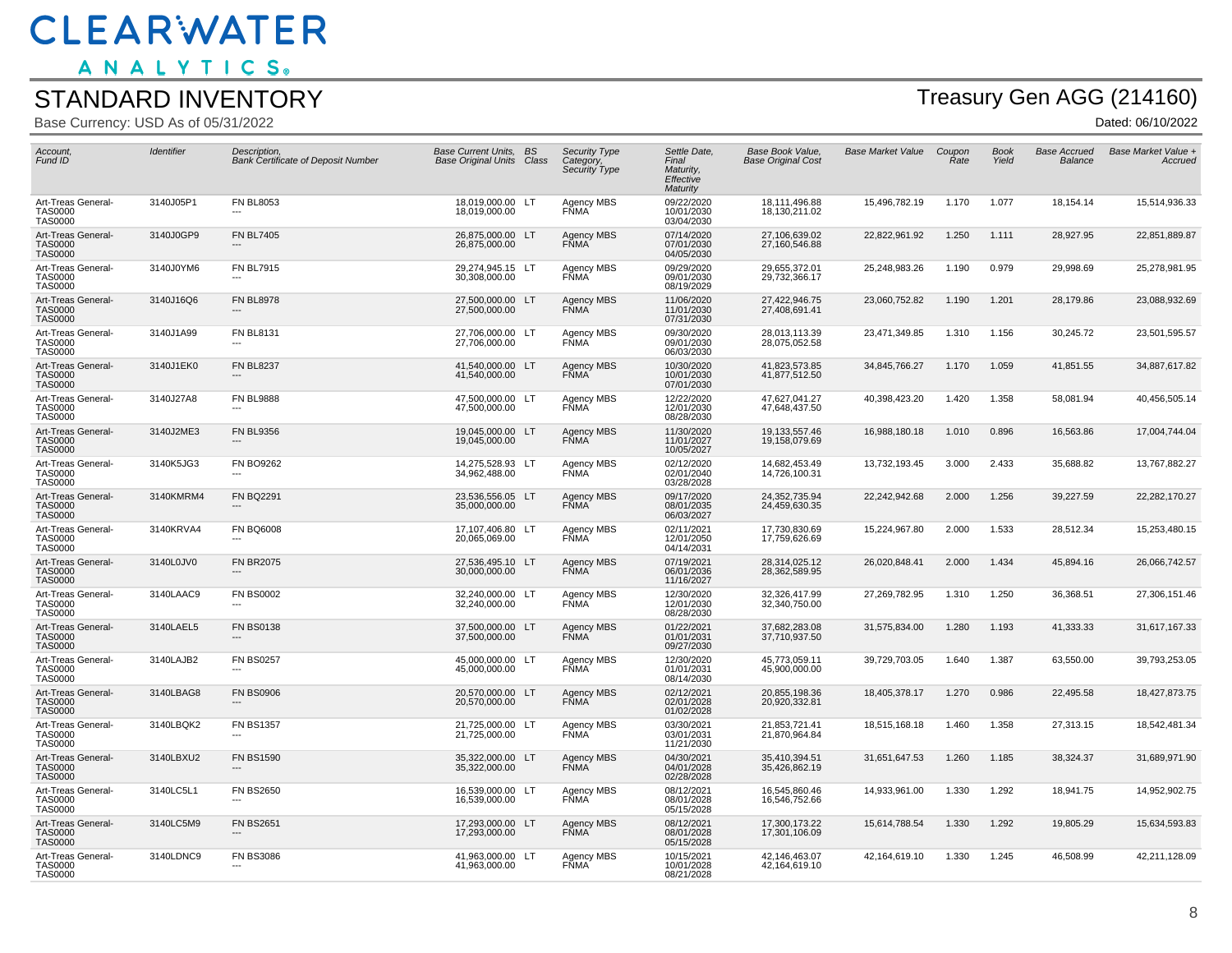ANALYTICS.

#### STANDARD INVENTORY

Base Currency: USD As of 05/31/2022

## Treasury Gen AGG (214160)

| Account,<br>Fund ID                                    | Identifier | Description,<br><b>Bank Certificate of Deposit Number</b> | <b>Base Current Units, BS</b><br><b>Base Original Units Class</b> | <b>Security Type</b><br>Category,<br>Security Type | Settle Date,<br>Final<br>Maturity,<br>Effective<br>Maturity | Base Book Value,<br><b>Base Original Cost</b> | <b>Base Market Value</b> | Coupon<br>Rate | <b>Book</b><br>Yield | <b>Base Accrued</b><br>Balance | Base Market Value +<br>Accrued |
|--------------------------------------------------------|------------|-----------------------------------------------------------|-------------------------------------------------------------------|----------------------------------------------------|-------------------------------------------------------------|-----------------------------------------------|--------------------------|----------------|----------------------|--------------------------------|--------------------------------|
| Art-Treas General-<br><b>TAS0000</b><br><b>TAS0000</b> | 3140J05P1  | <b>FN BL8053</b>                                          | 18,019,000.00 LT<br>18,019,000.00                                 | Agency MBS<br>FNMA                                 | 09/22/2020<br>10/01/2030<br>03/04/2030                      | 18,111,496.88<br>18,130,211.02                | 15,496,782.19            | 1.170          | 1.077                | 18,154.14                      | 15,514,936.33                  |
| Art-Treas General-<br><b>TAS0000</b><br><b>TAS0000</b> | 3140J0GP9  | <b>FN BL7405</b>                                          | 26,875,000.00 LT<br>26,875,000.00                                 | Agency MBS<br><b>FÑMA</b>                          | 07/14/2020<br>07/01/2030<br>04/05/2030                      | 27,106,639.02<br>27,160,546.88                | 22,822,961.92            | 1.250          | 1.111                | 28,927.95                      | 22,851,889.87                  |
| Art-Treas General-<br><b>TAS0000</b><br><b>TAS0000</b> | 3140J0YM6  | <b>FN BL7915</b><br>---                                   | 29,274,945.15 LT<br>30,308,000.00                                 | Agency MBS<br><b>FŇMA</b>                          | 09/29/2020<br>09/01/2030<br>08/19/2029                      | 29,655,372.01<br>29,732,366.17                | 25,248,983.26            | 1.190          | 0.979                | 29,998.69                      | 25,278,981.95                  |
| Art-Treas General-<br><b>TAS0000</b><br><b>TAS0000</b> | 3140J16Q6  | <b>FN BL8978</b>                                          | 27,500,000.00 LT<br>27,500,000.00                                 | Agency MBS<br><b>FŇMA</b>                          | 11/06/2020<br>11/01/2030<br>07/31/2030                      | 27,422,946.75<br>27,408,691.41                | 23,060,752.82            | 1.190          | 1.201                | 28,179.86                      | 23,088,932.69                  |
| Art-Treas General-<br><b>TAS0000</b><br><b>TAS0000</b> | 3140J1A99  | <b>FN BL8131</b>                                          | 27,706,000.00 LT<br>27,706,000.00                                 | Agency MBS<br><b>FŇMA</b>                          | 09/30/2020<br>09/01/2030<br>06/03/2030                      | 28,013,113.39<br>28,075,052.58                | 23,471,349.85            | 1.310          | 1.156                | 30,245.72                      | 23,501,595.57                  |
| Art-Treas General-<br><b>TAS0000</b><br><b>TAS0000</b> | 3140J1EK0  | <b>FN BL8237</b>                                          | 41,540,000.00 LT<br>41,540,000.00                                 | Agency MBS<br>FŇMA <sup>®</sup>                    | 10/30/2020<br>10/01/2030<br>07/01/2030                      | 41,823,573.85<br>41,877,512.50                | 34,845,766.27            | 1.170          | 1.059                | 41,851.55                      | 34,887,617.82                  |
| Art-Treas General-<br><b>TAS0000</b><br><b>TAS0000</b> | 3140J27A8  | <b>FN BL9888</b>                                          | 47,500,000.00 LT<br>47,500,000.00                                 | Agency MBS<br><b>FÑMA</b>                          | 12/22/2020<br>12/01/2030<br>08/28/2030                      | 47,627,041.27<br>47,648,437.50                | 40,398,423.20            | 1.420          | 1.358                | 58,081.94                      | 40,456,505.14                  |
| Art-Treas General-<br><b>TAS0000</b><br><b>TAS0000</b> | 3140J2ME3  | <b>FN BL9356</b>                                          | 19,045,000.00 LT<br>19,045,000.00                                 | Agency MBS<br><b>FŇMA</b>                          | 11/30/2020<br>11/01/2027<br>10/05/2027                      | 19,133,557.46<br>19,158,079.69                | 16,988,180.18            | 1.010          | 0.896                | 16,563.86                      | 17,004,744.04                  |
| Art-Treas General-<br><b>TAS0000</b><br><b>TAS0000</b> | 3140K5JG3  | <b>FN BO9262</b>                                          | 14,275,528.93 LT<br>34,962,488.00                                 | <b>Agency MBS</b><br><b>FŇMA</b>                   | 02/12/2020<br>02/01/2040<br>03/28/2028                      | 14,682,453.49<br>14,726,100.31                | 13,732,193.45            | 3.000          | 2.433                | 35,688.82                      | 13,767,882.27                  |
| Art-Treas General-<br><b>TAS0000</b><br><b>TAS0000</b> | 3140KMRM4  | <b>FN BQ2291</b>                                          | 23,536,556.05 LT<br>35,000,000.00                                 | Agency MBS<br><b>FŇMA</b>                          | 09/17/2020<br>08/01/2035<br>06/03/2027                      | 24,352,735.94<br>24,459,630.35                | 22,242,942.68            | 2.000          | 1.256                | 39,227.59                      | 22,282,170.27                  |
| Art-Treas General-<br><b>TAS0000</b><br><b>TAS0000</b> | 3140KRVA4  | <b>FN BQ6008</b>                                          | 17,107,406.80 LT<br>20,065,069.00                                 | Agency MBS<br><b>FŇMA</b>                          | 02/11/2021<br>12/01/2050<br>04/14/2031                      | 17,730,830.69<br>17,759,626.69                | 15,224,967.80            | 2.000          | 1.533                | 28,512.34                      | 15,253,480.15                  |
| Art-Treas General-<br><b>TAS0000</b><br><b>TAS0000</b> | 3140L0JV0  | <b>FN BR2075</b>                                          | 27,536,495.10 LT<br>30,000,000.00                                 | Agency MBS<br><b>FÑMA</b>                          | 07/19/2021<br>06/01/2036<br>11/16/2027                      | 28,314,025.12<br>28,362,589.95                | 26,020,848.41            | 2.000          | 1.434                | 45,894.16                      | 26,066,742.57                  |
| Art-Treas General-<br><b>TAS0000</b><br><b>TAS0000</b> | 3140LAAC9  | <b>FN BS0002</b><br>---                                   | 32,240,000.00 LT<br>32,240,000.00                                 | Agency MBS<br><b>FÑMA</b>                          | 12/30/2020<br>12/01/2030<br>08/28/2030                      | 32,326,417.99<br>32,340,750.00                | 27,269,782.95            | 1.310          | 1.250                | 36,368.51                      | 27,306,151.46                  |
| Art-Treas General-<br><b>TAS0000</b><br><b>TAS0000</b> | 3140LAEL5  | <b>FN BS0138</b>                                          | 37,500,000.00 LT<br>37,500,000.00                                 | Agency MBS<br><b>FNMA</b>                          | 01/22/2021<br>01/01/2031<br>09/27/2030                      | 37,682,283.08<br>37,710,937.50                | 31,575,834.00            | 1.280          | 1.193                | 41,333.33                      | 31,617,167.33                  |
| Art-Treas General-<br><b>TAS0000</b><br><b>TAS0000</b> | 3140LAJB2  | <b>FN BS0257</b>                                          | 45,000,000.00 LT<br>45,000,000.00                                 | Agency MBS<br>FÑMA <sup>®</sup>                    | 12/30/2020<br>01/01/2031<br>08/14/2030                      | 45,773,059.11<br>45,900,000.00                | 39,729,703.05            | 1.640          | 1.387                | 63,550.00                      | 39,793,253.05                  |
| Art-Treas General-<br><b>TAS0000</b><br><b>TAS0000</b> | 3140LBAG8  | <b>FN BS0906</b><br>---                                   | 20,570,000.00 LT<br>20,570,000.00                                 | Agency MBS<br><b>FÑMA</b>                          | 02/12/2021<br>02/01/2028<br>01/02/2028                      | 20,855,198.36<br>20,920,332.81                | 18,405,378.17            | 1.270          | 0.986                | 22,495.58                      | 18,427,873.75                  |
| Art-Treas General-<br><b>TAS0000</b><br><b>TAS0000</b> | 3140LBQK2  | <b>FN BS1357</b>                                          | 21,725,000.00 LT<br>21,725,000.00                                 | Agency MBS<br><b>FŇMA</b>                          | 03/30/2021<br>03/01/2031<br>11/21/2030                      | 21,853,721.41<br>21,870,964.84                | 18,515,168.18            | 1.460          | 1.358                | 27,313.15                      | 18,542,481.34                  |
| Art-Treas General-<br><b>TAS0000</b><br><b>TAS0000</b> | 3140LBXU2  | <b>FN BS1590</b>                                          | 35,322,000.00 LT<br>35,322,000.00                                 | Agency MBS<br><b>FNMA</b>                          | 04/30/2021<br>04/01/2028<br>02/28/2028                      | 35,410,394.51<br>35,426,862.19                | 31,651,647.53            | 1.260          | 1.185                | 38,324.37                      | 31,689,971.90                  |
| Art-Treas General-<br><b>TAS0000</b><br><b>TAS0000</b> | 3140LC5L1  | <b>FN BS2650</b>                                          | 16.539.000.00 LT<br>16,539,000.00                                 | Agency MBS<br><b>FŇMA</b>                          | 08/12/2021<br>08/01/2028<br>05/15/2028                      | 16,545,860.46<br>16,546,752.66                | 14,933,961.00            | 1.330          | 1.292                | 18,941.75                      | 14,952,902.75                  |
| Art-Treas General-<br><b>TAS0000</b><br><b>TAS0000</b> | 3140LC5M9  | <b>FN BS2651</b>                                          | 17,293,000.00 LT<br>17.293.000.00                                 | Agency MBS<br><b>FÑMA</b>                          | 08/12/2021<br>08/01/2028<br>05/15/2028                      | 17,300,173.22<br>17,301,106.09                | 15,614,788.54            | 1.330          | 1.292                | 19,805.29                      | 15,634,593.83                  |
| Art-Treas General-<br><b>TAS0000</b><br><b>TAS0000</b> | 3140LDNC9  | <b>FN BS3086</b><br>$---$                                 | 41,963,000.00 LT<br>41,963,000.00                                 | Agency MBS<br>FŇMA <sup>-</sup>                    | 10/15/2021<br>10/01/2028<br>08/21/2028                      | 42,146,463.07<br>42,164,619.10                | 42,164,619.10            | 1.330          | 1.245                | 46,508.99                      | 42,211,128.09                  |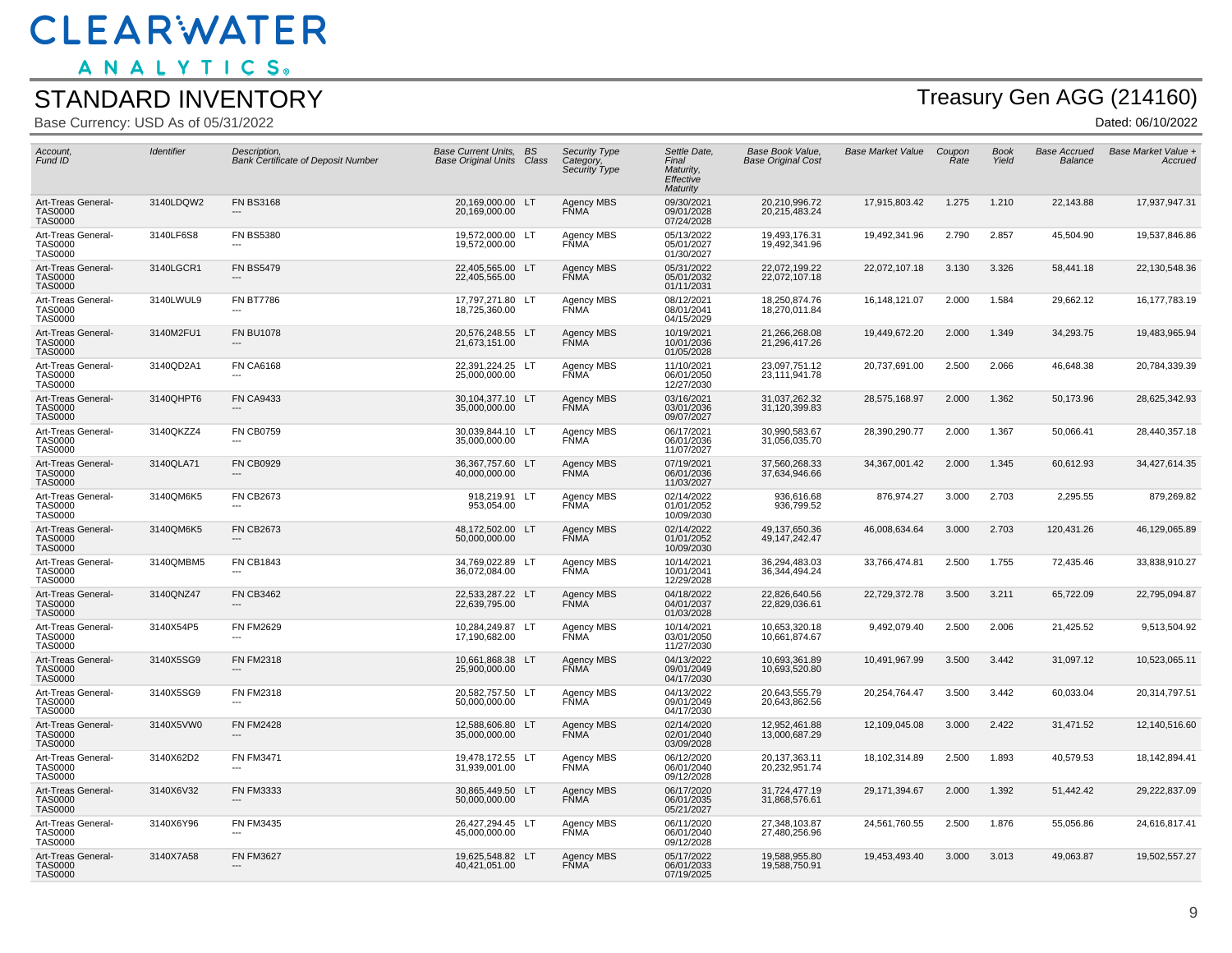ANALYTICS.

#### STANDARD INVENTORY

Base Currency: USD As of 05/31/2022

## Treasury Gen AGG (214160)

| Account,<br>Fund ID                                    | Identifier | Description,<br><b>Bank Certificate of Deposit Number</b> | <b>Base Current Units, BS</b><br><b>Base Original Units Class</b> | Security Type<br>Category,<br>Security Type | Settle Date,<br>Final<br>Maturity,<br>Effective<br>Maturity | Base Book Value.<br><b>Base Original Cost</b> | <b>Base Market Value</b> | Coupon<br>Rate | <b>Book</b><br>Yield | <b>Base Accrued</b><br>Balance | Base Market Value +<br>Accruea |
|--------------------------------------------------------|------------|-----------------------------------------------------------|-------------------------------------------------------------------|---------------------------------------------|-------------------------------------------------------------|-----------------------------------------------|--------------------------|----------------|----------------------|--------------------------------|--------------------------------|
| Art-Treas General-<br><b>TAS0000</b><br><b>TAS0000</b> | 3140LDQW2  | <b>FN BS3168</b>                                          | 20,169,000.00 LT<br>20,169,000.00                                 | Agency MBS<br><b>FŇMA</b>                   | 09/30/2021<br>09/01/2028<br>07/24/2028                      | 20,210,996.72<br>20,215,483.24                | 17,915,803.42            | 1.275          | 1.210                | 22,143.88                      | 17,937,947.31                  |
| Art-Treas General-<br><b>TAS0000</b><br><b>TAS0000</b> | 3140LF6S8  | <b>FN BS5380</b>                                          | 19,572,000.00 LT<br>19,572,000.00                                 | Agency MBS<br><b>FŇMA</b>                   | 05/13/2022<br>05/01/2027<br>01/30/2027                      | 19,493,176.31<br>19,492,341.96                | 19,492,341.96            | 2.790          | 2.857                | 45,504.90                      | 19,537,846.86                  |
| Art-Treas General-<br><b>TAS0000</b><br><b>TAS0000</b> | 3140LGCR1  | <b>FN BS5479</b>                                          | 22,405,565.00 LT<br>22,405,565.00                                 | Agency MBS<br>FŇMA <sup>®</sup>             | 05/31/2022<br>05/01/2032<br>01/11/2031                      | 22,072,199.22<br>22,072,107.18                | 22,072,107.18            | 3.130          | 3.326                | 58,441.18                      | 22,130,548.36                  |
| Art-Treas General-<br><b>TAS0000</b><br><b>TAS0000</b> | 3140LWUL9  | <b>FN BT7786</b>                                          | 17,797,271.80 LT<br>18,725,360.00                                 | Agency MBS<br><b>FÑMA</b>                   | 08/12/2021<br>08/01/2041<br>04/15/2029                      | 18,250,874.76<br>18,270,011.84                | 16,148,121.07            | 2.000          | 1.584                | 29,662.12                      | 16,177,783.19                  |
| Art-Treas General-<br><b>TAS0000</b><br><b>TAS0000</b> | 3140M2FU1  | <b>FN BU1078</b>                                          | 20,576,248.55 LT<br>21,673,151.00                                 | Agency MBS<br><b>FŇMA</b>                   | 10/19/2021<br>10/01/2036<br>01/05/2028                      | 21,266,268.08<br>21,296,417.26                | 19,449,672.20            | 2.000          | 1.349                | 34,293.75                      | 19,483,965.94                  |
| Art-Treas General-<br><b>TAS0000</b><br><b>TAS0000</b> | 3140QD2A1  | <b>FN CA6168</b>                                          | 22,391,224.25 LT<br>25,000,000.00                                 | Agency MBS<br><b>FŇMA</b>                   | 11/10/2021<br>06/01/2050<br>12/27/2030                      | 23,097,751.12<br>23,111,941.78                | 20,737,691.00            | 2.500          | 2.066                | 46,648.38                      | 20,784,339.39                  |
| Art-Treas General-<br><b>TAS0000</b><br><b>TAS0000</b> | 3140QHPT6  | <b>FN CA9433</b>                                          | 30,104,377.10 LT<br>35,000,000.00                                 | <b>Agency MBS</b><br><b>FŇMA</b>            | 03/16/2021<br>03/01/2036<br>09/07/2027                      | 31,037,262.32<br>31,120,399.83                | 28,575,168.97            | 2.000          | 1.362                | 50,173.96                      | 28,625,342.93                  |
| Art-Treas General-<br><b>TAS0000</b><br><b>TAS0000</b> | 3140QKZZ4  | <b>FN CB0759</b>                                          | 30,039,844.10 LT<br>35,000,000.00                                 | Agency MBS<br><b>FŇMA</b>                   | 06/17/2021<br>06/01/2036<br>11/07/2027                      | 30,990,583.67<br>31,056,035.70                | 28,390,290.77            | 2.000          | 1.367                | 50,066.41                      | 28,440,357.18                  |
| Art-Treas General-<br><b>TAS0000</b><br><b>TAS0000</b> | 3140QLA71  | <b>FN CB0929</b>                                          | 36,367,757.60 LT<br>40,000,000.00                                 | Agency MBS<br><b>FÑMA</b>                   | 07/19/2021<br>06/01/2036<br>11/03/2027                      | 37,560,268.33<br>37,634,946.66                | 34,367,001.42            | 2.000          | 1.345                | 60,612.93                      | 34,427,614.35                  |
| Art-Treas General-<br><b>TAS0000</b><br><b>TAS0000</b> | 3140QM6K5  | <b>FN CB2673</b>                                          | 918,219.91 LT<br>953,054.00                                       | Agency MBS<br><b>FŇMA</b>                   | 02/14/2022<br>01/01/2052<br>10/09/2030                      | 936,616.68<br>936,799.52                      | 876,974.27               | 3.000          | 2.703                | 2,295.55                       | 879,269.82                     |
| Art-Treas General-<br><b>TAS0000</b><br><b>TAS0000</b> | 3140QM6K5  | <b>FN CB2673</b>                                          | 48,172,502.00 LT<br>50,000,000.00                                 | <b>Agency MBS</b><br><b>FNMA</b>            | 02/14/2022<br>01/01/2052<br>10/09/2030                      | 49,137,650.36<br>49, 147, 242. 47             | 46,008,634.64            | 3.000          | 2.703                | 120,431.26                     | 46,129,065.89                  |
| Art-Treas General-<br><b>TAS0000</b><br><b>TAS0000</b> | 3140QMBM5  | <b>FN CB1843</b>                                          | 34,769,022.89 LT<br>36,072,084.00                                 | Agency MBS<br><b>FÑMA</b>                   | 10/14/2021<br>10/01/2041<br>12/29/2028                      | 36.294.483.03<br>36, 344, 494. 24             | 33,766,474.81            | 2.500          | 1.755                | 72,435.46                      | 33,838,910.27                  |
| Art-Treas General-<br><b>TAS0000</b><br><b>TAS0000</b> | 3140QNZ47  | <b>FN CB3462</b><br>---                                   | 22,533,287.22 LT<br>22,639,795.00                                 | Agency MBS<br><b>FŇMA</b>                   | 04/18/2022<br>04/01/2037<br>01/03/2028                      | 22,826,640.56<br>22,829,036.61                | 22,729,372.78            | 3.500          | 3.211                | 65,722.09                      | 22,795,094.87                  |
| Art-Treas General-<br><b>TAS0000</b><br><b>TAS0000</b> | 3140X54P5  | <b>FN FM2629</b>                                          | 10,284,249.87 LT<br>17,190,682.00                                 | Agency MBS<br><b>FŇMA</b>                   | 10/14/2021<br>03/01/2050<br>11/27/2030                      | 10,653,320.18<br>10,661,874.67                | 9,492,079.40             | 2.500          | 2.006                | 21,425.52                      | 9,513,504.92                   |
| Art-Treas General-<br><b>TAS0000</b><br><b>TAS0000</b> | 3140X5SG9  | <b>FN FM2318</b>                                          | 10.661.868.38 LT<br>25,900,000.00                                 | Agency MBS<br><b>FNMA</b>                   | 04/13/2022<br>09/01/2049<br>04/17/2030                      | 10.693.361.89<br>10,693,520.80                | 10,491,967.99            | 3.500          | 3.442                | 31,097.12                      | 10,523,065.11                  |
| Art-Treas General-<br><b>TAS0000</b><br><b>TAS0000</b> | 3140X5SG9  | <b>FN FM2318</b><br>---                                   | 20,582,757.50 LT<br>50,000,000.00                                 | Agency MBS<br><b>FNMA</b>                   | 04/13/2022<br>09/01/2049<br>04/17/2030                      | 20,643,555.79<br>20,643,862.56                | 20,254,764.47            | 3.500          | 3.442                | 60,033.04                      | 20,314,797.51                  |
| Art-Treas General-<br><b>TAS0000</b><br><b>TAS0000</b> | 3140X5VW0  | <b>FN FM2428</b>                                          | 12,588,606.80 LT<br>35,000,000.00                                 | Agency MBS<br><b>FÑMA</b>                   | 02/14/2020<br>02/01/2040<br>03/09/2028                      | 12,952,461.88<br>13,000,687.29                | 12,109,045.08            | 3.000          | 2.422                | 31,471.52                      | 12,140,516.60                  |
| Art-Treas General-<br><b>TAS0000</b><br><b>TAS0000</b> | 3140X62D2  | <b>FN FM3471</b>                                          | 19,478,172.55 LT<br>31,939,001.00                                 | Agency MBS<br><b>FÑMA</b>                   | 06/12/2020<br>06/01/2040<br>09/12/2028                      | 20, 137, 363. 11<br>20,232,951.74             | 18,102,314.89            | 2.500          | 1.893                | 40,579.53                      | 18,142,894.41                  |
| Art-Treas General-<br><b>TAS0000</b><br><b>TAS0000</b> | 3140X6V32  | <b>FN FM3333</b>                                          | 30,865,449.50 LT<br>50,000,000.00                                 | Agency MBS<br><b>FŇMA</b>                   | 06/17/2020<br>06/01/2035<br>05/21/2027                      | 31,724,477.19<br>31,868,576.61                | 29, 171, 394. 67         | 2.000          | 1.392                | 51,442.42                      | 29,222,837.09                  |
| Art-Treas General-<br><b>TAS0000</b><br><b>TAS0000</b> | 3140X6Y96  | <b>FN FM3435</b>                                          | 26,427,294.45 LT<br>45.000.000.00                                 | Agency MBS<br>FŇMA <sup>®</sup>             | 06/11/2020<br>06/01/2040<br>09/12/2028                      | 27,348,103.87<br>27,480,256.96                | 24,561,760.55            | 2.500          | 1.876                | 55,056.86                      | 24,616,817.41                  |
| Art-Treas General-<br><b>TAS0000</b><br><b>TAS0000</b> | 3140X7A58  | <b>FN FM3627</b><br>$---$                                 | 19,625,548.82 LT<br>40,421,051.00                                 | Agency MBS<br>FŇMA <sup>®</sup>             | 05/17/2022<br>06/01/2033<br>07/19/2025                      | 19,588,955.80<br>19,588,750.91                | 19,453,493.40            | 3.000          | 3.013                | 49,063.87                      | 19,502,557.27                  |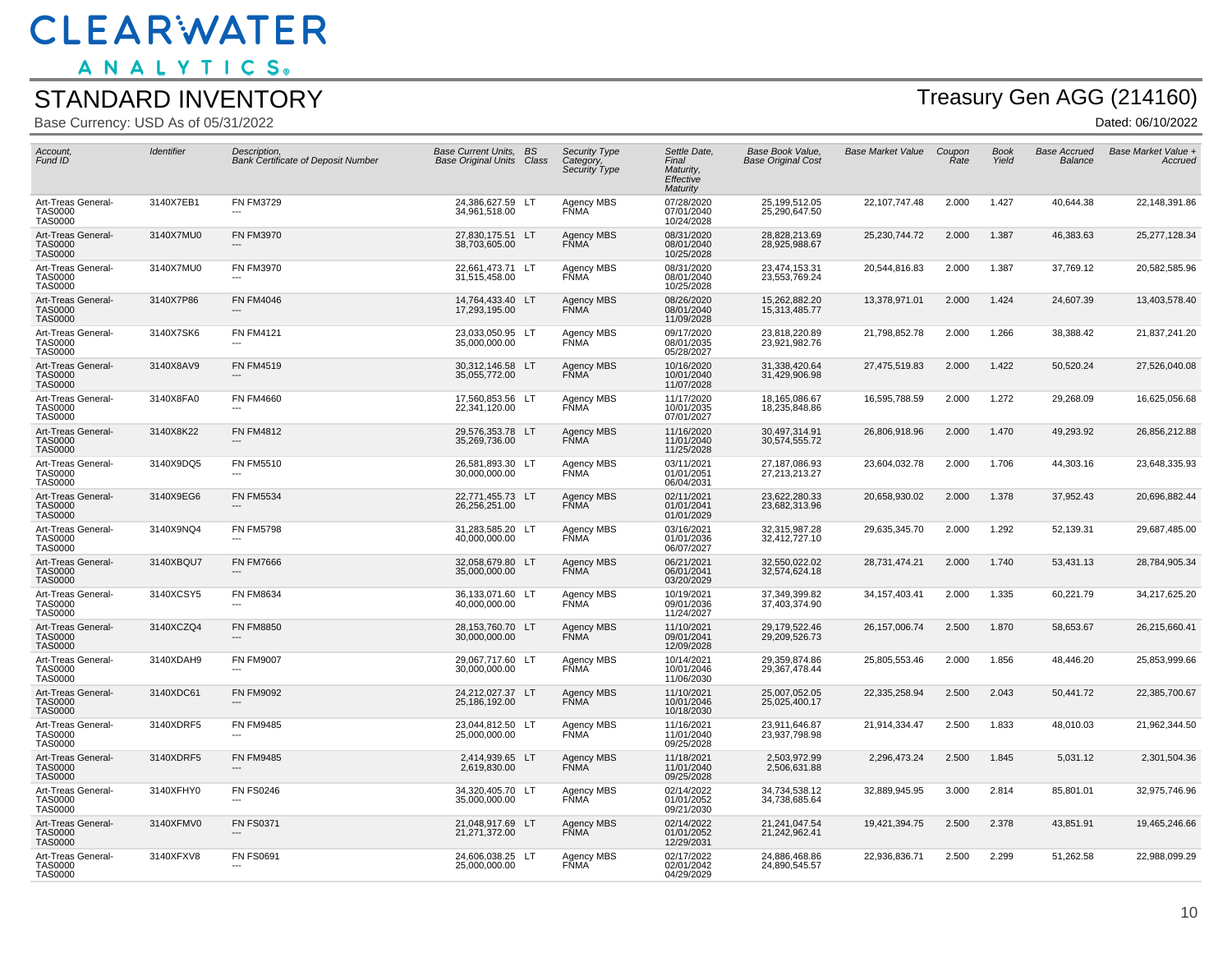ANALYTICS.

#### STANDARD INVENTORY

Base Currency: USD As of 05/31/2022

# Treasury Gen AGG (214160)

| Account.<br>Fund ID                                    | <b>Identifier</b> | Description.<br><b>Bank Certificate of Deposit Number</b> | Base Current Units. BS<br><b>Base Original Units Class</b> | Security Type<br>Category,<br>Security Type | Settle Date,<br>Final<br>Maturity,<br>Effective<br>Maturity | <b>Base Book Value.</b><br><b>Base Original Cost</b> | <b>Base Market Value</b> | Coupon<br>Rate | <b>Book</b><br>Yield | <b>Base Accrued</b><br>Balance | Base Market Value +<br>Accruea |
|--------------------------------------------------------|-------------------|-----------------------------------------------------------|------------------------------------------------------------|---------------------------------------------|-------------------------------------------------------------|------------------------------------------------------|--------------------------|----------------|----------------------|--------------------------------|--------------------------------|
| Art-Treas General-<br><b>TAS0000</b><br><b>TAS0000</b> | 3140X7EB1         | <b>FN FM3729</b>                                          | 24,386,627.59 LT<br>34,961,518.00                          | Agency MBS<br><b>FŇMA</b>                   | 07/28/2020<br>07/01/2040<br>10/24/2028                      | 25,199,512.05<br>25,290,647.50                       | 22,107,747.48            | 2.000          | 1.427                | 40,644.38                      | 22,148,391.86                  |
| Art-Treas General-<br><b>TAS0000</b><br><b>TAS0000</b> | 3140X7MU0         | <b>FN FM3970</b>                                          | 27,830,175.51 LT<br>38,703,605.00                          | Agency MBS<br><b>FÑMA</b>                   | 08/31/2020<br>08/01/2040<br>10/25/2028                      | 28,828,213.69<br>28,925,988.67                       | 25,230,744.72            | 2.000          | 1.387                | 46,383.63                      | 25,277,128.34                  |
| Art-Treas General-<br><b>TAS0000</b><br><b>TAS0000</b> | 3140X7MU0         | <b>FN FM3970</b><br>---                                   | 22,661,473.71 LT<br>31,515,458.00                          | Agency MBS<br>FÑMA <sup>-</sup>             | 08/31/2020<br>08/01/2040<br>10/25/2028                      | 23,474,153.31<br>23,553,769.24                       | 20,544,816.83            | 2.000          | 1.387                | 37,769.12                      | 20,582,585.96                  |
| Art-Treas General-<br><b>TAS0000</b><br><b>TAS0000</b> | 3140X7P86         | <b>FN FM4046</b>                                          | 14,764,433.40 LT<br>17,293,195.00                          | Agency MBS<br><b>FŇMA</b>                   | 08/26/2020<br>08/01/2040<br>11/09/2028                      | 15,262,882.20<br>15,313,485.77                       | 13,378,971.01            | 2.000          | 1.424                | 24,607.39                      | 13,403,578.40                  |
| Art-Treas General-<br><b>TAS0000</b><br><b>TAS0000</b> | 3140X7SK6         | <b>FN FM4121</b>                                          | 23,033,050.95 LT<br>35,000,000.00                          | Agency MBS<br><b>FŇMA</b>                   | 09/17/2020<br>08/01/2035<br>05/28/2027                      | 23,818,220.89<br>23,921,982.76                       | 21,798,852.78            | 2.000          | 1.266                | 38,388.42                      | 21,837,241.20                  |
| Art-Treas General-<br><b>TAS0000</b><br><b>TAS0000</b> | 3140X8AV9         | <b>FN FM4519</b>                                          | 30,312,146.58 LT<br>35,055,772.00                          | Agency MBS<br><b>FŇMA</b>                   | 10/16/2020<br>10/01/2040<br>11/07/2028                      | 31,338,420.64<br>31,429,906.98                       | 27,475,519.83            | 2.000          | 1.422                | 50,520.24                      | 27,526,040.08                  |
| Art-Treas General-<br><b>TAS0000</b><br><b>TAS0000</b> | 3140X8FA0         | <b>FN FM4660</b>                                          | 17.560.853.56 LT<br>22,341,120.00                          | Agency MBS<br><b>FNMA</b>                   | 11/17/2020<br>10/01/2035<br>07/01/2027                      | 18,165,086.67<br>18,235,848.86                       | 16,595,788.59            | 2.000          | 1.272                | 29,268.09                      | 16,625,056.68                  |
| Art-Treas General-<br><b>TAS0000</b><br><b>TAS0000</b> | 3140X8K22         | <b>FN FM4812</b>                                          | 29,576,353.78 LT<br>35,269,736.00                          | Agency MBS<br><b>FÑMA</b>                   | 11/16/2020<br>11/01/2040<br>11/25/2028                      | 30,497,314.91<br>30,574,555.72                       | 26,806,918.96            | 2.000          | 1.470                | 49,293.92                      | 26,856,212.88                  |
| Art-Treas General-<br><b>TAS0000</b><br><b>TAS0000</b> | 3140X9DQ5         | <b>FN FM5510</b>                                          | 26,581,893.30 LT<br>30,000,000.00                          | Agency MBS<br>FÑMA <sup>-</sup>             | 03/11/2021<br>01/01/2051<br>06/04/2031                      | 27,187,086.93<br>27,213,213.27                       | 23,604,032.78            | 2.000          | 1.706                | 44,303.16                      | 23,648,335.93                  |
| Art-Treas General-<br><b>TAS0000</b><br><b>TAS0000</b> | 3140X9EG6         | <b>FN FM5534</b>                                          | 22,771,455.73 LT<br>26,256,251.00                          | <b>Agency MBS</b><br>FŇMA <sup>®</sup>      | 02/11/2021<br>01/01/2041<br>01/01/2029                      | 23,622,280.33<br>23,682,313.96                       | 20,658,930.02            | 2.000          | 1.378                | 37,952.43                      | 20,696,882.44                  |
| Art-Treas General-<br><b>TAS0000</b><br><b>TAS0000</b> | 3140X9NQ4         | <b>FN FM5798</b>                                          | 31,283,585.20 LT<br>40,000,000.00                          | Agency MBS<br>FNMA                          | 03/16/2021<br>01/01/2036<br>06/07/2027                      | 32,315,987.28<br>32,412,727.10                       | 29,635,345.70            | 2.000          | 1.292                | 52,139.31                      | 29,687,485.00                  |
| Art-Treas General-<br><b>TAS0000</b><br><b>TAS0000</b> | 3140XBQU7         | <b>FN FM7666</b>                                          | 32,058,679.80 LT<br>35,000,000.00                          | Agency MBS<br><b>FÑMA</b>                   | 06/21/2021<br>06/01/2041<br>03/20/2029                      | 32,550,022.02<br>32,574,624.18                       | 28,731,474.21            | 2.000          | 1.740                | 53,431.13                      | 28,784,905.34                  |
| Art-Treas General-<br><b>TAS0000</b><br><b>TAS0000</b> | 3140XCSY5         | <b>FN FM8634</b><br>---                                   | 36,133,071.60 LT<br>40,000,000.00                          | Agency MBS<br>FŇMA <sup>*</sup>             | 10/19/2021<br>09/01/2036<br>11/24/2027                      | 37,349,399.82<br>37,403,374.90                       | 34, 157, 403. 41         | 2.000          | 1.335                | 60,221.79                      | 34,217,625.20                  |
| Art-Treas General-<br><b>TAS0000</b><br><b>TAS0000</b> | 3140XCZQ4         | <b>FN FM8850</b>                                          | 28,153,760.70 LT<br>30,000,000.00                          | <b>Agency MBS</b><br><b>FŇMA</b>            | 11/10/2021<br>09/01/2041<br>12/09/2028                      | 29,179,522.46<br>29,209,526.73                       | 26, 157, 006. 74         | 2.500          | 1.870                | 58,653.67                      | 26,215,660.41                  |
| Art-Treas General-<br><b>TAS0000</b><br><b>TAS0000</b> | 3140XDAH9         | <b>FN FM9007</b>                                          | 29.067.717.60 LT<br>30,000,000.00                          | Agency MBS<br><b>FŇMA</b>                   | 10/14/2021<br>10/01/2046<br>11/06/2030                      | 29,359,874.86<br>29,367,478.44                       | 25,805,553.46            | 2.000          | 1.856                | 48,446.20                      | 25,853,999.66                  |
| Art-Treas General-<br><b>TAS0000</b><br><b>TAS0000</b> | 3140XDC61         | <b>FN FM9092</b><br>---                                   | 24,212,027.37 LT<br>25,186,192.00                          | Agency MBS<br><b>FÑMA</b>                   | 11/10/2021<br>10/01/2046<br>10/18/2030                      | 25,007,052.05<br>25,025,400.17                       | 22,335,258.94            | 2.500          | 2.043                | 50,441.72                      | 22,385,700.67                  |
| Art-Treas General-<br><b>TAS0000</b><br><b>TAS0000</b> | 3140XDRF5         | <b>FN FM9485</b>                                          | 23,044,812.50 LT<br>25,000,000.00                          | Agency MBS<br><b>FŇMA</b>                   | 11/16/2021<br>11/01/2040<br>09/25/2028                      | 23,911,646.87<br>23,937,798.98                       | 21,914,334.47            | 2.500          | 1.833                | 48,010.03                      | 21,962,344.50                  |
| Art-Treas General-<br><b>TAS0000</b><br><b>TAS0000</b> | 3140XDRF5         | <b>FN FM9485</b>                                          | 2,414,939.65 LT<br>2,619,830.00                            | <b>Agency MBS</b><br><b>FŇMA</b>            | 11/18/2021<br>11/01/2040<br>09/25/2028                      | 2,503,972.99<br>2,506,631.88                         | 2,296,473.24             | 2.500          | 1.845                | 5,031.12                       | 2,301,504.36                   |
| Art-Treas General-<br><b>TAS0000</b><br><b>TAS0000</b> | 3140XFHY0         | <b>FN FS0246</b>                                          | 34.320.405.70 LT<br>35,000,000.00                          | Agency MBS<br><b>FÑMA</b>                   | 02/14/2022<br>01/01/2052<br>09/21/2030                      | 34.734.538.12<br>34,738,685.64                       | 32.889.945.95            | 3.000          | 2.814                | 85.801.01                      | 32,975,746.96                  |
| Art-Treas General-<br><b>TAS0000</b><br><b>TAS0000</b> | 3140XFMV0         | <b>FN FS0371</b>                                          | 21,048,917.69 LT<br>21,271,372.00                          | Agency MBS<br><b>FNMA</b>                   | 02/14/2022<br>01/01/2052<br>12/29/2031                      | 21,241,047.54<br>21,242,962.41                       | 19,421,394.75            | 2.500          | 2.378                | 43,851.91                      | 19,465,246.66                  |
| Art-Treas General-<br><b>TAS0000</b><br><b>TAS0000</b> | 3140XFXV8         | <b>FN FS0691</b><br>---                                   | 24,606,038.25 LT<br>25,000,000.00                          | Agency MBS<br><b>FÑMA</b>                   | 02/17/2022<br>02/01/2042<br>04/29/2029                      | 24,886,468.86<br>24,890,545.57                       | 22,936,836.71            | 2.500          | 2.299                | 51,262.58                      | 22,988,099.29                  |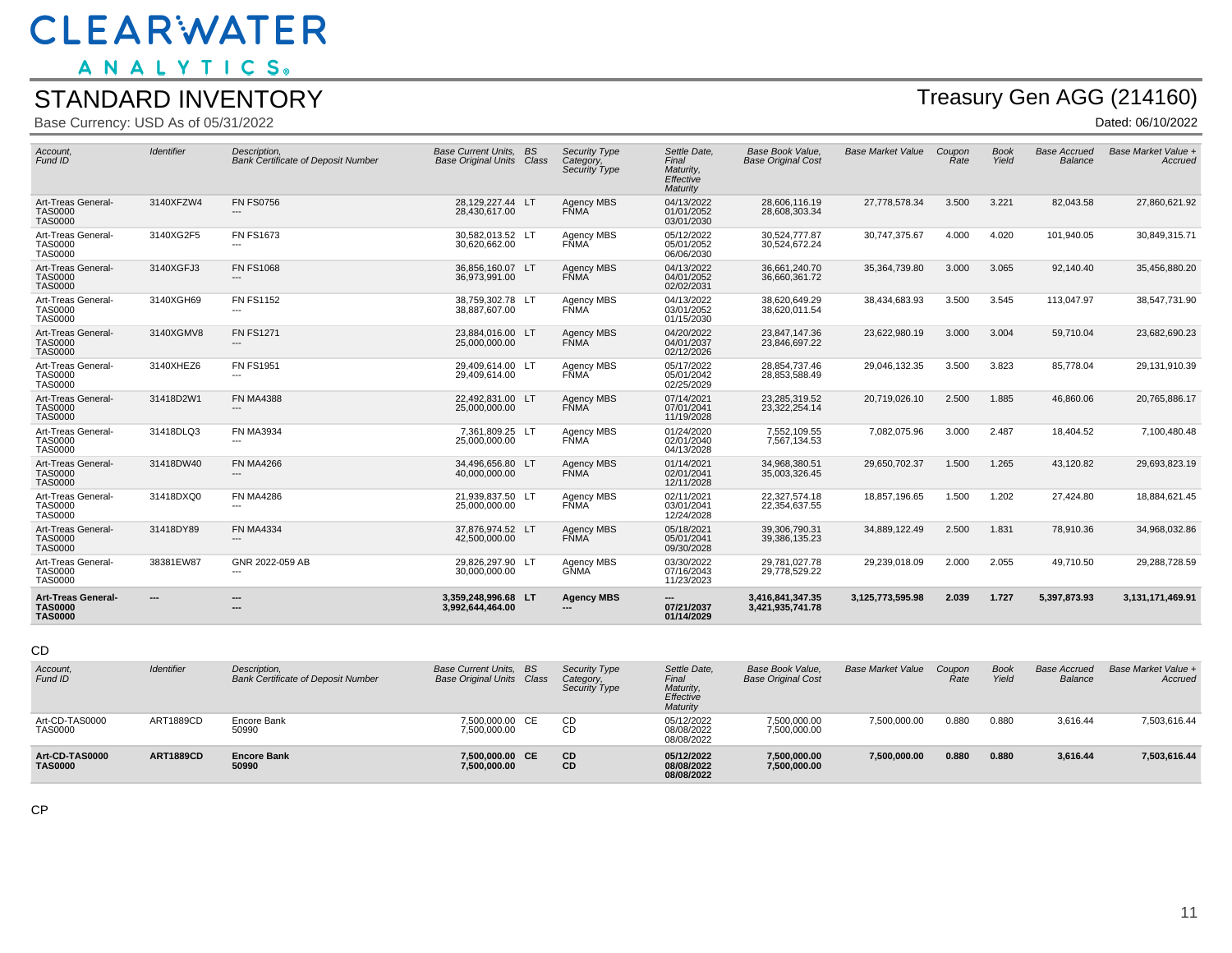ANALYTICS.

#### STANDARD INVENTORY

Base Currency: USD As of 05/31/2022

## Treasury Gen AGG (214160)

Dated: 06/10/2022

| Art-Treas General-<br>TAS0000<br><b>TAS0000</b> | ---        | ---<br>---                                                | 3,359,248,996.68 LT<br>3,992,644,464.00                    | <b>Agency MBS</b><br>$\overline{\phantom{a}}$ | 07/21/2037<br>01/14/2029                                    | 3,416,841,347.35<br>3,421,935,741.78          | 3,125,773,595.98         | 2.039                 | 1.727                | 5,397,873.93                   | 3,131,171,469.91               |
|-------------------------------------------------|------------|-----------------------------------------------------------|------------------------------------------------------------|-----------------------------------------------|-------------------------------------------------------------|-----------------------------------------------|--------------------------|-----------------------|----------------------|--------------------------------|--------------------------------|
| Art-Treas General-<br>TAS0000<br>TAS0000        | 38381EW87  | GNR 2022-059 AB<br>$\overline{\phantom{a}}$               | 29,826,297.90 LT<br>30,000,000.00                          | Agency MBS<br><b>GŇMA</b>                     | 03/30/2022<br>07/16/2043<br>11/23/2023                      | 29,781,027.78<br>29,778,529.22                | 29,239,018.09            | 2.000                 | 2.055                | 49,710.50                      | 29,288,728.59                  |
| Art-Treas General-<br>TAS0000<br>TAS0000        | 31418DY89  | <b>FN MA4334</b><br>$---$                                 | 37,876,974.52 LT<br>42,500,000.00                          | Agency MBS<br><b>FNMA</b>                     | 05/18/2021<br>05/01/2041<br>09/30/2028                      | 39,306,790.31<br>39,386,135.23                | 34,889,122.49            | 2.500                 | 1.831                | 78,910.36                      | 34,968,032.86                  |
| Art-Treas General-<br>TAS0000<br>TAS0000        | 31418DXQ0  | <b>FN MA4286</b><br>$---$                                 | 21,939,837.50 LT<br>25,000,000,00                          | Agency MBS<br><b>FŇMA</b>                     | 02/11/2021<br>03/01/2041<br>12/24/2028                      | 22,327,574.18<br>22,354,637.55                | 18,857,196.65            | 1.500                 | 1.202                | 27,424.80                      | 18,884,621.45                  |
| Art-Treas General-<br>TAS0000<br>TAS0000        | 31418DW40  | <b>FN MA4266</b><br>$---$                                 | 34,496,656.80 LT<br>40,000,000.00                          | Agency MBS<br><b>FNMA</b>                     | 01/14/2021<br>02/01/2041<br>12/11/2028                      | 34,968,380.51<br>35,003,326.45                | 29,650,702.37            | 1.500                 | 1.265                | 43,120.82                      | 29,693,823.19                  |
| Art-Treas General-<br>TAS0000<br>TAS0000        | 31418DLQ3  | <b>FN MA3934</b><br>---                                   | 7,361,809.25 LT<br>25,000,000.00                           | Agency MBS<br><b>FNMA</b>                     | 01/24/2020<br>02/01/2040<br>04/13/2028                      | 7,552,109.55<br>7,567,134.53                  | 7,082,075.96             | 3.000                 | 2.487                | 18,404.52                      | 7,100,480.48                   |
| Art-Treas General-<br>TAS0000<br>TAS0000        | 31418D2W1  | <b>FN MA4388</b><br>---                                   | 22,492,831.00 LT<br>25,000,000.00                          | <b>Agency MBS</b><br><b>FNMA</b>              | 07/14/2021<br>07/01/2041<br>11/19/2028                      | 23,285,319.52<br>23,322,254.14                | 20,719,026.10            | 2.500                 | 1.885                | 46,860.06                      | 20,765,886.17                  |
| Art-Treas General-<br>TAS0000<br>TAS0000        | 3140XHEZ6  | <b>FN FS1951</b><br>---                                   | 29,409,614.00 LT<br>29,409,614.00                          | Agency MBS<br><b>FNMA</b>                     | 05/17/2022<br>05/01/2042<br>02/25/2029                      | 28,854,737.46<br>28,853,588.49                | 29,046,132.35            | 3.500                 | 3.823                | 85,778.04                      | 29,131,910.39                  |
| Art-Treas General-<br>TAS0000<br>TAS0000        | 3140XGMV8  | <b>FN FS1271</b><br>$---$                                 | 23,884,016.00 LT<br>25,000,000.00                          | <b>Agency MBS</b><br><b>FŇMA</b>              | 04/20/2022<br>04/01/2037<br>02/12/2026                      | 23,847,147.36<br>23,846,697.22                | 23,622,980.19            | 3.000                 | 3.004                | 59,710.04                      | 23,682,690.23                  |
| Art-Treas General-<br>TAS0000<br>TAS0000        | 3140XGH69  | <b>FN FS1152</b>                                          | 38,759,302.78 LT<br>38,887,607.00                          | Agency MBS<br>FNMA                            | 04/13/2022<br>03/01/2052<br>01/15/2030                      | 38,620,649.29<br>38,620,011.54                | 38,434,683.93            | 3.500                 | 3.545                | 113,047.97                     | 38,547,731.90                  |
| Art-Treas General-<br>TAS0000<br>TAS0000        | 3140XGFJ3  | <b>FN FS1068</b>                                          | 36,856,160.07 LT<br>36,973,991.00                          | Agency MBS<br><b>FNMA</b>                     | 04/13/2022<br>04/01/2052<br>02/02/2031                      | 36,661,240.70<br>36,660,361.72                | 35,364,739.80            | 3.000                 | 3.065                | 92,140.40                      | 35,456,880.20                  |
| Art-Treas General-<br>TAS0000<br>TAS0000        | 3140XG2F5  | <b>FN FS1673</b><br>$---$                                 | 30,582,013.52 LT<br>30,620,662.00                          | Agency MBS<br><b>FŇMA</b>                     | 05/12/2022<br>05/01/2052<br>06/06/2030                      | 30,524,777.87<br>30,524,672.24                | 30,747,375.67            | 4.000                 | 4.020                | 101,940.05                     | 30,849,315.71                  |
| Art-Treas General-<br>TAS0000<br>TAS0000        | 3140XFZW4  | <b>FN FS0756</b><br>---                                   | 28,129,227.44 LT<br>28,430,617.00                          | Agency MBS<br><b>FŇMA</b>                     | 04/13/2022<br>01/01/2052<br>03/01/2030                      | 28,606,116.19<br>28,608,303.34                | 27,778,578.34            | 3.500                 | 3.221                | 82,043.58                      | 27,860,621.92                  |
| Account,<br>Fund ID                             | Identifier | Description,<br><b>Bank Certificate of Deposit Number</b> | Base Current Units. BS<br><b>Base Original Units Class</b> | Security Type<br>Category,<br>Security Type   | Settle Date.<br>Final<br>Maturity,<br>Effective<br>Maturity | Base Book Value,<br><b>Base Original Cost</b> | <b>Base Market Value</b> | Coupon<br><b>Rate</b> | <b>Book</b><br>Yield | <b>Base Accrued</b><br>Balance | Base Market Value +<br>Accruea |
|                                                 |            |                                                           |                                                            |                                               |                                                             |                                               |                          |                       |                      |                                |                                |

CD

| Account,<br>Fund ID              | <b>Identifier</b> | Description.<br><b>Bank Certificate of Deposit Number</b> | Base Current Units. BS<br><b>Base Original Units Class</b> | <b>Security Type</b><br>Category,<br>Security Type | Settle Date,<br>Final<br>Maturity,<br>Effective<br>Maturity | Base Book Value.<br><b>Base Original Cost</b> | <b>Base Market Value</b> | Coupon<br>Rate | <b>Book</b><br>Yield | <b>Base Accrued</b><br><b>Balance</b> | Base Market Value +<br>Accrued |
|----------------------------------|-------------------|-----------------------------------------------------------|------------------------------------------------------------|----------------------------------------------------|-------------------------------------------------------------|-----------------------------------------------|--------------------------|----------------|----------------------|---------------------------------------|--------------------------------|
| Art-CD-TAS0000<br><b>TAS0000</b> | ART1889CD         | Encore Bank<br>50990                                      | 7.500.000.00 CE<br>7,500,000.00                            | CD<br>CD                                           | 05/12/2022<br>08/08/2022<br>08/08/2022                      | 7,500,000.00<br>7,500,000.00                  | 7.500.000.00             | 0.880          | 0.880                | 3,616.44                              | 7,503,616.44                   |
| Art-CD-TAS0000<br><b>TAS0000</b> | <b>ART1889CD</b>  | <b>Encore Bank</b><br>50990                               | 7.500.000.00 CE<br>7,500,000.00                            | <b>CD</b><br>CD                                    | 05/12/2022<br>08/08/2022<br>08/08/2022                      | 7,500,000.00<br>7,500,000.00                  | 7,500,000.00             | 0.880          | 0.880                | 3,616.44                              | 7,503,616.44                   |

CP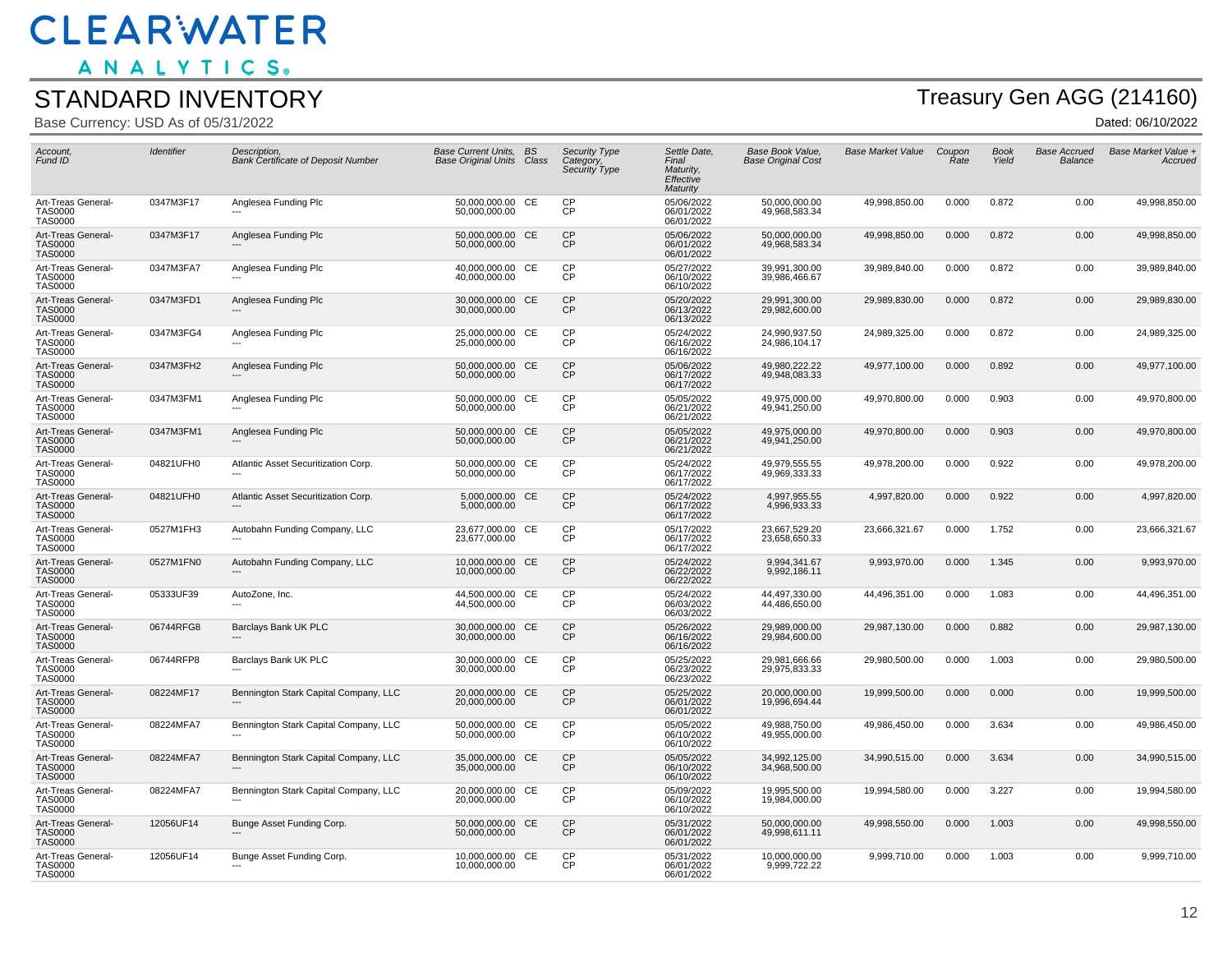ANALYTICS.

#### STANDARD INVENTORY

Base Currency: USD As of 05/31/2022

# Treasury Gen AGG (214160)

| Account,<br>Fund ID                                    | Identifier | Description,<br><b>Bank Certificate of Deposit Number</b> | Base Current Units, BS<br><b>Base Original Units</b> | Class     | <b>Security Type</b><br>Category,<br>Security Type | Settle Date,<br>Final<br>Maturity,<br>Effective<br>Maturity | Base Book Value,<br><b>Base Original Cost</b> | <b>Base Market Value</b> | Coupon<br>Rate | <b>Book</b><br>Yield | <b>Base Accrued</b><br>Balance | Base Market Value +<br>Accrued |
|--------------------------------------------------------|------------|-----------------------------------------------------------|------------------------------------------------------|-----------|----------------------------------------------------|-------------------------------------------------------------|-----------------------------------------------|--------------------------|----------------|----------------------|--------------------------------|--------------------------------|
| Art-Treas General-<br><b>TAS0000</b><br><b>TAS0000</b> | 0347M3F17  | Anglesea Funding Plc                                      | 50,000,000.00 CE<br>50,000,000.00                    |           | <b>CP</b><br>CP                                    | 05/06/2022<br>06/01/2022<br>06/01/2022                      | 50,000,000.00<br>49,968,583.34                | 49,998,850.00            | 0.000          | 0.872                | 0.00                           | 49,998,850.00                  |
| Art-Treas General-<br><b>TAS0000</b><br><b>TAS0000</b> | 0347M3F17  | Anglesea Funding Plc                                      | 50,000,000.00 CE<br>50,000,000.00                    |           | <b>CP</b><br><b>CP</b>                             | 05/06/2022<br>06/01/2022<br>06/01/2022                      | 50,000,000.00<br>49,968,583.34                | 49,998,850.00            | 0.000          | 0.872                | 0.00                           | 49,998,850.00                  |
| Art-Treas General-<br><b>TAS0000</b><br><b>TAS0000</b> | 0347M3FA7  | Anglesea Funding Plc                                      | 40,000,000.00 CE<br>40,000,000.00                    |           | <b>CP</b><br>CP                                    | 05/27/2022<br>06/10/2022<br>06/10/2022                      | 39,991,300.00<br>39,986,466.67                | 39,989,840.00            | 0.000          | 0.872                | 0.00                           | 39,989,840.00                  |
| Art-Treas General-<br><b>TAS0000</b><br><b>TAS0000</b> | 0347M3FD1  | Anglesea Funding Plc                                      | 30,000,000.00 CE<br>30,000,000.00                    |           | <b>CP</b><br><b>CP</b>                             | 05/20/2022<br>06/13/2022<br>06/13/2022                      | 29,991,300.00<br>29,982,600.00                | 29,989,830.00            | 0.000          | 0.872                | 0.00                           | 29,989,830.00                  |
| Art-Treas General-<br><b>TAS0000</b><br><b>TAS0000</b> | 0347M3FG4  | Anglesea Funding Plc                                      | 25,000,000.00 CE<br>25,000,000.00                    |           | <b>CP</b><br>CP                                    | 05/24/2022<br>06/16/2022<br>06/16/2022                      | 24,990,937.50<br>24,986,104.17                | 24,989,325.00            | 0.000          | 0.872                | 0.00                           | 24,989,325.00                  |
| Art-Treas General-<br><b>TAS0000</b><br><b>TAS0000</b> | 0347M3FH2  | Anglesea Funding Plc                                      | 50,000,000.00<br>50,000,000.00                       | <b>CE</b> | <b>CP</b><br><b>CP</b>                             | 05/06/2022<br>06/17/2022<br>06/17/2022                      | 49,980,222.22<br>49,948,083.33                | 49,977,100.00            | 0.000          | 0.892                | 0.00                           | 49,977,100.00                  |
| Art-Treas General-<br>TAS0000<br>TAS0000               | 0347M3FM1  | Anglesea Funding Plc                                      | 50.000.000.00 CE<br>50,000,000.00                    |           | <b>CP</b><br>CP                                    | 05/05/2022<br>06/21/2022<br>06/21/2022                      | 49.975.000.00<br>49,941,250.00                | 49,970,800.00            | 0.000          | 0.903                | 0.00                           | 49,970,800.00                  |
| Art-Treas General-<br><b>TAS0000</b><br><b>TAS0000</b> | 0347M3FM1  | Anglesea Funding Plc                                      | 50,000,000.00 CE<br>50,000,000.00                    |           | <b>CP</b><br><b>CP</b>                             | 05/05/2022<br>06/21/2022<br>06/21/2022                      | 49,975,000.00<br>49,941,250.00                | 49,970,800.00            | 0.000          | 0.903                | 0.00                           | 49,970,800.00                  |
| Art-Treas General-<br><b>TAS0000</b><br><b>TAS0000</b> | 04821UFH0  | Atlantic Asset Securitization Corp.                       | 50,000,000.00 CE<br>50,000,000.00                    |           | CP<br>CP                                           | 05/24/2022<br>06/17/2022<br>06/17/2022                      | 49,979,555.55<br>49,969,333.33                | 49,978,200.00            | 0.000          | 0.922                | 0.00                           | 49,978,200.00                  |
| Art-Treas General-<br><b>TAS0000</b><br><b>TAS0000</b> | 04821UFH0  | Atlantic Asset Securitization Corp.                       | 5,000,000.00 CE<br>5,000,000.00                      |           | CP<br><b>CP</b>                                    | 05/24/2022<br>06/17/2022<br>06/17/2022                      | 4,997,955.55<br>4,996,933.33                  | 4,997,820.00             | 0.000          | 0.922                | 0.00                           | 4,997,820.00                   |
| Art-Treas General-<br><b>TAS0000</b><br><b>TAS0000</b> | 0527M1FH3  | Autobahn Funding Company, LLC                             | 23.677.000.00 CE<br>23,677,000.00                    |           | <b>CP</b><br><b>CP</b>                             | 05/17/2022<br>06/17/2022<br>06/17/2022                      | 23.667.529.20<br>23,658,650.33                | 23,666,321.67            | 0.000          | 1.752                | 0.00                           | 23,666,321.67                  |
| Art-Treas General-<br><b>TAS0000</b><br><b>TAS0000</b> | 0527M1FN0  | Autobahn Funding Company, LLC                             | 10.000.000.00 CE<br>10,000,000.00                    |           | <b>CP</b><br><b>CP</b>                             | 05/24/2022<br>06/22/2022<br>06/22/2022                      | 9.994.341.67<br>9,992,186.11                  | 9,993,970.00             | 0.000          | 1.345                | 0.00                           | 9,993,970.00                   |
| Art-Treas General-<br><b>TAS0000</b><br><b>TAS0000</b> | 05333UF39  | AutoZone, Inc.                                            | 44,500,000.00 CE<br>44,500,000.00                    |           | <b>CP</b><br>CP                                    | 05/24/2022<br>06/03/2022<br>06/03/2022                      | 44,497,330.00<br>44,486,650.00                | 44,496,351.00            | 0.000          | 1.083                | 0.00                           | 44,496,351.00                  |
| Art-Treas General-<br><b>TAS0000</b><br><b>TAS0000</b> | 06744RFG8  | Barclays Bank UK PLC                                      | 30,000,000.00 CE<br>30,000,000.00                    |           | <b>CP</b><br>ČР                                    | 05/26/2022<br>06/16/2022<br>06/16/2022                      | 29,989,000.00<br>29,984,600.00                | 29,987,130.00            | 0.000          | 0.882                | 0.00                           | 29,987,130.00                  |
| Art-Treas General-<br><b>TAS0000</b><br><b>TAS0000</b> | 06744RFP8  | Barclays Bank UK PLC                                      | 30.000.000.00 CE<br>30,000,000.00                    |           | <b>CP</b><br>ĊР                                    | 05/25/2022<br>06/23/2022<br>06/23/2022                      | 29.981.666.66<br>29,975,833.33                | 29,980,500.00            | 0.000          | 1.003                | 0.00                           | 29,980,500.00                  |
| Art-Treas General-<br>TAS0000<br><b>TAS0000</b>        | 08224MF17  | Bennington Stark Capital Company, LLC<br>$---$            | 20,000,000.00 CE<br>20,000,000.00                    |           | CP<br><b>CP</b>                                    | 05/25/2022<br>06/01/2022<br>06/01/2022                      | 20.000.000.00<br>19,996,694.44                | 19,999,500.00            | 0.000          | 0.000                | 0.00                           | 19,999,500.00                  |
| Art-Treas General-<br><b>TAS0000</b><br>TAS0000        | 08224MFA7  | Bennington Stark Capital Company, LLC                     | 50,000,000.00 CE<br>50,000,000.00                    |           | CP<br><b>CP</b>                                    | 05/05/2022<br>06/10/2022<br>06/10/2022                      | 49,988,750.00<br>49,955,000.00                | 49,986,450.00            | 0.000          | 3.634                | 0.00                           | 49,986,450.00                  |
| Art-Treas General-<br><b>TAS0000</b><br><b>TAS0000</b> | 08224MFA7  | Bennington Stark Capital Company, LLC                     | 35,000,000.00 CE<br>35,000,000.00                    |           | CP<br>CP                                           | 05/05/2022<br>06/10/2022<br>06/10/2022                      | 34,992,125.00<br>34,968,500.00                | 34,990,515.00            | 0.000          | 3.634                | 0.00                           | 34,990,515.00                  |
| Art-Treas General-<br><b>TAS0000</b><br><b>TAS0000</b> | 08224MFA7  | Bennington Stark Capital Company, LLC                     | 20,000,000.00 CE<br>20,000,000.00                    |           | <b>CP</b><br><b>CP</b>                             | 05/09/2022<br>06/10/2022<br>06/10/2022                      | 19,995,500.00<br>19,984,000.00                | 19,994,580.00            | 0.000          | 3.227                | 0.00                           | 19,994,580.00                  |
| Art-Treas General-<br><b>TAS0000</b><br><b>TAS0000</b> | 12056UF14  | Bunge Asset Funding Corp.                                 | 50,000,000.00 CE<br>50.000.000.00                    |           | <b>CP</b><br><b>CP</b>                             | 05/31/2022<br>06/01/2022<br>06/01/2022                      | 50,000,000.00<br>49.998.611.11                | 49,998,550.00            | 0.000          | 1.003                | 0.00                           | 49,998,550.00                  |
| Art-Treas General-<br><b>TAS0000</b><br><b>TAS0000</b> | 12056UF14  | Bunge Asset Funding Corp.                                 | 10,000,000.00 CE<br>10,000,000.00                    |           | <b>CP</b><br>CP                                    | 05/31/2022<br>06/01/2022<br>06/01/2022                      | 10,000,000.00<br>9,999,722.22                 | 9,999,710.00             | 0.000          | 1.003                | 0.00                           | 9,999,710.00                   |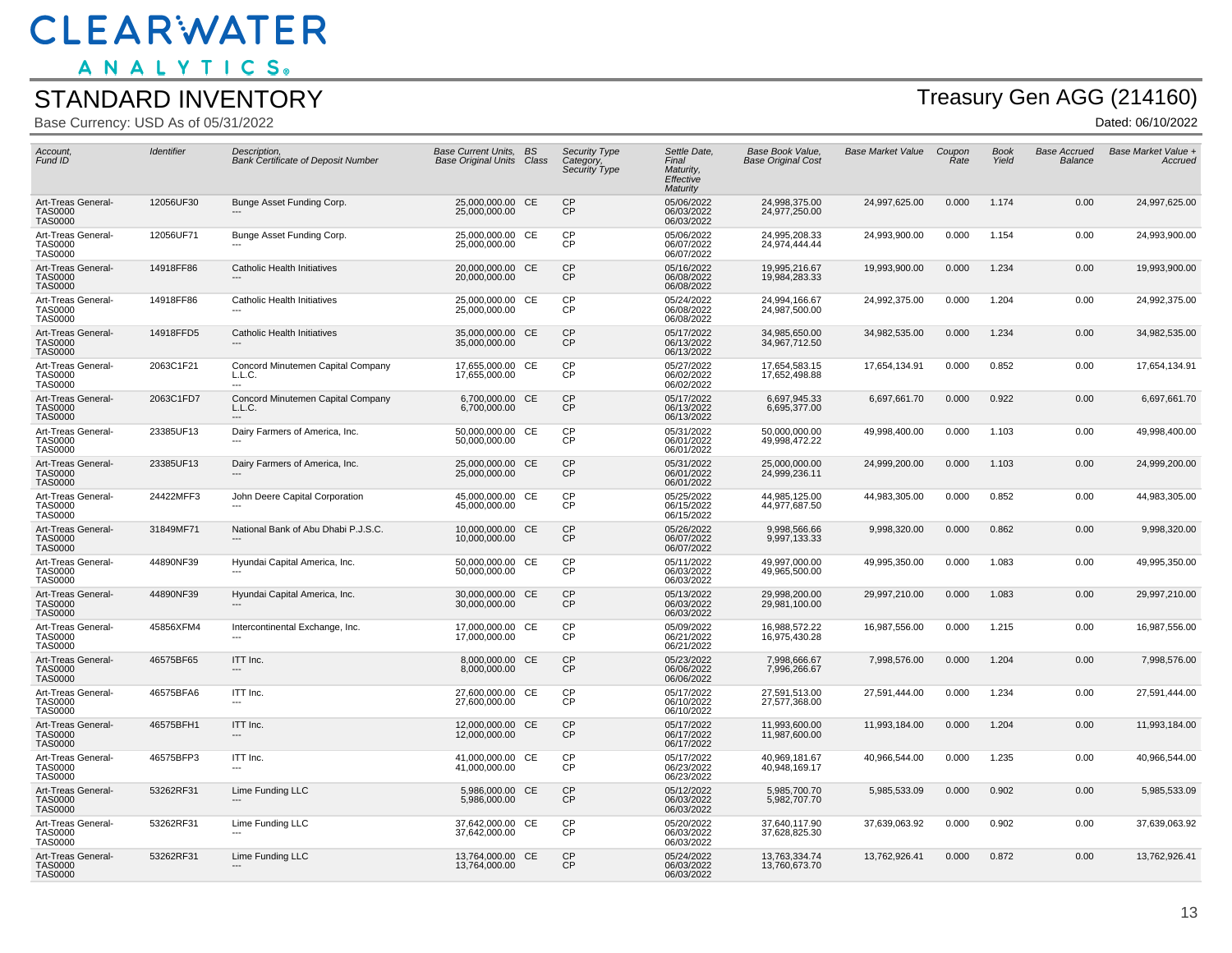ANALYTICS.

#### STANDARD INVENTORY

Base Currency: USD As of 05/31/2022

# Treasury Gen AGG (214160)

| Account,<br>Fund ID                                    | Identifier | Description.<br><b>Bank Certificate of Deposit Number</b>      | Base Current Units. BS<br><b>Base Original Units Class</b> |           | Security Type<br>Category.<br>Security Type | Settle Date.<br>Final<br>Maturity.<br>Effective<br>Maturity | Base Book Value.<br><b>Base Original Cost</b> | <b>Base Market Value</b> | Coupon<br>Rate | <b>Book</b><br>Yield | <b>Base Accrued</b><br>Balance | Base Market Value +<br>Accruea |
|--------------------------------------------------------|------------|----------------------------------------------------------------|------------------------------------------------------------|-----------|---------------------------------------------|-------------------------------------------------------------|-----------------------------------------------|--------------------------|----------------|----------------------|--------------------------------|--------------------------------|
| Art-Treas General-<br><b>TAS0000</b><br><b>TAS0000</b> | 12056UF30  | Bunge Asset Funding Corp.                                      | 25,000,000.00 CE<br>25,000,000.00                          |           | CP<br>СP                                    | 05/06/2022<br>06/03/2022<br>06/03/2022                      | 24,998,375.00<br>24,977,250.00                | 24,997,625.00            | 0.000          | 1.174                | 0.00                           | 24,997,625.00                  |
| Art-Treas General-<br><b>TAS0000</b><br><b>TAS0000</b> | 12056UF71  | Bunge Asset Funding Corp.                                      | 25,000,000.00 CE<br>25,000,000.00                          |           | <b>CP</b><br>ČР                             | 05/06/2022<br>06/07/2022<br>06/07/2022                      | 24.995.208.33<br>24,974,444.44                | 24,993,900.00            | 0.000          | 1.154                | 0.00                           | 24,993,900.00                  |
| Art-Treas General-<br><b>TAS0000</b><br><b>TAS0000</b> | 14918FF86  | <b>Catholic Health Initiatives</b><br>$\hspace{0.05cm} \cdots$ | 20,000,000.00<br>20,000,000.00                             | <b>CE</b> | CP<br>CP                                    | 05/16/2022<br>06/08/2022<br>06/08/2022                      | 19,995,216.67<br>19,984,283.33                | 19,993,900.00            | 0.000          | 1.234                | 0.00                           | 19,993,900.00                  |
| Art-Treas General-<br><b>TAS0000</b><br><b>TAS0000</b> | 14918FF86  | Catholic Health Initiatives                                    | 25,000,000.00 CE<br>25,000,000.00                          |           | CP<br><b>CP</b>                             | 05/24/2022<br>06/08/2022<br>06/08/2022                      | 24,994,166.67<br>24,987,500.00                | 24,992,375.00            | 0.000          | 1.204                | 0.00                           | 24,992,375.00                  |
| Art-Treas General-<br><b>TAS0000</b><br><b>TAS0000</b> | 14918FFD5  | Catholic Health Initiatives                                    | 35,000,000.00 CE<br>35,000,000.00                          |           | <b>CP</b><br>CP                             | 05/17/2022<br>06/13/2022<br>06/13/2022                      | 34,985,650.00<br>34,967,712.50                | 34,982,535.00            | 0.000          | 1.234                | 0.00                           | 34,982,535.00                  |
| Art-Treas General-<br><b>TAS0000</b><br><b>TAS0000</b> | 2063C1F21  | Concord Minutemen Capital Company<br>L.L.C.<br>$---$           | 17,655,000.00<br>17,655,000.00                             | CE        | <b>CP</b><br>CP                             | 05/27/2022<br>06/02/2022<br>06/02/2022                      | 17,654,583.15<br>17,652,498.88                | 17,654,134.91            | 0.000          | 0.852                | 0.00                           | 17,654,134.91                  |
| Art-Treas General-<br><b>TAS0000</b><br><b>TAS0000</b> | 2063C1FD7  | Concord Minutemen Capital Company<br>L.L.C.                    | 6,700,000.00 CE<br>6,700,000.00                            |           | <b>CP</b><br>ČР                             | 05/17/2022<br>06/13/2022<br>06/13/2022                      | 6,697,945.33<br>6,695,377.00                  | 6,697,661.70             | 0.000          | 0.922                | 0.00                           | 6,697,661.70                   |
| Art-Treas General-<br><b>TAS0000</b><br><b>TAS0000</b> | 23385UF13  | Dairy Farmers of America, Inc.                                 | 50,000,000.00 CE<br>50,000,000.00                          |           | CP<br><b>CP</b>                             | 05/31/2022<br>06/01/2022<br>06/01/2022                      | 50,000,000.00<br>49,998,472.22                | 49,998,400.00            | 0.000          | 1.103                | 0.00                           | 49,998,400.00                  |
| Art-Treas General-<br><b>TAS0000</b><br><b>TAS0000</b> | 23385UF13  | Dairy Farmers of America, Inc.                                 | 25,000,000.00 CE<br>25,000,000.00                          |           | CP<br>CP                                    | 05/31/2022<br>06/01/2022<br>06/01/2022                      | 25,000,000.00<br>24,999,236.11                | 24,999,200.00            | 0.000          | 1.103                | 0.00                           | 24,999,200.00                  |
| Art-Treas General-<br><b>TAS0000</b><br><b>TAS0000</b> | 24422MFF3  | John Deere Capital Corporation                                 | 45,000,000.00 CE<br>45,000,000.00                          |           | <b>CP</b><br>ĊР                             | 05/25/2022<br>06/15/2022<br>06/15/2022                      | 44,985,125.00<br>44,977,687.50                | 44,983,305.00            | 0.000          | 0.852                | 0.00                           | 44,983,305.00                  |
| Art-Treas General-<br><b>TAS0000</b><br><b>TAS0000</b> | 31849MF71  | National Bank of Abu Dhabi P.J.S.C.                            | 10,000,000.00 CE<br>10,000,000.00                          |           | <b>CP</b><br><b>CP</b>                      | 05/26/2022<br>06/07/2022<br>06/07/2022                      | 9.998.566.66<br>9,997,133.33                  | 9,998,320.00             | 0.000          | 0.862                | 0.00                           | 9,998,320.00                   |
| Art-Treas General-<br><b>TAS0000</b><br><b>TAS0000</b> | 44890NF39  | Hyundai Capital America, Inc.                                  | 50.000.000.00 CE<br>50,000,000.00                          |           | <b>CP</b><br><b>CP</b>                      | 05/11/2022<br>06/03/2022<br>06/03/2022                      | 49.997.000.00<br>49,965,500.00                | 49,995,350.00            | 0.000          | 1.083                | 0.00                           | 49,995,350.00                  |
| Art-Treas General-<br><b>TAS0000</b><br><b>TAS0000</b> | 44890NF39  | Hyundai Capital America, Inc.                                  | 30,000,000.00 CE<br>30,000,000.00                          |           | CP<br>CP                                    | 05/13/2022<br>06/03/2022<br>06/03/2022                      | 29,998,200.00<br>29,981,100.00                | 29,997,210.00            | 0.000          | 1.083                | 0.00                           | 29,997,210.00                  |
| Art-Treas General-<br><b>TAS0000</b><br><b>TAS0000</b> | 45856XFM4  | Intercontinental Exchange, Inc.                                | 17,000,000.00 CE<br>17,000,000.00                          |           | CP<br>CP                                    | 05/09/2022<br>06/21/2022<br>06/21/2022                      | 16,988,572.22<br>16,975,430.28                | 16,987,556.00            | 0.000          | 1.215                | 0.00                           | 16,987,556.00                  |
| Art-Treas General-<br><b>TAS0000</b><br><b>TAS0000</b> | 46575BF65  | ITT Inc.                                                       | 8,000,000.00 CE<br>8,000,000.00                            |           | CP<br>ČР                                    | 05/23/2022<br>06/06/2022<br>06/06/2022                      | 7,998,666.67<br>7,996,266.67                  | 7,998,576.00             | 0.000          | 1.204                | 0.00                           | 7,998,576.00                   |
| Art-Treas General-<br><b>TAS0000</b><br><b>TAS0000</b> | 46575BFA6  | ITT Inc.<br>---                                                | 27,600,000.00 CE<br>27,600,000.00                          |           | CP<br>CP                                    | 05/17/2022<br>06/10/2022<br>06/10/2022                      | 27,591,513.00<br>27,577,368.00                | 27,591,444.00            | 0.000          | 1.234                | 0.00                           | 27,591,444.00                  |
| Art-Treas General-<br><b>TAS0000</b><br><b>TAS0000</b> | 46575BFH1  | ITT Inc.                                                       | 12,000,000.00 CE<br>12,000,000.00                          |           | CP<br><b>CP</b>                             | 05/17/2022<br>06/17/2022<br>06/17/2022                      | 11,993,600.00<br>11,987,600.00                | 11,993,184.00            | 0.000          | 1.204                | 0.00                           | 11,993,184.00                  |
| Art-Treas General-<br><b>TAS0000</b><br><b>TAS0000</b> | 46575BFP3  | ITT Inc.<br>$---$                                              | 41,000,000.00 CE<br>41,000,000.00                          |           | CP<br><b>CP</b>                             | 05/17/2022<br>06/23/2022<br>06/23/2022                      | 40,969,181.67<br>40,948,169.17                | 40,966,544.00            | 0.000          | 1.235                | 0.00                           | 40,966,544.00                  |
| Art-Treas General-<br><b>TAS0000</b><br><b>TAS0000</b> | 53262RF31  | Lime Funding LLC                                               | 5,986,000.00 CE<br>5,986,000.00                            |           | <b>CP</b><br>ČР                             | 05/12/2022<br>06/03/2022<br>06/03/2022                      | 5,985,700.70<br>5,982,707.70                  | 5,985,533.09             | 0.000          | 0.902                | 0.00                           | 5,985,533.09                   |
| Art-Treas General-<br>TAS0000<br><b>TAS0000</b>        | 53262RF31  | Lime Funding LLC                                               | 37.642.000.00 CE<br>37,642,000.00                          |           | СP<br>ĊР                                    | 05/20/2022<br>06/03/2022<br>06/03/2022                      | 37.640.117.90<br>37,628,825.30                | 37,639,063.92            | 0.000          | 0.902                | 0.00                           | 37,639,063.92                  |
| Art-Treas General-<br><b>TAS0000</b><br><b>TAS0000</b> | 53262RF31  | Lime Funding LLC                                               | 13,764,000.00 CE<br>13,764,000.00                          |           | CP<br><b>CP</b>                             | 05/24/2022<br>06/03/2022<br>06/03/2022                      | 13,763,334.74<br>13,760,673.70                | 13,762,926.41            | 0.000          | 0.872                | 0.00                           | 13,762,926.41                  |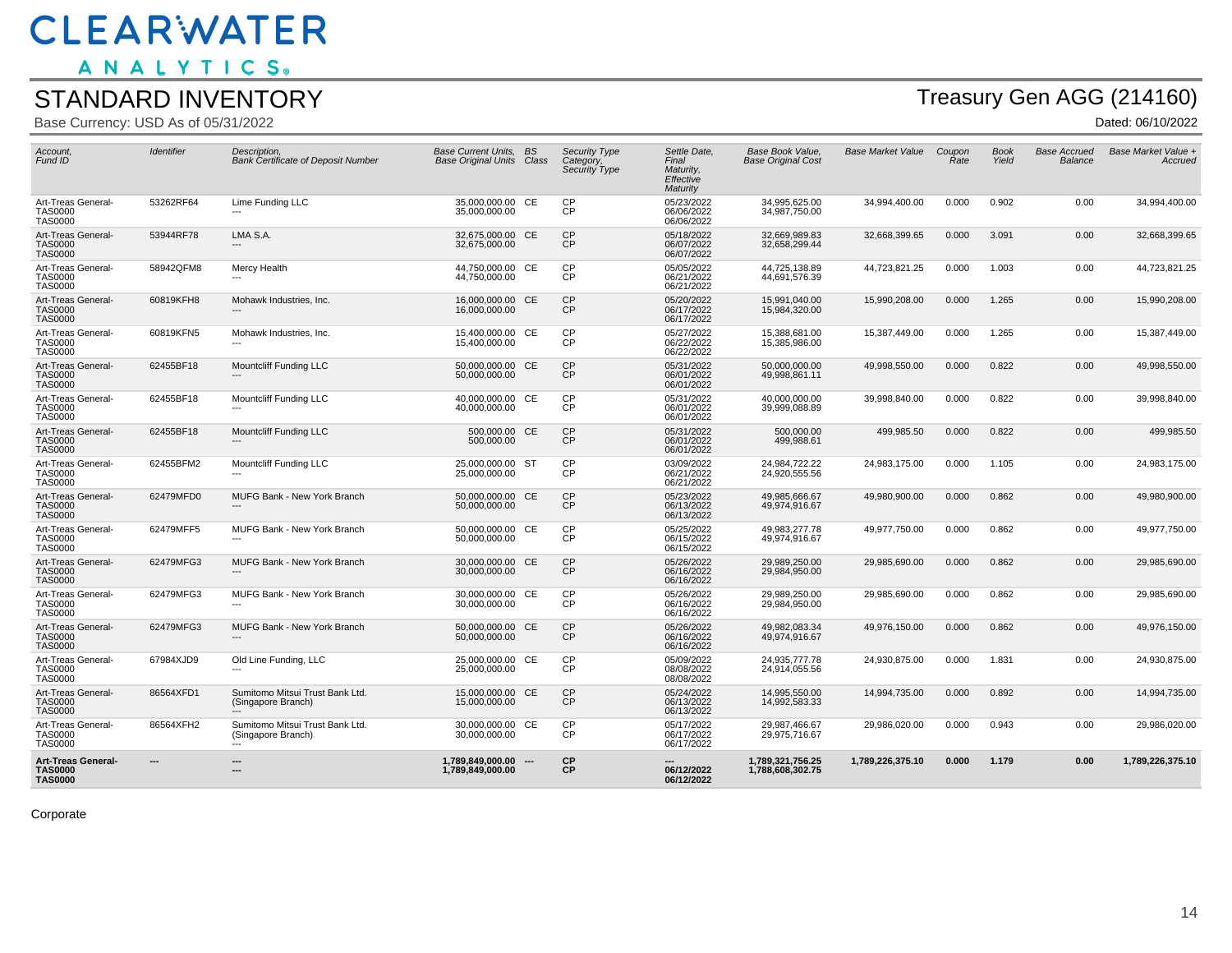ANALYTICS.

#### STANDARD INVENTORY

Base Currency: USD As of 05/31/2022

## Treasury Gen AGG (214160)

Dated: 06/10/2022

| Account.<br>Fund ID                                           | <b>Identifier</b> | Description.<br><b>Bank Certificate of Deposit Number</b>      | Base Current Units. BS<br><b>Base Original Units Class</b> |     | <b>Security Type</b><br>Category,<br>Security Type | Settle Date.<br>Final<br>Maturity,<br>Effective<br>Maturity | Base Book Value,<br><b>Base Original Cost</b> | <b>Base Market Value</b> | Coupon<br>Rate | <b>Book</b><br>Yield | Base Accrued<br>Balance | Base Market Value +<br>Accruea |
|---------------------------------------------------------------|-------------------|----------------------------------------------------------------|------------------------------------------------------------|-----|----------------------------------------------------|-------------------------------------------------------------|-----------------------------------------------|--------------------------|----------------|----------------------|-------------------------|--------------------------------|
| Art-Treas General-<br><b>TAS0000</b><br><b>TAS0000</b>        | 53262RF64         | Lime Funding LLC                                               | 35,000,000.00 CE<br>35,000,000.00                          |     | <b>CP</b><br><b>CP</b>                             | 05/23/2022<br>06/06/2022<br>06/06/2022                      | 34,995,625.00<br>34,987,750.00                | 34,994,400.00            | 0.000          | 0.902                | 0.00                    | 34,994,400.00                  |
| Art-Treas General-<br><b>TAS0000</b><br><b>TAS0000</b>        | 53944RF78         | LMA S.A.<br>---                                                | 32,675,000.00 CE<br>32,675,000.00                          |     | <b>CP</b><br>СP                                    | 05/18/2022<br>06/07/2022<br>06/07/2022                      | 32,669,989.83<br>32.658.299.44                | 32,668,399.65            | 0.000          | 3.091                | 0.00                    | 32,668,399.65                  |
| Art-Treas General-<br><b>TAS0000</b><br><b>TAS0000</b>        | 58942QFM8         | Mercy Health<br>---                                            | 44,750,000.00 CE<br>44,750,000.00                          |     | <b>CP</b><br><b>CP</b>                             | 05/05/2022<br>06/21/2022<br>06/21/2022                      | 44,725,138.89<br>44,691,576.39                | 44,723,821.25            | 0.000          | 1.003                | 0.00                    | 44,723,821.25                  |
| Art-Treas General-<br><b>TAS0000</b><br><b>TAS0000</b>        | 60819KFH8         | Mohawk Industries, Inc.                                        | 16,000,000.00 CE<br>16,000,000.00                          |     | <b>CP</b><br><b>CP</b>                             | 05/20/2022<br>06/17/2022<br>06/17/2022                      | 15.991.040.00<br>15,984,320.00                | 15,990,208.00            | 0.000          | 1.265                | 0.00                    | 15,990,208.00                  |
| Art-Treas General-<br><b>TAS0000</b><br><b>TAS0000</b>        | 60819KFN5         | Mohawk Industries, Inc.                                        | 15,400,000.00 CE<br>15,400,000.00                          |     | <b>CP</b><br><b>CP</b>                             | 05/27/2022<br>06/22/2022<br>06/22/2022                      | 15,388,681.00<br>15,385,986.00                | 15,387,449.00            | 0.000          | 1.265                | 0.00                    | 15,387,449.00                  |
| Art-Treas General-<br><b>TAS0000</b><br><b>TAS0000</b>        | 62455BF18         | Mountcliff Funding LLC                                         | 50,000,000.00 CE<br>50,000,000.00                          |     | CP<br><b>CP</b>                                    | 05/31/2022<br>06/01/2022<br>06/01/2022                      | 50,000,000.00<br>49,998,861.11                | 49.998.550.00            | 0.000          | 0.822                | 0.00                    | 49,998,550.00                  |
| Art-Treas General-<br><b>TAS0000</b><br><b>TAS0000</b>        | 62455BF18         | Mountcliff Funding LLC                                         | 40,000,000.00 CE<br>40,000,000.00                          |     | <b>CP</b><br><b>CP</b>                             | 05/31/2022<br>06/01/2022<br>06/01/2022                      | 40,000,000.00<br>39,999,088.89                | 39,998,840.00            | 0.000          | 0.822                | 0.00                    | 39,998,840.00                  |
| Art-Treas General-<br>TAS0000<br><b>TAS0000</b>               | 62455BF18         | Mountcliff Funding LLC                                         | 500,000.00 CE<br>500,000.00                                |     | <b>CP</b><br><b>CP</b>                             | 05/31/2022<br>06/01/2022<br>06/01/2022                      | 500,000.00<br>499,988.61                      | 499,985.50               | 0.000          | 0.822                | 0.00                    | 499,985.50                     |
| Art-Treas General-<br><b>TAS0000</b><br><b>TAS0000</b>        | 62455BFM2         | Mountcliff Funding LLC                                         | 25,000,000.00 ST<br>25.000.000.00                          |     | <b>CP</b><br><b>CP</b>                             | 03/09/2022<br>06/21/2022<br>06/21/2022                      | 24,984,722.22<br>24,920,555.56                | 24,983,175.00            | 0.000          | 1.105                | 0.00                    | 24,983,175.00                  |
| Art-Treas General-<br><b>TAS0000</b><br><b>TAS0000</b>        | 62479MFD0         | <b>MUFG Bank - New York Branch</b>                             | 50,000,000.00 CE<br>50,000,000.00                          |     | CP<br><b>CP</b>                                    | 05/23/2022<br>06/13/2022<br>06/13/2022                      | 49.985.666.67<br>49,974,916.67                | 49,980,900.00            | 0.000          | 0.862                | 0.00                    | 49,980,900.00                  |
| Art-Treas General-<br><b>TAS0000</b><br><b>TAS0000</b>        | 62479MFF5         | MUFG Bank - New York Branch<br>---                             | 50,000,000.00 CE<br>50,000,000.00                          |     | <b>CP</b><br><b>CP</b>                             | 05/25/2022<br>06/15/2022<br>06/15/2022                      | 49,983,277.78<br>49,974,916.67                | 49,977,750.00            | 0.000          | 0.862                | 0.00                    | 49,977,750.00                  |
| Art-Treas General-<br><b>TAS0000</b><br><b>TAS0000</b>        | 62479MFG3         | <b>MUFG Bank - New York Branch</b><br>$---$                    | 30,000,000.00 CE<br>30,000,000.00                          |     | CP<br><b>CP</b>                                    | 05/26/2022<br>06/16/2022<br>06/16/2022                      | 29,989,250.00<br>29,984,950.00                | 29,985,690.00            | 0.000          | 0.862                | 0.00                    | 29,985,690.00                  |
| Art-Treas General-<br><b>TAS0000</b><br><b>TAS0000</b>        | 62479MFG3         | MUFG Bank - New York Branch                                    | 30,000,000.00 CE<br>30,000,000.00                          |     | <b>CP</b><br><b>CP</b>                             | 05/26/2022<br>06/16/2022<br>06/16/2022                      | 29,989,250.00<br>29,984,950.00                | 29,985,690.00            | 0.000          | 0.862                | 0.00                    | 29,985,690.00                  |
| Art-Treas General-<br><b>TAS0000</b><br><b>TAS0000</b>        | 62479MFG3         | MUFG Bank - New York Branch                                    | 50,000,000.00 CE<br>50,000,000.00                          |     | CP<br>CP                                           | 05/26/2022<br>06/16/2022<br>06/16/2022                      | 49,982,083.34<br>49,974,916.67                | 49,976,150.00            | 0.000          | 0.862                | 0.00                    | 49,976,150.00                  |
| Art-Treas General-<br><b>TAS0000</b><br><b>TAS0000</b>        | 67984XJD9         | Old Line Funding, LLC                                          | 25,000,000.00 CE<br>25,000,000.00                          |     | <b>CP</b><br>CP                                    | 05/09/2022<br>08/08/2022<br>08/08/2022                      | 24,935,777.78<br>24,914,055.56                | 24,930,875.00            | 0.000          | 1.831                | 0.00                    | 24,930,875.00                  |
| Art-Treas General-<br><b>TAS0000</b><br><b>TAS0000</b>        | 86564XFD1         | Sumitomo Mitsui Trust Bank Ltd.<br>(Singapore Branch)          | 15,000,000.00 CE<br>15,000,000.00                          |     | <b>CP</b><br><b>CP</b>                             | 05/24/2022<br>06/13/2022<br>06/13/2022                      | 14,995,550.00<br>14,992,583.33                | 14,994,735.00            | 0.000          | 0.892                | 0.00                    | 14,994,735.00                  |
| Art-Treas General-<br><b>TAS0000</b><br><b>TAS0000</b>        | 86564XFH2         | Sumitomo Mitsui Trust Bank Ltd.<br>(Singapore Branch)<br>$---$ | 30.000.000.00 CE<br>30,000,000.00                          |     | <b>CP</b><br>CP                                    | 05/17/2022<br>06/17/2022<br>06/17/2022                      | 29.987.466.67<br>29,975,716.67                | 29,986,020.00            | 0.000          | 0.943                | 0.00                    | 29,986,020.00                  |
| <b>Art-Treas General-</b><br><b>TAS0000</b><br><b>TAS0000</b> |                   | ---<br>---                                                     | 1,789,849,000.00<br>1,789,849,000.00                       | --- | <b>CP</b><br><b>CP</b>                             | 06/12/2022<br>06/12/2022                                    | 1,789,321,756.25<br>1,788,608,302.75          | 1,789,226,375.10         | 0.000          | 1.179                | 0.00                    | 1,789,226,375.10               |

Corporate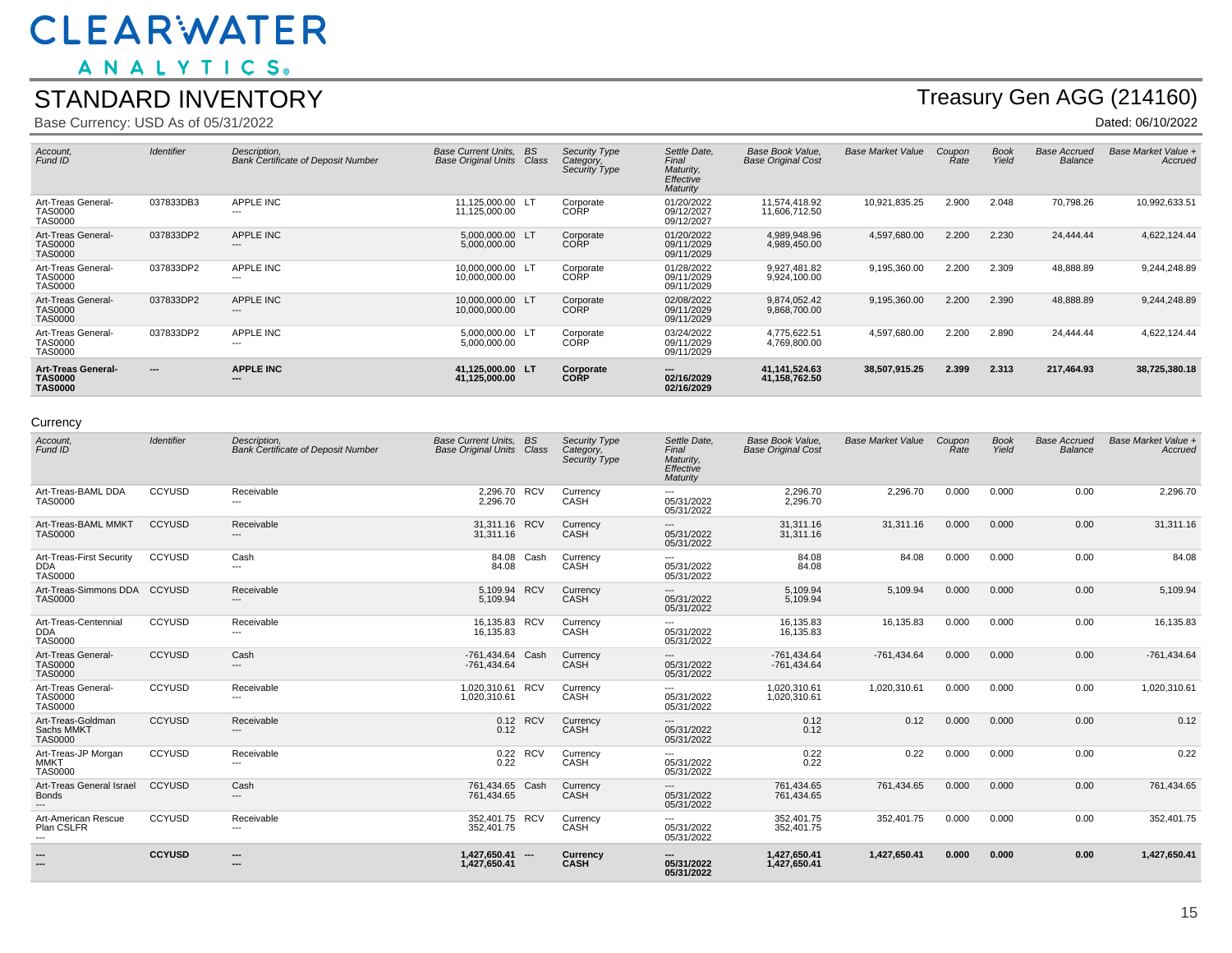ANALYTICS.

#### STANDARD INVENTORY

Base Currency: USD As of 05/31/2022

## Treasury Gen AGG (214160)

Dated: 06/10/2022

| Account,<br>Fund ID                                           | <b>Identifier</b> | Description.<br><b>Bank Certificate of Deposit Number</b> | Base Current Units, BS<br><b>Base Original Units Class</b> | Security Type<br>Category,<br>Security Type | Settle Date,<br>Final<br>Maturity,<br>Effective<br>Maturity | Base Book Value.<br><b>Base Original Cost</b> | <b>Base Market Value</b> | Coupon<br>Rate | <b>Book</b><br>Yield | <b>Base Accrued</b><br>Balance | Base Market Value +<br>Accrued |
|---------------------------------------------------------------|-------------------|-----------------------------------------------------------|------------------------------------------------------------|---------------------------------------------|-------------------------------------------------------------|-----------------------------------------------|--------------------------|----------------|----------------------|--------------------------------|--------------------------------|
| Art-Treas General-<br><b>TAS0000</b><br><b>TAS0000</b>        | 037833DB3         | <b>APPLE INC</b><br>---                                   | 11.125.000.00 LT<br>11,125,000.00                          | Corporate<br>CORP                           | 01/20/2022<br>09/12/2027<br>09/12/2027                      | 11.574.418.92<br>11,606,712.50                | 10,921,835.25            | 2.900          | 2.048                | 70,798.26                      | 10,992,633.51                  |
| Art-Treas General-<br><b>TAS0000</b><br><b>TAS0000</b>        | 037833DP2         | APPLE INC<br>---                                          | 5.000.000.00 LT<br>5,000,000.00                            | Corporate<br>CORP                           | 01/20/2022<br>09/11/2029<br>09/11/2029                      | 4,989,948.96<br>4,989,450.00                  | 4,597,680.00             | 2.200          | 2.230                | 24,444.44                      | 4,622,124.44                   |
| Art-Treas General-<br><b>TAS0000</b><br><b>TAS0000</b>        | 037833DP2         | APPLE INC<br>---                                          | 10.000.000.00 LT<br>10,000,000.00                          | Corporate<br>CORP                           | 01/28/2022<br>09/11/2029<br>09/11/2029                      | 9,927,481.82<br>9,924,100.00                  | 9,195,360.00             | 2.200          | 2.309                | 48,888.89                      | 9,244,248.89                   |
| Art-Treas General-<br><b>TAS0000</b><br><b>TAS0000</b>        | 037833DP2         | <b>APPLE INC</b><br>---                                   | 10.000.000.00 LT<br>10,000,000.00                          | Corporate<br>CORP                           | 02/08/2022<br>09/11/2029<br>09/11/2029                      | 9.874.052.42<br>9,868,700.00                  | 9,195,360.00             | 2.200          | 2.390                | 48,888.89                      | 9,244,248.89                   |
| Art-Treas General-<br><b>TAS0000</b><br>TAS0000               | 037833DP2         | APPLE INC<br>---                                          | 5.000.000.00 LT<br>5,000,000.00                            | Corporate<br>CORP                           | 03/24/2022<br>09/11/2029<br>09/11/2029                      | 4.775.622.51<br>4.769.800.00                  | 4,597,680.00             | 2.200          | 2.890                | 24,444.44                      | 4,622,124.44                   |
| <b>Art-Treas General-</b><br><b>TAS0000</b><br><b>TAS0000</b> | $\cdots$          | <b>APPLE INC</b><br>---                                   | 41.125.000.00 LT<br>41,125,000.00                          | Corporate<br><b>CORP</b>                    | ---<br>02/16/2029<br>02/16/2029                             | 41, 141, 524. 63<br>41,158,762.50             | 38,507,915.25            | 2.399          | 2.313                | 217,464.93                     | 38,725,380.18                  |

#### **Currency**

| Account,<br>Fund ID                                           | Identifier    | Description.<br><b>Bank Certificate of Deposit Number</b> | Base Current Units, BS<br><b>Base Original Units Class</b> | Security Type<br>Category,<br>Security Type | Settle Date,<br>Final<br>Maturity,<br>Effective<br>Maturity | Base Book Value,<br><b>Base Original Cost</b> | <b>Base Market Value</b> | Coupon<br>Rate | <b>Book</b><br>Yield | <b>Base Accrued</b><br>Balance | Base Market Value +<br>Accrued |
|---------------------------------------------------------------|---------------|-----------------------------------------------------------|------------------------------------------------------------|---------------------------------------------|-------------------------------------------------------------|-----------------------------------------------|--------------------------|----------------|----------------------|--------------------------------|--------------------------------|
| Art-Treas-BAML DDA<br><b>TAS0000</b>                          | CCYUSD        | Receivable<br>---                                         | 2,296.70 RCV<br>2.296.70                                   | Currency<br>CASH                            | 05/31/2022<br>05/31/2022                                    | 2,296.70<br>2,296.70                          | 2,296.70                 | 0.000          | 0.000                | 0.00                           | 2,296.70                       |
| Art-Treas-BAML MMKT<br><b>TAS0000</b>                         | <b>CCYUSD</b> | Receivable<br>---                                         | 31,311.16 RCV<br>31,311.16                                 | Currency<br>CASH                            | ---<br>05/31/2022<br>05/31/2022                             | 31,311.16<br>31,311.16                        | 31,311.16                | 0.000          | 0.000                | 0.00                           | 31,311.16                      |
| Art-Treas-First Security<br><b>DDA</b><br><b>TAS0000</b>      | <b>CCYUSD</b> | Cash<br>---                                               | 84.08 Cash<br>84.08                                        | Currency<br>CASH                            | ---<br>05/31/2022<br>05/31/2022                             | 84.08<br>84.08                                | 84.08                    | 0.000          | 0.000                | 0.00                           | 84.08                          |
| Art-Treas-Simmons DDA CCYUSD<br><b>TAS0000</b>                |               | Receivable<br>---                                         | 5,109.94 RCV<br>5.109.94                                   | Currency<br>CASH                            | ---<br>05/31/2022<br>05/31/2022                             | 5,109.94<br>5,109.94                          | 5,109.94                 | 0.000          | 0.000                | 0.00                           | 5,109.94                       |
| Art-Treas-Centennial<br><b>DDA</b><br><b>TAS0000</b>          | <b>CCYUSD</b> | Receivable<br>---                                         | 16,135.83 RCV<br>16,135.83                                 | Currency<br>CASH                            | ---<br>05/31/2022<br>05/31/2022                             | 16,135.83<br>16,135.83                        | 16,135.83                | 0.000          | 0.000                | 0.00                           | 16,135.83                      |
| Art-Treas General-<br><b>TAS0000</b><br><b>TAS0000</b>        | <b>CCYUSD</b> | Cash<br>---                                               | -761,434.64 Cash<br>$-761.434.64$                          | Currency<br>CASH                            | ---<br>05/31/2022<br>05/31/2022                             | $-761,434.64$<br>$-761,434.64$                | -761,434.64              | 0.000          | 0.000                | 0.00                           | $-761,434.64$                  |
| Art-Treas General-<br>TAS0000<br>TAS0000                      | <b>CCYUSD</b> | Receivable<br>---                                         | 1,020,310.61 RCV<br>1,020,310.61                           | Currency<br>CASH                            | ---<br>05/31/2022<br>05/31/2022                             | 1,020,310.61<br>1,020,310.61                  | 1,020,310.61             | 0.000          | 0.000                | 0.00                           | 1,020,310.61                   |
| Art-Treas-Goldman<br>Sachs MMKT<br><b>TAS0000</b>             | <b>CCYUSD</b> | Receivable<br>---                                         | 0.12 RCV<br>0.12                                           | Currency<br>CASH                            | ---<br>05/31/2022<br>05/31/2022                             | 0.12<br>0.12                                  | 0.12                     | 0.000          | 0.000                | 0.00                           | 0.12                           |
| Art-Treas-JP Morgan<br><b>MMKT</b><br><b>TAS0000</b>          | CCYUSD        | Receivable<br>---                                         | 0.22 RCV<br>0.22                                           | Currency<br>CASH                            | ---<br>05/31/2022<br>05/31/2022                             | 0.22<br>0.22                                  | 0.22                     | 0.000          | 0.000                | 0.00                           | 0.22                           |
| Art-Treas General Israel<br><b>Bonds</b><br>---               | <b>CCYUSD</b> | Cash<br>---                                               | 761,434.65 Cash<br>761,434.65                              | Currency<br>CASH                            | 05/31/2022<br>05/31/2022                                    | 761,434.65<br>761,434.65                      | 761,434.65               | 0.000          | 0.000                | 0.00                           | 761,434.65                     |
| Art-American Rescue<br>Plan CSLFR<br>$\hspace{0.05cm} \ldots$ | CCYUSD        | Receivable<br>---                                         | 352,401.75 RCV<br>352,401.75                               | Currency<br>CASH                            | ---<br>05/31/2022<br>05/31/2022                             | 352,401.75<br>352,401.75                      | 352.401.75               | 0.000          | 0.000                | 0.00                           | 352,401.75                     |
| ---<br>---                                                    | <b>CCYUSD</b> | ---<br>---                                                | 1,427,650.41 ---<br>1,427,650.41                           | Currency<br>CASH                            | ---<br>05/31/2022<br>05/31/2022                             | 1,427,650.41<br>1,427,650.41                  | 1,427,650.41             | 0.000          | 0.000                | 0.00                           | 1,427,650.41                   |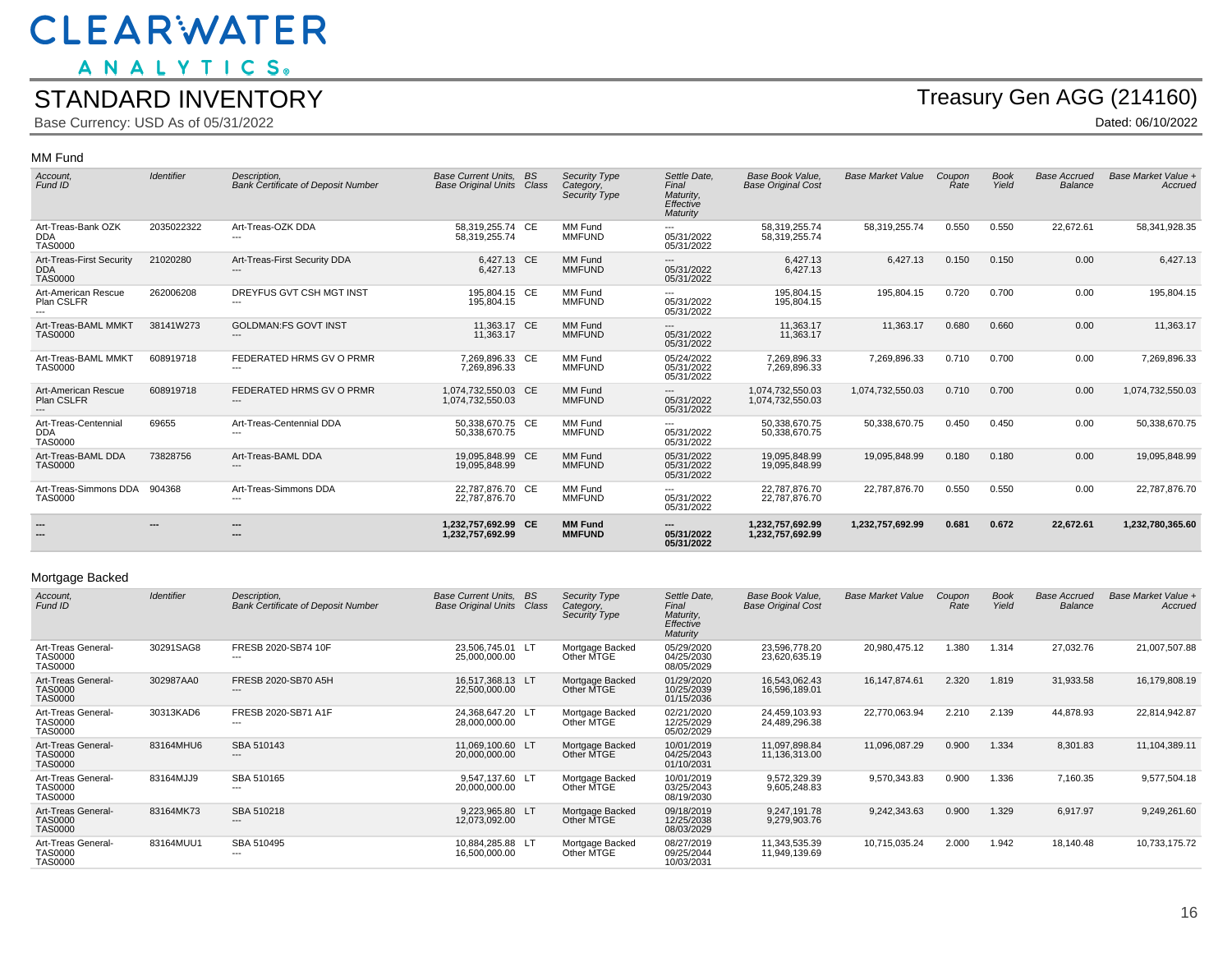ANALYTICS.

#### STANDARD INVENTORY

Base Currency: USD As of 05/31/2022

## Treasury Gen AGG (214160)

Dated: 06/10/2022

#### MM Fund

| Account,<br>Fund ID                                      | <b>Identifier</b>        | Description.<br><b>Bank Certificate of Deposit Number</b> | <b>Base Current Units.</b><br><b>Base Original Units Class</b> | <b>BS</b> | Security Type<br>Category,<br>Security Type | Settle Date,<br>Final<br>Maturity,<br>Effective<br>Maturity | Base Book Value.<br><b>Base Original Cost</b> | <b>Base Market Value</b> | Coupon<br><b>Rate</b> | <b>Book</b><br>Yield | <b>Base Accrued</b><br>Balance | Base Market Value +<br>Accrued |
|----------------------------------------------------------|--------------------------|-----------------------------------------------------------|----------------------------------------------------------------|-----------|---------------------------------------------|-------------------------------------------------------------|-----------------------------------------------|--------------------------|-----------------------|----------------------|--------------------------------|--------------------------------|
| Art-Treas-Bank OZK<br><b>DDA</b><br><b>TAS0000</b>       | 2035022322               | Art-Treas-OZK DDA                                         | 58,319,255.74 CE<br>58,319,255.74                              |           | MM Fund<br><b>MMFUND</b>                    | ---<br>05/31/2022<br>05/31/2022                             | 58,319,255.74<br>58.319.255.74                | 58,319,255.74            | 0.550                 | 0.550                | 22,672.61                      | 58,341,928.35                  |
| Art-Treas-First Security<br><b>DDA</b><br><b>TAS0000</b> | 21020280                 | Art-Treas-First Security DDA                              | 6,427.13 CE<br>6,427.13                                        |           | MM Fund<br><b>MMFUND</b>                    | ---<br>05/31/2022<br>05/31/2022                             | 6,427.13<br>6,427.13                          | 6,427.13                 | 0.150                 | 0.150                | 0.00                           | 6,427.13                       |
| Art-American Rescue<br>Plan CSLFR                        | 262006208                | DREYFUS GVT CSH MGT INST                                  | 195,804.15 CE<br>195,804.15                                    |           | MM Fund<br><b>MMFUND</b>                    | ---<br>05/31/2022<br>05/31/2022                             | 195,804.15<br>195,804.15                      | 195,804.15               | 0.720                 | 0.700                | 0.00                           | 195,804.15                     |
| Art-Treas-BAML MMKT<br><b>TAS0000</b>                    | 38141W273                | <b>GOLDMAN:FS GOVT INST</b><br>---                        | 11,363.17 CE<br>11.363.17                                      |           | MM Fund<br><b>MMFUND</b>                    | ---<br>05/31/2022<br>05/31/2022                             | 11,363.17<br>11,363.17                        | 11,363.17                | 0.680                 | 0.660                | 0.00                           | 11,363.17                      |
| Art-Treas-BAML MMKT<br><b>TAS0000</b>                    | 608919718                | FEDERATED HRMS GV O PRMR                                  | 7,269,896.33 CE<br>7,269,896.33                                |           | MM Fund<br><b>MMFUND</b>                    | 05/24/2022<br>05/31/2022<br>05/31/2022                      | 7,269,896.33<br>7,269,896.33                  | 7,269,896.33             | 0.710                 | 0.700                | 0.00                           | 7,269,896.33                   |
| Art-American Rescue<br>Plan CSLFR                        | 608919718                | FEDERATED HRMS GV O PRMR<br>---                           | 1,074,732,550.03 CE<br>1,074,732,550.03                        |           | MM Fund<br><b>MMFUND</b>                    | ---<br>05/31/2022<br>05/31/2022                             | 1,074,732,550.03<br>1,074,732,550.03          | 1,074,732,550.03         | 0.710                 | 0.700                | 0.00                           | 1,074,732,550.03               |
| Art-Treas-Centennial<br><b>DDA</b><br><b>TAS0000</b>     | 69655                    | Art-Treas-Centennial DDA                                  | 50.338.670.75 CE<br>50.338.670.75                              |           | MM Fund<br><b>MMFUND</b>                    | ---<br>05/31/2022<br>05/31/2022                             | 50,338,670.75<br>50.338.670.75                | 50,338,670.75            | 0.450                 | 0.450                | 0.00                           | 50,338,670.75                  |
| Art-Treas-BAML DDA<br><b>TAS0000</b>                     | 73828756                 | Art-Treas-BAML DDA<br>---                                 | 19,095,848.99 CE<br>19,095,848.99                              |           | MM Fund<br><b>MMFUND</b>                    | 05/31/2022<br>05/31/2022<br>05/31/2022                      | 19,095,848.99<br>19,095,848.99                | 19,095,848.99            | 0.180                 | 0.180                | 0.00                           | 19,095,848.99                  |
| Art-Treas-Simmons DDA 904368<br><b>TAS0000</b>           |                          | Art-Treas-Simmons DDA                                     | 22.787.876.70 CE<br>22,787,876.70                              |           | MM Fund<br><b>MMFUND</b>                    | ---<br>05/31/2022<br>05/31/2022                             | 22,787,876.70<br>22,787,876.70                | 22.787.876.70            | 0.550                 | 0.550                | 0.00                           | 22,787,876.70                  |
|                                                          | $\overline{\phantom{a}}$ | ---<br>$\overline{\phantom{a}}$                           | 1.232.757.692.99 CE<br>1,232,757,692.99                        |           | <b>MM Fund</b><br><b>MMFUND</b>             | ---<br>05/31/2022<br>05/31/2022                             | 1.232.757.692.99<br>1,232,757,692.99          | 1,232,757,692.99         | 0.681                 | 0.672                | 22,672.61                      | 1,232,780,365.60               |

#### Mortgage Backed

| Account,<br>Fund ID                                    | <b>Identifier</b> | Description.<br><b>Bank Certificate of Deposit Number</b> | <b>Base Current Units.</b><br><b>Base Original Units</b> | <b>BS</b><br>Class | Security Type<br>Category,<br>Security Type | Settle Date.<br>Final<br>Maturity,<br>Effective<br>Maturity | Base Book Value.<br><b>Base Original Cost</b> | <b>Base Market Value</b> | Coupon<br>Rate | <b>Book</b><br>Yield | <b>Base Accrued</b><br><b>Balance</b> | Base Market Value +<br>Accrued |
|--------------------------------------------------------|-------------------|-----------------------------------------------------------|----------------------------------------------------------|--------------------|---------------------------------------------|-------------------------------------------------------------|-----------------------------------------------|--------------------------|----------------|----------------------|---------------------------------------|--------------------------------|
| Art-Treas General-<br>TAS0000<br><b>TAS0000</b>        | 30291SAG8         | FRESB 2020-SB74 10F<br>---                                | 23.506.745.01 LT<br>25,000,000.00                        |                    | Mortgage Backed<br>Other MTGE               | 05/29/2020<br>04/25/2030<br>08/05/2029                      | 23,596,778.20<br>23,620,635.19                | 20,980,475.12            | 1.380          | 1.314                | 27,032.76                             | 21,007,507.88                  |
| Art-Treas General-<br><b>TAS0000</b><br><b>TAS0000</b> | 302987AA0         | FRESB 2020-SB70 A5H<br>---                                | 16.517.368.13 LT<br>22,500,000.00                        |                    | Mortgage Backed<br>Other MTGE               | 01/29/2020<br>10/25/2039<br>01/15/2036                      | 16.543.062.43<br>16,596,189.01                | 16, 147, 874.61          | 2.320          | 1.819                | 31,933.58                             | 16,179,808.19                  |
| Art-Treas General-<br><b>TAS0000</b><br><b>TAS0000</b> | 30313KAD6         | FRESB 2020-SB71 A1F<br>---                                | 24.368.647.20 LT<br>28,000,000.00                        |                    | Mortgage Backed<br>Other MTGE               | 02/21/2020<br>12/25/2029<br>05/02/2029                      | 24.459.103.93<br>24,489,296.38                | 22,770,063.94            | 2.210          | 2.139                | 44,878.93                             | 22,814,942.87                  |
| Art-Treas General-<br><b>TAS0000</b><br><b>TAS0000</b> | 83164MHU6         | SBA 510143<br>---                                         | 11,069,100.60 LT<br>20,000,000.00                        |                    | Mortgage Backed<br>Other MTGE               | 10/01/2019<br>04/25/2043<br>01/10/2031                      | 11,097,898.84<br>11,136,313.00                | 11,096,087.29            | 0.900          | 1.334                | 8,301.83                              | 11,104,389.11                  |
| Art-Treas General-<br><b>TAS0000</b><br><b>TAS0000</b> | 83164MJJ9         | SBA 510165<br>---                                         | 9.547.137.60 LT<br>20,000,000.00                         |                    | Mortgage Backed<br>Other MTGE               | 10/01/2019<br>03/25/2043<br>08/19/2030                      | 9.572.329.39<br>9,605,248.83                  | 9,570,343.83             | 0.900          | 1.336                | 7,160.35                              | 9,577,504.18                   |
| Art-Treas General-<br><b>TAS0000</b><br><b>TAS0000</b> | 83164MK73         | SBA 510218<br>---                                         | 9.223.965.80 LT<br>12,073,092.00                         |                    | Mortgage Backed<br>Other MTGE               | 09/18/2019<br>12/25/2038<br>08/03/2029                      | 9.247.191.78<br>9,279,903.76                  | 9,242,343.63             | 0.900          | 1.329                | 6,917.97                              | 9,249,261.60                   |
| Art-Treas General-<br><b>TAS0000</b><br><b>TAS0000</b> | 83164MUU1         | SBA 510495<br>---                                         | 10,884,285.88 LT<br>16,500,000.00                        |                    | Mortgage Backed<br>Other MTGE               | 08/27/2019<br>09/25/2044<br>10/03/2031                      | 11,343,535.39<br>11,949,139.69                | 10,715,035.24            | 2.000          | 1.942                | 18,140.48                             | 10,733,175.72                  |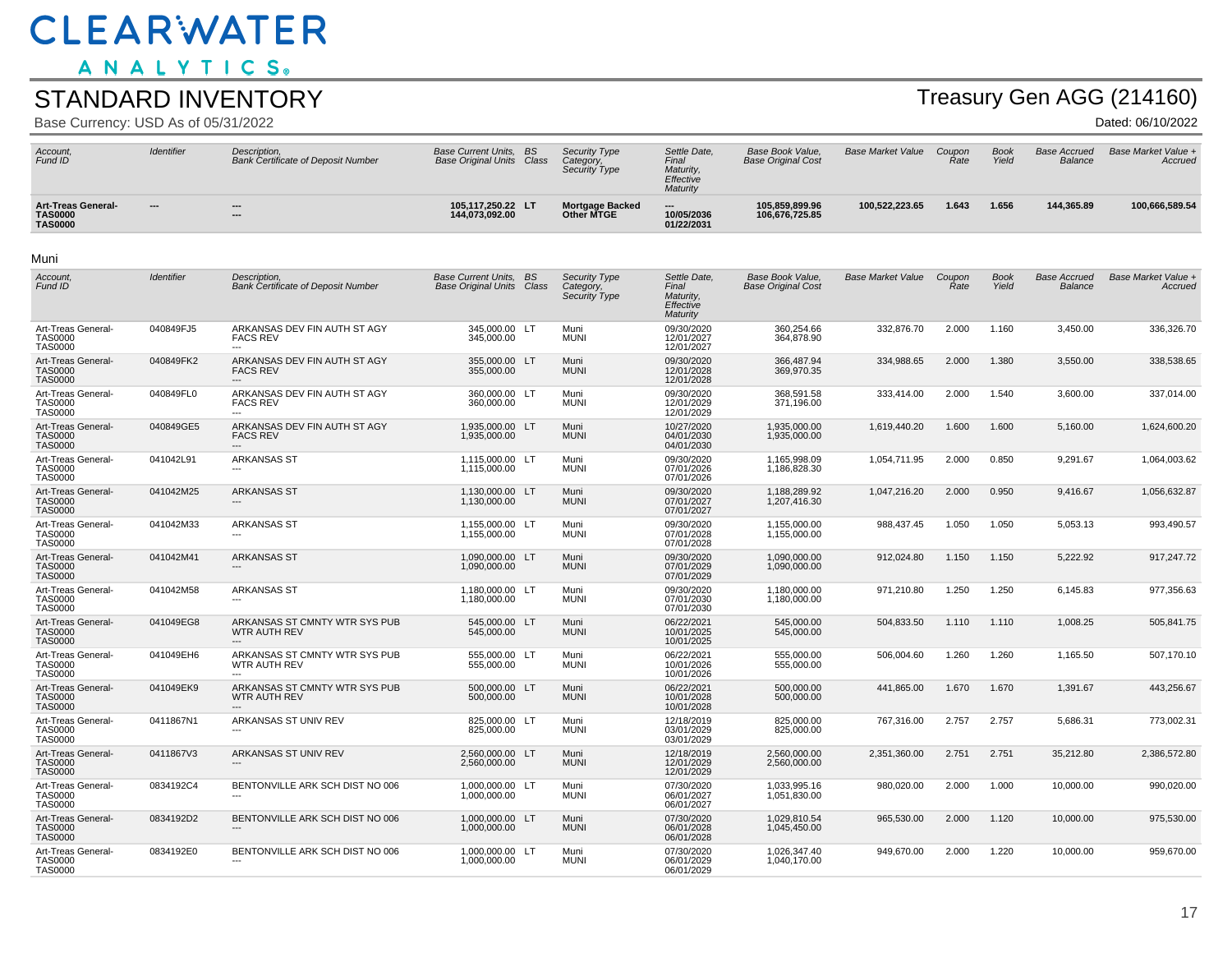ANALYTICS.

#### STANDARD INVENTORY

Base Currency: USD As of 05/31/2022

# Treasury Gen AGG (214160)

| Account,<br>Fund ID                                           | <b>Identifier</b> | Description,<br><b>Bank Certificate of Deposit Number</b> | <b>Base Current Units, BS</b><br><b>Base Original Units Class</b> |           | <b>Security Type</b><br>Category,<br>Security Type | Settle Date,<br>Final<br>Maturity,<br>Effective<br>Maturity | Base Book Value.<br><b>Base Original Cost</b> | <b>Base Market Value</b> | Coupon<br>Rate | <b>Book</b><br>Yield | <b>Base Accrued</b><br>Balance | Base Market Value +<br>Accrued |
|---------------------------------------------------------------|-------------------|-----------------------------------------------------------|-------------------------------------------------------------------|-----------|----------------------------------------------------|-------------------------------------------------------------|-----------------------------------------------|--------------------------|----------------|----------------------|--------------------------------|--------------------------------|
| <b>Art-Treas General-</b><br><b>TAS0000</b><br><b>TAS0000</b> | ---               | ---<br>---                                                | 105,117,250.22 LT<br>144,073,092.00                               |           | <b>Mortgage Backed</b><br>Other MTGE               | 10/05/2036<br>01/22/2031                                    | 105,859,899.96<br>106,676,725.85              | 100,522,223.65           | 1.643          | 1.656                | 144,365.89                     | 100,666,589.54                 |
| Muni                                                          |                   |                                                           |                                                                   |           |                                                    |                                                             |                                               |                          |                |                      |                                |                                |
| Account.<br>Fund ID                                           | Identifier        | Description.<br><b>Bank Certificate of Deposit Number</b> | <b>Base Current Units.</b><br><b>Base Original Units Class</b>    | <b>BS</b> | <b>Security Type</b><br>Category.<br>Security Type | Settle Date.<br>Final<br>Maturity.<br>Effective<br>Maturity | Base Book Value.<br><b>Base Original Cost</b> | <b>Base Market Value</b> | Coupon<br>Rate | <b>Book</b><br>Yield | <b>Base Accrued</b><br>Balance | Base Market Value +<br>Accrued |
| Art-Treas General-<br><b>TAS0000</b><br><b>TAS0000</b>        | 040849FJ5         | ARKANSAS DEV FIN AUTH ST AGY<br><b>FACS REV</b>           | 345,000.00 LT<br>345,000.00                                       |           | Muni<br><b>MUNI</b>                                | 09/30/2020<br>12/01/2027<br>12/01/2027                      | 360,254.66<br>364,878.90                      | 332,876.70               | 2.000          | 1.160                | 3,450.00                       | 336,326.70                     |
| Art-Treas General-<br><b>TAS0000</b><br><b>TAS0000</b>        | 040849FK2         | ARKANSAS DEV FIN AUTH ST AGY<br><b>FACS REV</b>           | 355,000.00<br>355.000.00                                          | <b>LT</b> | Muni<br><b>MUNI</b>                                | 09/30/2020<br>12/01/2028<br>12/01/2028                      | 366,487.94<br>369.970.35                      | 334,988.65               | 2.000          | 1.380                | 3,550.00                       | 338,538.65                     |
| Art-Treas General-<br><b>TAS0000</b><br><b>TAS0000</b>        | 040849FL0         | ARKANSAS DEV FIN AUTH ST AGY<br><b>FACS REV</b>           | 360,000.00 LT<br>360,000.00                                       |           | Muni<br><b>MUNI</b>                                | 09/30/2020<br>12/01/2029<br>12/01/2029                      | 368,591.58<br>371,196.00                      | 333,414.00               | 2.000          | 1.540                | 3,600.00                       | 337.014.00                     |
| Art-Treas General-<br><b>TAS0000</b><br><b>TAS0000</b>        | 040849GE5         | ARKANSAS DEV FIN AUTH ST AGY<br><b>FACS REV</b>           | 1,935,000.00 LT<br>1,935,000.00                                   |           | Muni<br><b>MUNI</b>                                | 10/27/2020<br>04/01/2030<br>04/01/2030                      | 1,935,000.00<br>1,935,000.00                  | 1,619,440.20             | 1.600          | 1.600                | 5,160.00                       | 1,624,600.20                   |
| Art-Treas General-<br><b>TAS0000</b><br><b>TAS0000</b>        | 041042L91         | <b>ARKANSAS ST</b>                                        | 1.115.000.00 LT<br>1,115,000.00                                   |           | Muni<br><b>MUNI</b>                                | 09/30/2020<br>07/01/2026<br>07/01/2026                      | 1.165.998.09<br>1,186,828.30                  | 1,054,711.95             | 2.000          | 0.850                | 9,291.67                       | 1,064,003.62                   |
| Art-Treas General-<br><b>TAS0000</b><br><b>TAS0000</b>        | 041042M25         | <b>ARKANSAS ST</b><br>$---$                               | 1,130,000.00 LT<br>1,130,000.00                                   |           | Muni<br><b>MUNI</b>                                | 09/30/2020<br>07/01/2027<br>07/01/2027                      | 1,188,289.92<br>1,207,416.30                  | 1,047,216.20             | 2.000          | 0.950                | 9,416.67                       | 1,056,632.87                   |
| Art-Treas General-<br><b>TAS0000</b><br><b>TAS0000</b>        | 041042M33         | <b>ARKANSAS ST</b>                                        | 1,155,000.00 LT<br>1,155,000.00                                   |           | Muni<br><b>MUNI</b>                                | 09/30/2020<br>07/01/2028<br>07/01/2028                      | 1,155,000.00<br>1,155,000.00                  | 988,437.45               | 1.050          | 1.050                | 5,053.13                       | 993,490.57                     |
| Art-Treas General-<br><b>TAS0000</b><br><b>TAS0000</b>        | 041042M41         | <b>ARKANSAS ST</b>                                        | 1,090,000.00 LT<br>1,090,000.00                                   |           | Muni<br><b>MUNI</b>                                | 09/30/2020<br>07/01/2029<br>07/01/2029                      | 1,090,000.00<br>1,090,000.00                  | 912,024.80               | 1.150          | 1.150                | 5,222.92                       | 917,247.72                     |
| Art-Treas General-<br><b>TAS0000</b><br><b>TAS0000</b>        | 041042M58         | <b>ARKANSAS ST</b><br>$\overline{\phantom{a}}$            | 1,180,000.00 LT<br>1,180,000.00                                   |           | Muni<br><b>MUNI</b>                                | 09/30/2020<br>07/01/2030<br>07/01/2030                      | 1,180,000.00<br>1,180,000.00                  | 971,210.80               | 1.250          | 1.250                | 6,145.83                       | 977,356.63                     |
| Art-Treas General-<br><b>TAS0000</b><br><b>TAS0000</b>        | 041049EG8         | ARKANSAS ST CMNTY WTR SYS PUB<br><b>WTR AUTH REV</b>      | 545,000.00 LT<br>545,000.00                                       |           | Muni<br><b>MUNI</b>                                | 06/22/2021<br>10/01/2025<br>10/01/2025                      | 545,000.00<br>545,000.00                      | 504,833.50               | 1.110          | 1.110                | 1,008.25                       | 505,841.75                     |
| Art-Treas General-<br><b>TAS0000</b><br><b>TAS0000</b>        | 041049EH6         | ARKANSAS ST CMNTY WTR SYS PUB<br>WTR AUTH REV             | 555,000.00 LT<br>555,000.00                                       |           | Muni<br><b>MUNI</b>                                | 06/22/2021<br>10/01/2026<br>10/01/2026                      | 555,000.00<br>555,000.00                      | 506,004.60               | 1.260          | 1.260                | 1,165.50                       | 507.170.10                     |
| Art-Treas General-<br><b>TAS0000</b><br><b>TAS0000</b>        | 041049EK9         | ARKANSAS ST CMNTY WTR SYS PUB<br>WTR AUTH REV             | 500.000.00<br>500,000.00                                          | <b>LT</b> | Muni<br><b>MUNI</b>                                | 06/22/2021<br>10/01/2028<br>10/01/2028                      | 500,000.00<br>500,000.00                      | 441.865.00               | 1.670          | 1.670                | 1,391.67                       | 443.256.67                     |
| Art-Treas General-<br><b>TAS0000</b><br><b>TAS0000</b>        | 0411867N1         | ARKANSAS ST UNIV REV                                      | 825,000.00 LT<br>825,000.00                                       |           | Muni<br><b>MUNI</b>                                | 12/18/2019<br>03/01/2029<br>03/01/2029                      | 825,000.00<br>825,000.00                      | 767,316.00               | 2.757          | 2.757                | 5,686.31                       | 773.002.31                     |
| Art-Treas General-<br><b>TAS0000</b><br><b>TAS0000</b>        | 0411867V3         | ARKANSAS ST UNIV REV                                      | 2,560,000.00 LT<br>2,560,000.00                                   |           | Muni<br><b>MUNI</b>                                | 12/18/2019<br>12/01/2029<br>12/01/2029                      | 2,560,000.00<br>2,560,000.00                  | 2,351,360.00             | 2.751          | 2.751                | 35,212.80                      | 2,386,572.80                   |
| Art-Treas General-<br><b>TAS0000</b><br><b>TAS0000</b>        | 0834192C4         | BENTONVILLE ARK SCH DIST NO 006                           | 1,000,000.00 LT<br>1,000,000.00                                   |           | Muni<br><b>MUNI</b>                                | 07/30/2020<br>06/01/2027<br>06/01/2027                      | 1,033,995.16<br>1,051,830.00                  | 980,020.00               | 2.000          | 1.000                | 10,000.00                      | 990,020.00                     |
| Art-Treas General-<br><b>TAS0000</b><br><b>TAS0000</b>        | 0834192D2         | BENTONVILLE ARK SCH DIST NO 006                           | 1,000,000.00 LT<br>1,000,000.00                                   |           | Muni<br><b>MUNI</b>                                | 07/30/2020<br>06/01/2028<br>06/01/2028                      | 1,029,810.54<br>1,045,450.00                  | 965,530.00               | 2.000          | 1.120                | 10,000.00                      | 975,530.00                     |
| Art-Treas General-<br><b>TAS0000</b><br><b>TAS0000</b>        | 0834192E0         | BENTONVILLE ARK SCH DIST NO 006<br>$---$                  | 1,000,000.00 LT<br>1,000,000.00                                   |           | Muni<br><b>MUNI</b>                                | 07/30/2020<br>06/01/2029<br>06/01/2029                      | 1,026,347.40<br>1,040,170.00                  | 949,670.00               | 2.000          | 1.220                | 10,000.00                      | 959,670.00                     |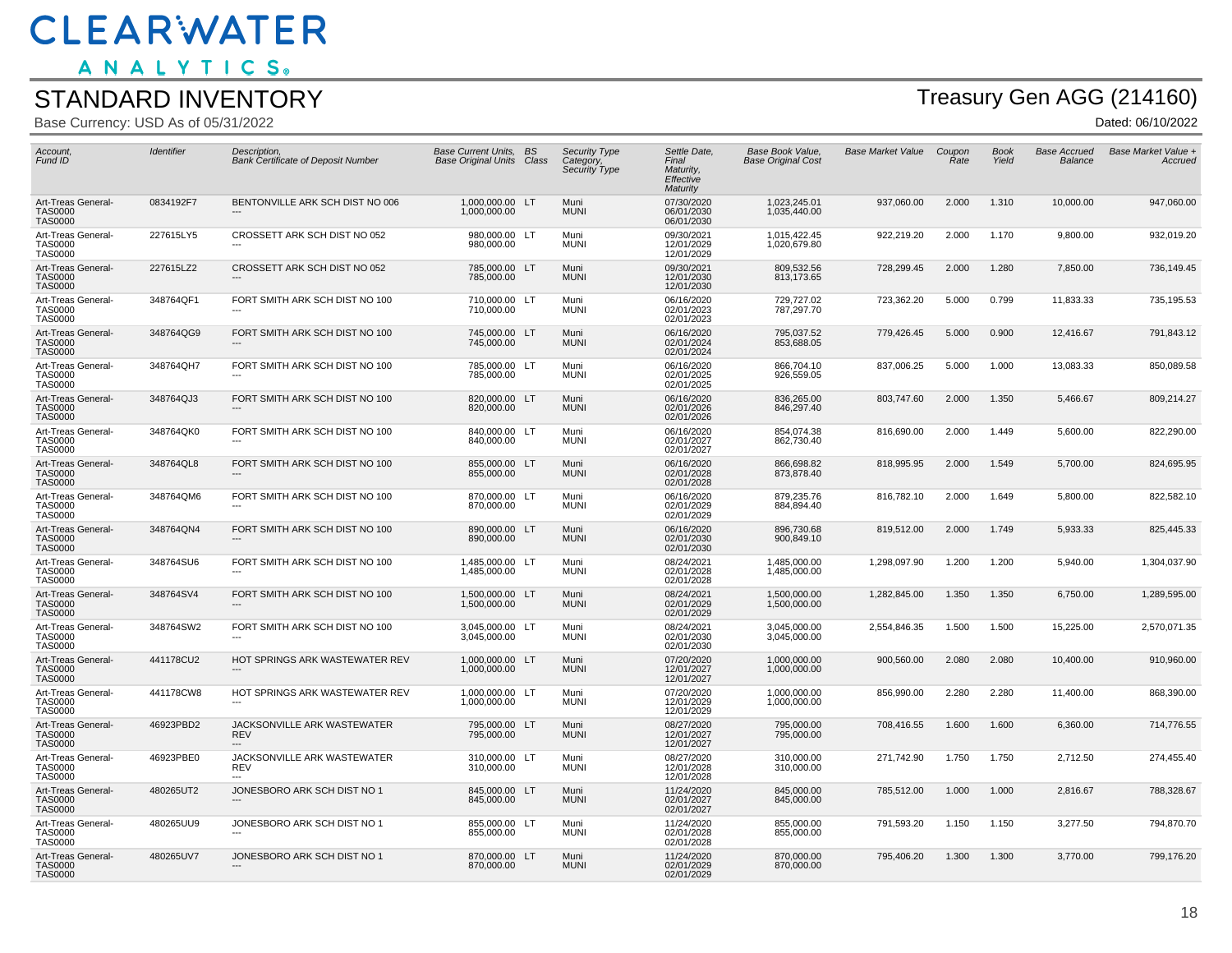ANALYTICS.

#### STANDARD INVENTORY

Base Currency: USD As of 05/31/2022

# Treasury Gen AGG (214160)

| Account,<br>Fund ID                                    | Identifier | Description,<br><b>Bank Certificate of Deposit Number</b>  | Base Current Units, BS<br><b>Base Original Units Class</b> | Security Type<br>Category,<br>Security Type | Settle Date,<br>Final<br>Maturity.<br>Effective<br>Maturity | Base Book Value,<br><b>Base Original Cost</b> | <b>Base Market Value</b> | Coupon<br>Rate | <b>Book</b><br>Yield | Base Accrued<br><b>Balance</b> | Base Market Value +<br>Accruea |
|--------------------------------------------------------|------------|------------------------------------------------------------|------------------------------------------------------------|---------------------------------------------|-------------------------------------------------------------|-----------------------------------------------|--------------------------|----------------|----------------------|--------------------------------|--------------------------------|
| Art-Treas General-<br><b>TAS0000</b><br><b>TAS0000</b> | 0834192F7  | BENTONVILLE ARK SCH DIST NO 006                            | 1,000,000.00 LT<br>1,000,000.00                            | Muni<br><b>MUNI</b>                         | 07/30/2020<br>06/01/2030<br>06/01/2030                      | 1,023,245.01<br>1,035,440.00                  | 937,060.00               | 2.000          | 1.310                | 10,000.00                      | 947,060.00                     |
| Art-Treas General-<br><b>TAS0000</b><br><b>TAS0000</b> | 227615LY5  | CROSSETT ARK SCH DIST NO 052                               | 980,000.00 LT<br>980,000.00                                | Muni<br><b>MUNI</b>                         | 09/30/2021<br>12/01/2029<br>12/01/2029                      | 1,015,422.45<br>1,020,679.80                  | 922,219.20               | 2.000          | 1.170                | 9,800.00                       | 932,019.20                     |
| Art-Treas General-<br><b>TAS0000</b><br>TAS0000        | 227615LZ2  | CROSSETT ARK SCH DIST NO 052<br>$---$                      | 785,000.00 LT<br>785,000.00                                | Muni<br><b>MUNI</b>                         | 09/30/2021<br>12/01/2030<br>12/01/2030                      | 809,532.56<br>813,173.65                      | 728,299.45               | 2.000          | 1.280                | 7,850.00                       | 736,149.45                     |
| Art-Treas General-<br><b>TAS0000</b><br><b>TAS0000</b> | 348764QF1  | FORT SMITH ARK SCH DIST NO 100                             | 710,000.00 LT<br>710,000.00                                | Muni<br><b>MUNI</b>                         | 06/16/2020<br>02/01/2023<br>02/01/2023                      | 729,727.02<br>787,297.70                      | 723,362.20               | 5.000          | 0.799                | 11,833.33                      | 735,195.53                     |
| Art-Treas General-<br><b>TAS0000</b><br><b>TAS0000</b> | 348764QG9  | FORT SMITH ARK SCH DIST NO 100                             | 745,000.00 LT<br>745,000.00                                | Muni<br><b>MUNI</b>                         | 06/16/2020<br>02/01/2024<br>02/01/2024                      | 795,037.52<br>853,688.05                      | 779,426.45               | 5.000          | 0.900                | 12,416.67                      | 791,843.12                     |
| Art-Treas General-<br><b>TAS0000</b><br><b>TAS0000</b> | 348764QH7  | FORT SMITH ARK SCH DIST NO 100<br>$\overline{\phantom{a}}$ | 785,000.00 LT<br>785,000.00                                | Muni<br><b>MUNI</b>                         | 06/16/2020<br>02/01/2025<br>02/01/2025                      | 866,704.10<br>926,559.05                      | 837,006.25               | 5.000          | 1.000                | 13,083.33                      | 850,089.58                     |
| Art-Treas General-<br><b>TAS0000</b><br><b>TAS0000</b> | 348764QJ3  | FORT SMITH ARK SCH DIST NO 100                             | 820,000.00 LT<br>820,000.00                                | Muni<br><b>MUNI</b>                         | 06/16/2020<br>02/01/2026<br>02/01/2026                      | 836,265.00<br>846,297.40                      | 803,747.60               | 2.000          | 1.350                | 5,466.67                       | 809,214.27                     |
| Art-Treas General-<br><b>TAS0000</b><br><b>TAS0000</b> | 348764QK0  | FORT SMITH ARK SCH DIST NO 100                             | 840,000.00 LT<br>840,000.00                                | Muni<br><b>MUNI</b>                         | 06/16/2020<br>02/01/2027<br>02/01/2027                      | 854,074.38<br>862,730.40                      | 816,690.00               | 2.000          | 1.449                | 5,600.00                       | 822,290.00                     |
| Art-Treas General-<br><b>TAS0000</b><br><b>TAS0000</b> | 348764QL8  | FORT SMITH ARK SCH DIST NO 100                             | 855,000.00 LT<br>855,000.00                                | Muni<br><b>MUNI</b>                         | 06/16/2020<br>02/01/2028<br>02/01/2028                      | 866,698.82<br>873,878.40                      | 818,995.95               | 2.000          | 1.549                | 5,700.00                       | 824,695.95                     |
| Art-Treas General-<br>TAS0000<br><b>TAS0000</b>        | 348764QM6  | FORT SMITH ARK SCH DIST NO 100                             | 870.000.00 LT<br>870,000.00                                | Muni<br><b>MUNI</b>                         | 06/16/2020<br>02/01/2029<br>02/01/2029                      | 879.235.76<br>884,894.40                      | 816,782.10               | 2.000          | 1.649                | 5,800.00                       | 822,582.10                     |
| Art-Treas General-<br><b>TAS0000</b><br><b>TAS0000</b> | 348764QN4  | FORT SMITH ARK SCH DIST NO 100                             | 890.000.00 LT<br>890.000.00                                | Muni<br><b>MUNI</b>                         | 06/16/2020<br>02/01/2030<br>02/01/2030                      | 896.730.68<br>900,849.10                      | 819,512.00               | 2.000          | 1.749                | 5,933.33                       | 825.445.33                     |
| Art-Treas General-<br><b>TAS0000</b><br><b>TAS0000</b> | 348764SU6  | FORT SMITH ARK SCH DIST NO 100                             | 1,485,000.00 LT<br>1,485,000.00                            | Muni<br><b>MUNI</b>                         | 08/24/2021<br>02/01/2028<br>02/01/2028                      | 1,485,000.00<br>1,485,000.00                  | 1,298,097.90             | 1.200          | 1.200                | 5,940.00                       | 1,304,037.90                   |
| Art-Treas General-<br><b>TAS0000</b><br><b>TAS0000</b> | 348764SV4  | FORT SMITH ARK SCH DIST NO 100                             | 1,500,000.00 LT<br>1,500,000.00                            | Muni<br><b>MUNI</b>                         | 08/24/2021<br>02/01/2029<br>02/01/2029                      | 1,500,000.00<br>1,500,000.00                  | 1,282,845.00             | 1.350          | 1.350                | 6,750.00                       | 1,289,595.00                   |
| Art-Treas General-<br><b>TAS0000</b><br><b>TAS0000</b> | 348764SW2  | FORT SMITH ARK SCH DIST NO 100                             | 3,045,000.00 LT<br>3,045,000.00                            | Muni<br><b>MUNI</b>                         | 08/24/2021<br>02/01/2030<br>02/01/2030                      | 3,045,000.00<br>3,045,000.00                  | 2,554,846.35             | 1.500          | 1.500                | 15,225.00                      | 2,570,071.35                   |
| Art-Treas General-<br><b>TAS0000</b><br><b>TAS0000</b> | 441178CU2  | HOT SPRINGS ARK WASTEWATER REV                             | 1.000.000.00 LT<br>1,000,000.00                            | Muni<br><b>MUNI</b>                         | 07/20/2020<br>12/01/2027<br>12/01/2027                      | 1.000.000.00<br>1,000,000.00                  | 900.560.00               | 2.080          | 2.080                | 10,400.00                      | 910,960.00                     |
| Art-Treas General-<br>TAS0000<br><b>TAS0000</b>        | 441178CW8  | HOT SPRINGS ARK WASTEWATER REV                             | 1.000.000.00 LT<br>1,000,000.00                            | Muni<br><b>MUNI</b>                         | 07/20/2020<br>12/01/2029<br>12/01/2029                      | 1.000.000.00<br>1,000,000.00                  | 856,990.00               | 2.280          | 2.280                | 11,400.00                      | 868.390.00                     |
| Art-Treas General-<br><b>TAS0000</b><br><b>TAS0000</b> | 46923PBD2  | JACKSONVILLE ARK WASTEWATER<br><b>REV</b>                  | 795,000.00 LT<br>795,000.00                                | Muni<br><b>MUNI</b>                         | 08/27/2020<br>12/01/2027<br>12/01/2027                      | 795,000.00<br>795,000.00                      | 708,416.55               | 1.600          | 1.600                | 6,360.00                       | 714,776.55                     |
| Art-Treas General-<br><b>TAS0000</b><br><b>TAS0000</b> | 46923PBE0  | JACKSONVILLE ARK WASTEWATER<br><b>REV</b>                  | 310,000.00 LT<br>310,000.00                                | Muni<br><b>MUNI</b>                         | 08/27/2020<br>12/01/2028<br>12/01/2028                      | 310,000.00<br>310,000.00                      | 271,742.90               | 1.750          | 1.750                | 2,712.50                       | 274,455.40                     |
| Art-Treas General-<br><b>TAS0000</b><br><b>TAS0000</b> | 480265UT2  | JONESBORO ARK SCH DIST NO 1                                | 845,000.00 LT<br>845,000.00                                | Muni<br><b>MUNI</b>                         | 11/24/2020<br>02/01/2027<br>02/01/2027                      | 845,000.00<br>845,000.00                      | 785,512.00               | 1.000          | 1.000                | 2,816.67                       | 788,328.67                     |
| Art-Treas General-<br>TAS0000<br><b>TAS0000</b>        | 480265UU9  | JONESBORO ARK SCH DIST NO 1                                | 855,000.00 LT<br>855,000.00                                | Muni<br><b>MUNI</b>                         | 11/24/2020<br>02/01/2028<br>02/01/2028                      | 855.000.00<br>855,000.00                      | 791.593.20               | 1.150          | 1.150                | 3.277.50                       | 794.870.70                     |
| Art-Treas General-<br><b>TAS0000</b><br><b>TAS0000</b> | 480265UV7  | JONESBORO ARK SCH DIST NO 1                                | 870.000.00 LT<br>870.000.00                                | Muni<br><b>MUNI</b>                         | 11/24/2020<br>02/01/2029<br>02/01/2029                      | 870.000.00<br>870.000.00                      | 795.406.20               | 1.300          | 1.300                | 3.770.00                       | 799.176.20                     |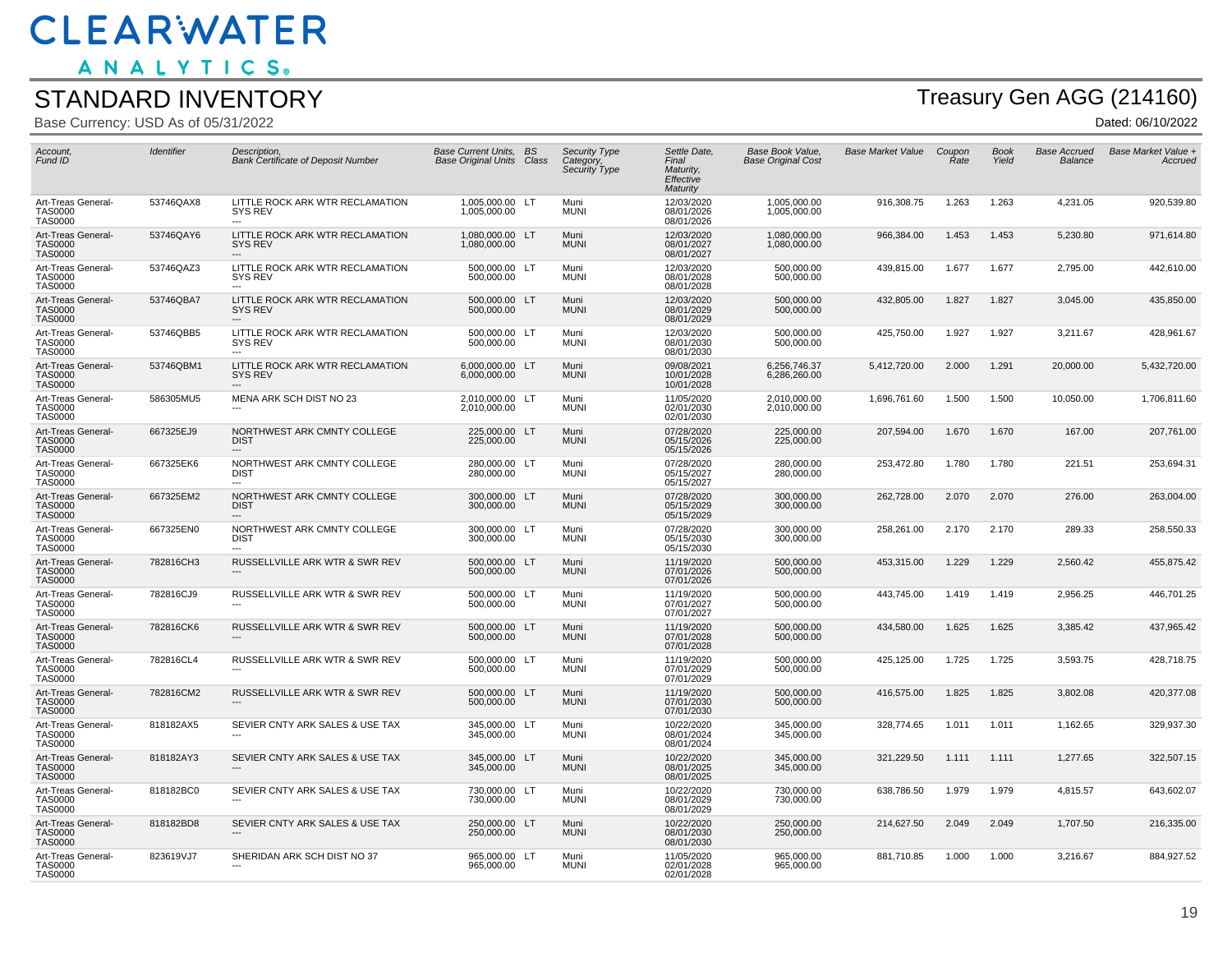ANALYTICS.

#### STANDARD INVENTORY

Base Currency: USD As of 05/31/2022

# Treasury Gen AGG (214160)

| Account,<br>Fund ID                                    | Identifier | Description,<br><b>Bank Certificate of Deposit Number</b>              | Base Current Units, BS<br><b>Base Original Units Class</b> |    | Security Type<br>Category,<br>Security Type | Settle Date,<br>Final<br>Maturity,<br>Effective<br>Maturity | Base Book Value,<br><b>Base Original Cost</b> | <b>Base Market Value</b> | Coupon<br>Rate | <b>Book</b><br>Yield | <b>Base Accrued</b><br>Balance | Base Market Value +<br>Accrued |
|--------------------------------------------------------|------------|------------------------------------------------------------------------|------------------------------------------------------------|----|---------------------------------------------|-------------------------------------------------------------|-----------------------------------------------|--------------------------|----------------|----------------------|--------------------------------|--------------------------------|
| Art-Treas General-<br><b>TAS0000</b><br><b>TAS0000</b> | 53746QAX8  | LITTLE ROCK ARK WTR RECLAMATION<br><b>SYS REV</b>                      | 1,005,000.00 LT<br>1,005,000.00                            |    | Muni<br><b>MUNI</b>                         | 12/03/2020<br>08/01/2026<br>08/01/2026                      | 1,005,000.00<br>1,005,000.00                  | 916,308.75               | 1.263          | 1.263                | 4,231.05                       | 920,539.80                     |
| Art-Treas General-<br><b>TAS0000</b><br><b>TAS0000</b> | 53746QAY6  | LITTLE ROCK ARK WTR RECLAMATION<br><b>SYS REV</b>                      | 1,080,000.00 LT<br>1,080,000.00                            |    | Muni<br><b>MUNI</b>                         | 12/03/2020<br>08/01/2027<br>08/01/2027                      | 1,080,000.00<br>1,080,000.00                  | 966,384.00               | 1.453          | 1.453                | 5,230.80                       | 971,614.80                     |
| Art-Treas General-<br><b>TAS0000</b><br><b>TAS0000</b> | 53746QAZ3  | LITTLE ROCK ARK WTR RECLAMATION<br>SYS REV                             | 500,000.00 LT<br>500,000.00                                |    | Muni<br><b>MUNI</b>                         | 12/03/2020<br>08/01/2028<br>08/01/2028                      | 500,000.00<br>500,000.00                      | 439,815.00               | 1.677          | 1.677                | 2,795.00                       | 442,610.00                     |
| Art-Treas General-<br><b>TAS0000</b><br><b>TAS0000</b> | 53746QBA7  | LITTLE ROCK ARK WTR RECLAMATION<br><b>SYS REV</b>                      | 500,000.00 LT<br>500,000.00                                |    | Muni<br><b>MUNI</b>                         | 12/03/2020<br>08/01/2029<br>08/01/2029                      | 500,000.00<br>500,000.00                      | 432,805.00               | 1.827          | 1.827                | 3,045.00                       | 435,850.00                     |
| Art-Treas General-<br><b>TAS0000</b><br><b>TAS0000</b> | 53746QBB5  | LITTLE ROCK ARK WTR RECLAMATION<br>SYS REV                             | 500,000.00 LT<br>500,000.00                                |    | Muni<br><b>MUNI</b>                         | 12/03/2020<br>08/01/2030<br>08/01/2030                      | 500,000.00<br>500,000.00                      | 425,750.00               | 1.927          | 1.927                | 3,211.67                       | 428,961.67                     |
| Art-Treas General-<br><b>TAS0000</b><br><b>TAS0000</b> | 53746QBM1  | LITTLE ROCK ARK WTR RECLAMATION<br><b>SYS REV</b>                      | 6,000,000.00<br>6,000,000.00                               | LT | Muni<br><b>MUNI</b>                         | 09/08/2021<br>10/01/2028<br>10/01/2028                      | 6,256,746.37<br>6,286,260.00                  | 5,412,720.00             | 2.000          | 1.291                | 20,000.00                      | 5,432,720.00                   |
| Art-Treas General-<br>TAS0000<br><b>TAS0000</b>        | 586305MU5  | MENA ARK SCH DIST NO 23                                                | 2.010.000.00 LT<br>2,010,000.00                            |    | Muni<br><b>MUNI</b>                         | 11/05/2020<br>02/01/2030<br>02/01/2030                      | 2.010.000.00<br>2,010,000.00                  | 1,696,761.60             | 1.500          | 1.500                | 10,050.00                      | 1,706,811.60                   |
| Art-Treas General-<br><b>TAS0000</b><br><b>TAS0000</b> | 667325EJ9  | NORTHWEST ARK CMNTY COLLEGE<br><b>DIST</b>                             | 225,000.00 LT<br>225,000.00                                |    | Muni<br><b>MUNI</b>                         | 07/28/2020<br>05/15/2026<br>05/15/2026                      | 225,000.00<br>225,000.00                      | 207,594.00               | 1.670          | 1.670                | 167.00                         | 207,761.00                     |
| Art-Treas General-<br><b>TAS0000</b><br><b>TAS0000</b> | 667325EK6  | NORTHWEST ARK CMNTY COLLEGE<br><b>DIST</b>                             | 280,000.00 LT<br>280,000.00                                |    | Muni<br><b>MUNI</b>                         | 07/28/2020<br>05/15/2027<br>05/15/2027                      | 280,000.00<br>280,000.00                      | 253,472.80               | 1.780          | 1.780                | 221.51                         | 253,694.31                     |
| Art-Treas General-<br><b>TAS0000</b><br><b>TAS0000</b> | 667325EM2  | NORTHWEST ARK CMNTY COLLEGE<br><b>DIST</b><br>$\overline{\phantom{a}}$ | 300,000.00 LT<br>300,000.00                                |    | Muni<br><b>MUNI</b>                         | 07/28/2020<br>05/15/2029<br>05/15/2029                      | 300,000.00<br>300,000.00                      | 262,728.00               | 2.070          | 2.070                | 276.00                         | 263,004.00                     |
| Art-Treas General-<br><b>TAS0000</b><br><b>TAS0000</b> | 667325EN0  | NORTHWEST ARK CMNTY COLLEGE<br><b>DIST</b>                             | 300.000.00 LT<br>300,000.00                                |    | Muni<br><b>MUNI</b>                         | 07/28/2020<br>05/15/2030<br>05/15/2030                      | 300.000.00<br>300,000.00                      | 258,261.00               | 2.170          | 2.170                | 289.33                         | 258,550.33                     |
| Art-Treas General-<br><b>TAS0000</b><br><b>TAS0000</b> | 782816CH3  | RUSSELLVILLE ARK WTR & SWR REV                                         | 500.000.00 LT<br>500.000.00                                |    | Muni<br><b>MUNI</b>                         | 11/19/2020<br>07/01/2026<br>07/01/2026                      | 500,000.00<br>500,000.00                      | 453,315.00               | 1.229          | 1.229                | 2,560.42                       | 455,875.42                     |
| Art-Treas General-<br><b>TAS0000</b><br><b>TAS0000</b> | 782816CJ9  | RUSSELLVILLE ARK WTR & SWR REV                                         | 500,000.00 LT<br>500,000.00                                |    | Muni<br><b>MUNI</b>                         | 11/19/2020<br>07/01/2027<br>07/01/2027                      | 500,000.00<br>500,000.00                      | 443,745.00               | 1.419          | 1.419                | 2,956.25                       | 446,701.25                     |
| Art-Treas General-<br><b>TAS0000</b><br><b>TAS0000</b> | 782816CK6  | RUSSELLVILLE ARK WTR & SWR REV                                         | 500,000.00 LT<br>500,000.00                                |    | Muni<br><b>MUNI</b>                         | 11/19/2020<br>07/01/2028<br>07/01/2028                      | 500,000.00<br>500,000.00                      | 434,580.00               | 1.625          | 1.625                | 3,385.42                       | 437,965.42                     |
| Art-Treas General-<br><b>TAS0000</b><br><b>TAS0000</b> | 782816CL4  | RUSSELLVILLE ARK WTR & SWR REV                                         | 500.000.00 LT<br>500,000.00                                |    | Muni<br><b>MUNI</b>                         | 11/19/2020<br>07/01/2029<br>07/01/2029                      | 500.000.00<br>500,000.00                      | 425,125.00               | 1.725          | 1.725                | 3,593.75                       | 428,718.75                     |
| Art-Treas General-<br><b>TAS0000</b><br><b>TAS0000</b> | 782816CM2  | RUSSELLVILLE ARK WTR & SWR REV<br>$---$                                | 500.000.00 LT<br>500.000.00                                |    | Muni<br><b>MUNI</b>                         | 11/19/2020<br>07/01/2030<br>07/01/2030                      | 500,000.00<br>500,000.00                      | 416,575.00               | 1.825          | 1.825                | 3.802.08                       | 420.377.08                     |
| Art-Treas General-<br><b>TAS0000</b><br>TAS0000        | 818182AX5  | SEVIER CNTY ARK SALES & USE TAX                                        | 345,000.00 LT<br>345,000.00                                |    | Muni<br><b>MUNI</b>                         | 10/22/2020<br>08/01/2024<br>08/01/2024                      | 345,000.00<br>345,000.00                      | 328,774.65               | 1.011          | 1.011                | 1,162.65                       | 329,937.30                     |
| Art-Treas General-<br><b>TAS0000</b><br><b>TAS0000</b> | 818182AY3  | SEVIER CNTY ARK SALES & USE TAX                                        | 345,000.00 LT<br>345,000.00                                |    | Muni<br><b>MUNI</b>                         | 10/22/2020<br>08/01/2025<br>08/01/2025                      | 345,000.00<br>345,000.00                      | 321,229.50               | 1.111          | 1.111                | 1,277.65                       | 322,507.15                     |
| Art-Treas General-<br><b>TAS0000</b><br><b>TAS0000</b> | 818182BC0  | SEVIER CNTY ARK SALES & USE TAX                                        | 730,000.00 LT<br>730,000.00                                |    | Muni<br><b>MUNI</b>                         | 10/22/2020<br>08/01/2029<br>08/01/2029                      | 730,000.00<br>730,000.00                      | 638,786.50               | 1.979          | 1.979                | 4,815.57                       | 643,602.07                     |
| Art-Treas General-<br><b>TAS0000</b><br><b>TAS0000</b> | 818182BD8  | SEVIER CNTY ARK SALES & USE TAX                                        | 250,000.00 LT<br>250.000.00                                |    | Muni<br><b>MUNI</b>                         | 10/22/2020<br>08/01/2030<br>08/01/2030                      | 250,000.00<br>250,000,00                      | 214,627.50               | 2.049          | 2.049                | 1,707.50                       | 216,335.00                     |
| Art-Treas General-<br><b>TAS0000</b><br><b>TAS0000</b> | 823619VJ7  | SHERIDAN ARK SCH DIST NO 37                                            | 965,000.00 LT<br>965,000.00                                |    | Muni<br><b>MUNI</b>                         | 11/05/2020<br>02/01/2028<br>02/01/2028                      | 965,000.00<br>965,000.00                      | 881,710.85               | 1.000          | 1.000                | 3,216.67                       | 884,927.52                     |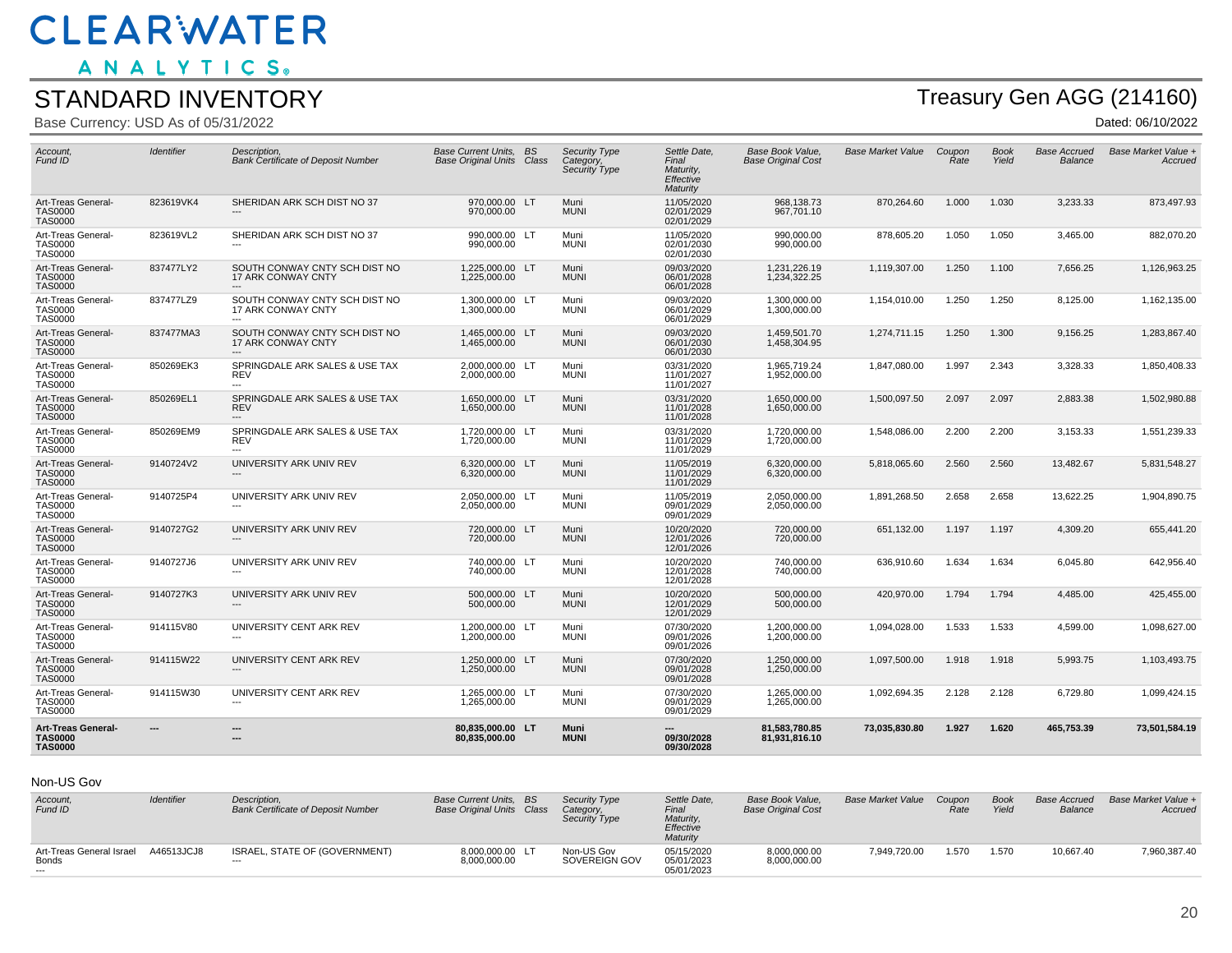ANALYTICS.

#### STANDARD INVENTORY

Base Currency: USD As of 05/31/2022

# Treasury Gen AGG (214160)

Dated: 06/10/2022

| Account.<br>Fund ID                                    | Identifier | Description.<br><b>Bank Certificate of Deposit Number</b>                    | Base Current Units, BS<br><b>Base Original Units Class</b> | <b>Security Type</b><br>Category,<br><b>Security Type</b> | Settle Date.<br>Final<br>Maturity.<br>Effective<br>Maturity | Base Book Value.<br><b>Base Original Cost</b> | <b>Base Market Value</b> | Coupon<br>Rate | <b>Book</b><br>Yield | <b>Base Accrued</b><br>Balance | Base Market Value +<br>Accruea |
|--------------------------------------------------------|------------|------------------------------------------------------------------------------|------------------------------------------------------------|-----------------------------------------------------------|-------------------------------------------------------------|-----------------------------------------------|--------------------------|----------------|----------------------|--------------------------------|--------------------------------|
| Art-Treas General-<br><b>TAS0000</b><br><b>TAS0000</b> | 823619VK4  | SHERIDAN ARK SCH DIST NO 37<br>---                                           | 970,000.00 LT<br>970,000.00                                | Muni<br><b>MUNI</b>                                       | 11/05/2020<br>02/01/2029<br>02/01/2029                      | 968,138.73<br>967,701.10                      | 870,264.60               | 1.000          | 1.030                | 3,233.33                       | 873,497.93                     |
| Art-Treas General-<br><b>TAS0000</b><br><b>TAS0000</b> | 823619VL2  | SHERIDAN ARK SCH DIST NO 37<br>$\overline{a}$                                | 990.000.00 LT<br>990,000.00                                | Muni<br><b>MUNI</b>                                       | 11/05/2020<br>02/01/2030<br>02/01/2030                      | 990.000.00<br>990,000.00                      | 878,605.20               | 1.050          | 1.050                | 3,465.00                       | 882,070.20                     |
| Art-Treas General-<br><b>TAS0000</b><br><b>TAS0000</b> | 837477LY2  | SOUTH CONWAY CNTY SCH DIST NO<br><b>17 ARK CONWAY CNTY</b>                   | 1.225.000.00 LT<br>1,225,000.00                            | Muni<br><b>MUNI</b>                                       | 09/03/2020<br>06/01/2028<br>06/01/2028                      | 1.231.226.19<br>1,234,322.25                  | 1.119.307.00             | 1.250          | 1.100                | 7.656.25                       | 1,126,963.25                   |
| Art-Treas General-<br>TAS0000<br><b>TAS0000</b>        | 837477LZ9  | SOUTH CONWAY CNTY SCH DIST NO<br><b>17 ARK CONWAY CNTY</b><br>$\overline{a}$ | 1,300,000.00 LT<br>1,300,000.00                            | Muni<br><b>MUNI</b>                                       | 09/03/2020<br>06/01/2029<br>06/01/2029                      | 1,300,000.00<br>1,300,000.00                  | 1,154,010.00             | 1.250          | 1.250                | 8,125.00                       | 1,162,135.00                   |
| Art-Treas General-<br><b>TAS0000</b><br><b>TAS0000</b> | 837477MA3  | SOUTH CONWAY CNTY SCH DIST NO<br><b>17 ARK CONWAY CNTY</b><br>$---$          | 1.465.000.00 LT<br>1,465,000.00                            | Muni<br><b>MUNI</b>                                       | 09/03/2020<br>06/01/2030<br>06/01/2030                      | 1.459.501.70<br>1,458,304.95                  | 1.274.711.15             | 1.250          | 1.300                | 9.156.25                       | 1,283,867.40                   |
| Art-Treas General-<br><b>TAS0000</b><br><b>TAS0000</b> | 850269EK3  | SPRINGDALE ARK SALES & USE TAX<br><b>REV</b><br>$\overline{a}$               | 2,000,000.00 LT<br>2,000,000.00                            | Muni<br><b>MUNI</b>                                       | 03/31/2020<br>11/01/2027<br>11/01/2027                      | 1,965,719.24<br>1,952,000.00                  | 1,847,080.00             | 1.997          | 2.343                | 3,328.33                       | 1,850,408.33                   |
| Art-Treas General-<br><b>TAS0000</b><br><b>TAS0000</b> | 850269EL1  | SPRINGDALE ARK SALES & USE TAX<br><b>REV</b><br>$---$                        | 1.650.000.00 LT<br>1.650.000.00                            | Muni<br><b>MUNI</b>                                       | 03/31/2020<br>11/01/2028<br>11/01/2028                      | 1,650,000.00<br>1,650,000.00                  | 1,500,097.50             | 2.097          | 2.097                | 2,883.38                       | 1,502,980.88                   |
| Art-Treas General-<br><b>TAS0000</b><br><b>TAS0000</b> | 850269EM9  | SPRINGDALE ARK SALES & USE TAX<br><b>REV</b><br>$\overline{a}$               | 1,720,000.00 LT<br>1,720,000.00                            | Muni<br><b>MUNI</b>                                       | 03/31/2020<br>11/01/2029<br>11/01/2029                      | 1,720,000.00<br>1,720,000.00                  | 1,548,086.00             | 2.200          | 2.200                | 3,153.33                       | 1,551,239.33                   |
| Art-Treas General-<br><b>TAS0000</b><br><b>TAS0000</b> | 9140724V2  | UNIVERSITY ARK UNIV REV                                                      | 6.320.000.00 LT<br>6,320,000.00                            | Muni<br><b>MUNI</b>                                       | 11/05/2019<br>11/01/2029<br>11/01/2029                      | 6.320.000.00<br>6,320,000.00                  | 5.818.065.60             | 2.560          | 2.560                | 13.482.67                      | 5,831,548.27                   |
| Art-Treas General-<br><b>TAS0000</b><br><b>TAS0000</b> | 9140725P4  | UNIVERSITY ARK UNIV REV                                                      | 2.050.000.00 LT<br>2,050,000.00                            | Muni<br><b>MUNI</b>                                       | 11/05/2019<br>09/01/2029<br>09/01/2029                      | 2.050.000.00<br>2,050,000.00                  | 1,891,268.50             | 2.658          | 2.658                | 13,622.25                      | 1,904,890.75                   |
| Art-Treas General-<br><b>TAS0000</b><br><b>TAS0000</b> | 9140727G2  | UNIVERSITY ARK UNIV REV                                                      | 720,000.00 LT<br>720,000.00                                | Muni<br><b>MUNI</b>                                       | 10/20/2020<br>12/01/2026<br>12/01/2026                      | 720,000,00<br>720,000.00                      | 651.132.00               | 1.197          | 1.197                | 4.309.20                       | 655.441.20                     |
| Art-Treas General-<br><b>TAS0000</b><br><b>TAS0000</b> | 9140727J6  | UNIVERSITY ARK UNIV REV                                                      | 740,000.00 LT<br>740,000.00                                | Muni<br><b>MUNI</b>                                       | 10/20/2020<br>12/01/2028<br>12/01/2028                      | 740,000.00<br>740,000.00                      | 636,910.60               | 1.634          | 1.634                | 6,045.80                       | 642,956.40                     |
| Art-Treas General-<br><b>TAS0000</b><br><b>TAS0000</b> | 9140727K3  | UNIVERSITY ARK UNIV REV                                                      | 500.000.00 LT<br>500.000.00                                | Muni<br><b>MUNI</b>                                       | 10/20/2020<br>12/01/2029<br>12/01/2029                      | 500,000.00<br>500,000.00                      | 420.970.00               | 1.794          | 1.794                | 4,485.00                       | 425,455.00                     |
| Art-Treas General-<br><b>TAS0000</b><br><b>TAS0000</b> | 914115V80  | UNIVERSITY CENT ARK REV                                                      | 1,200,000.00 LT<br>1,200,000.00                            | Muni<br><b>MUNI</b>                                       | 07/30/2020<br>09/01/2026<br>09/01/2026                      | 1,200,000.00<br>1,200,000.00                  | 1,094,028.00             | 1.533          | 1.533                | 4,599.00                       | 1,098,627.00                   |
| Art-Treas General-<br><b>TAS0000</b><br><b>TAS0000</b> | 914115W22  | UNIVERSITY CENT ARK REV                                                      | 1,250,000.00 LT<br>1.250.000.00                            | Muni<br><b>MUNI</b>                                       | 07/30/2020<br>09/01/2028<br>09/01/2028                      | 1,250,000.00<br>1,250,000.00                  | 1,097,500.00             | 1.918          | 1.918                | 5,993.75                       | 1,103,493.75                   |
| Art-Treas General-<br><b>TAS0000</b><br><b>TAS0000</b> | 914115W30  | UNIVERSITY CENT ARK REV<br>$\overline{a}$                                    | 1,265,000.00 LT<br>1,265,000.00                            | Muni<br><b>MUNI</b>                                       | 07/30/2020<br>09/01/2029<br>09/01/2029                      | 1,265,000.00<br>1,265,000.00                  | 1,092,694.35             | 2.128          | 2.128                | 6,729.80                       | 1,099,424.15                   |
| Art-Treas General-<br><b>TAS0000</b><br><b>TAS0000</b> | ---        | $\overline{\phantom{a}}$<br>---                                              | 80,835,000.00 LT<br>80.835.000.00                          | Muni<br><b>MUNI</b>                                       | 09/30/2028<br>09/30/2028                                    | 81,583,780.85<br>81.931.816.10                | 73,035,830.80            | 1.927          | 1.620                | 465,753.39                     | 73,501,584.19                  |

#### Non-US Gov

| Account,<br>Fund ID                        | Identifier | Description.<br><b>Bank Certificate of Deposit Number</b> | <b>Base Current Units, BS</b><br><b>Base Original Units Class</b> | <b>Security Type</b><br>Category,<br>Security Type | Settle Date,<br>Final<br>Maturity.<br>Effective<br>Maturity | Base Book Value.<br><b>Base Original Cost</b> | <b>Base Market Value</b> | Coupon<br>Rate | <b>Book</b><br>Yield | <b>Base Accrued</b><br>Balance | Base Market Value +<br>Accrued |
|--------------------------------------------|------------|-----------------------------------------------------------|-------------------------------------------------------------------|----------------------------------------------------|-------------------------------------------------------------|-----------------------------------------------|--------------------------|----------------|----------------------|--------------------------------|--------------------------------|
| Art-Treas General Israel<br>Bonds<br>$---$ | A46513JCJ8 | ISRAEL, STATE OF (GOVERNMENT)<br>$---$                    | 8,000,000.00 LT<br>8,000,000.00                                   | Non-US Gov<br>SOVEREIGN GOV                        | 05/15/2020<br>05/01/2023<br>05/01/2023                      | 8,000,000.00<br>8,000,000.00                  | 7.949.720.00             | 1.570          | 1.570                | 10.667.40                      | 7,960,387.40                   |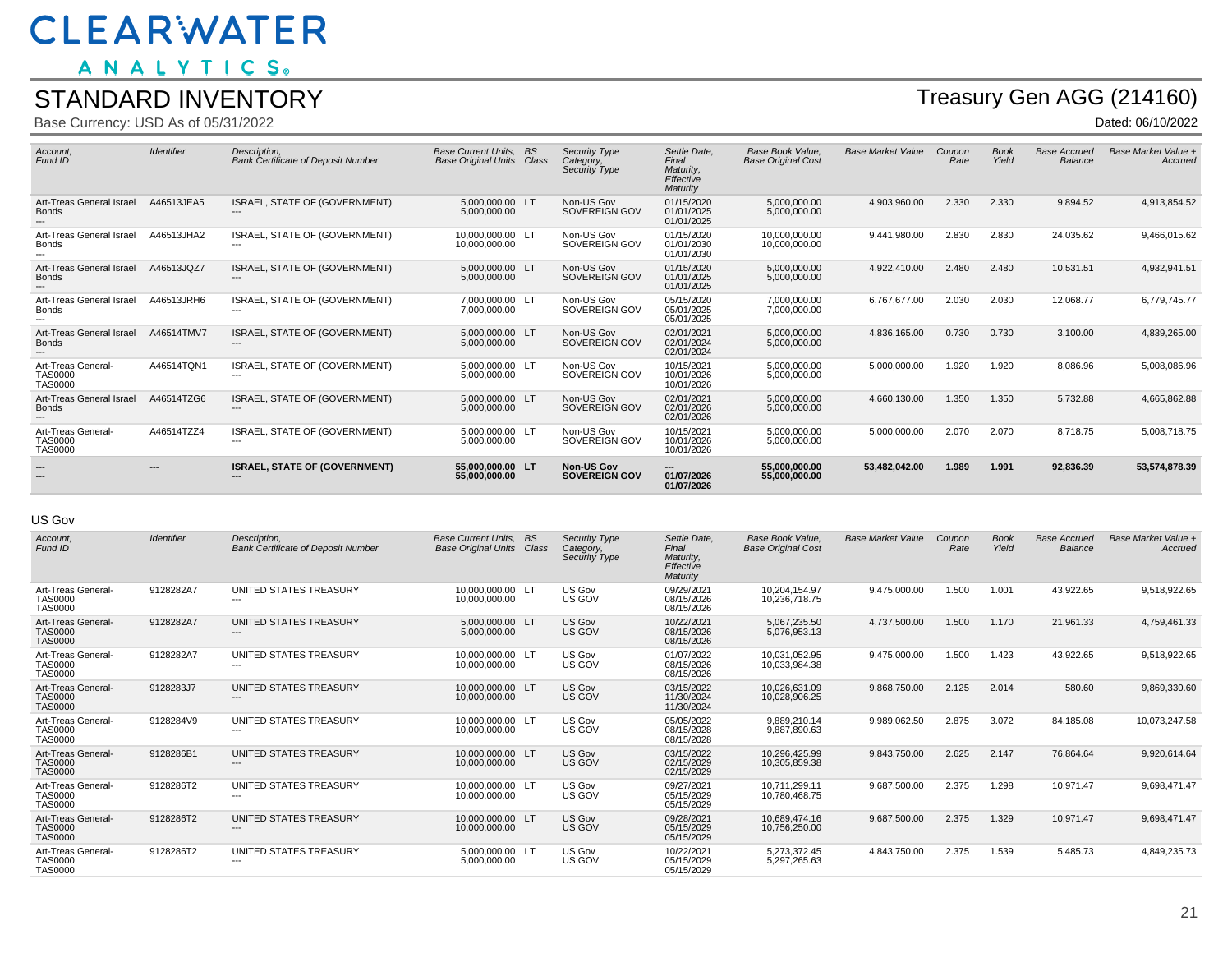ANALYTICS.

#### STANDARD INVENTORY

Base Currency: USD As of 05/31/2022

## Treasury Gen AGG (214160)

Dated: 06/10/2022

| Account,<br>Fund ID                                    | <b>Identifier</b> | Description.<br><b>Bank Certificate of Deposit Number</b>        | <b>Base Current Units.</b><br><b>Base Original Units</b> | <b>BS</b><br>Class | <b>Security Type</b><br>Category,<br>Security Type | Settle Date.<br>Final<br>Maturity.<br>Effective<br>Maturity | <b>Base Book Value.</b><br><b>Base Original Cost</b> | <b>Base Market Value</b> | Coupon<br>Rate | <b>Book</b><br>Yield | <b>Base Accrued</b><br>Balance | Base Market Value +<br>Accrued |
|--------------------------------------------------------|-------------------|------------------------------------------------------------------|----------------------------------------------------------|--------------------|----------------------------------------------------|-------------------------------------------------------------|------------------------------------------------------|--------------------------|----------------|----------------------|--------------------------------|--------------------------------|
| Art-Treas General Israel<br><b>Bonds</b>               | A46513JEA5        | <b>ISRAEL, STATE OF (GOVERNMENT)</b><br>$---$                    | 5.000.000.00 LT<br>5,000,000.00                          |                    | Non-US Gov<br>SOVEREIGN GOV                        | 01/15/2020<br>01/01/2025<br>01/01/2025                      | 5.000.000.00<br>5,000,000.00                         | 4,903,960.00             | 2.330          | 2.330                | 9.894.52                       | 4,913,854.52                   |
| Art-Treas General Israel<br><b>Bonds</b>               | A46513JHA2        | ISRAEL, STATE OF (GOVERNMENT)                                    | 10,000,000.00 LT<br>10.000.000.00                        |                    | Non-US Gov<br>SOVEREIGN GOV                        | 01/15/2020<br>01/01/2030<br>01/01/2030                      | 10.000.000.00<br>10.000.000.00                       | 9,441,980.00             | 2.830          | 2.830                | 24,035.62                      | 9,466,015.62                   |
| Art-Treas General Israel<br><b>Bonds</b>               | A46513JQZ7        | ISRAEL, STATE OF (GOVERNMENT)<br>$---$                           | 5.000.000.00 LT<br>5,000,000.00                          |                    | Non-US Gov<br>SOVEREIGN GOV                        | 01/15/2020<br>01/01/2025<br>01/01/2025                      | 5.000.000.00<br>5,000,000.00                         | 4,922,410.00             | 2.480          | 2.480                | 10,531.51                      | 4,932,941.51                   |
| Art-Treas General Israel<br><b>Bonds</b>               | A46513JRH6        | ISRAEL, STATE OF (GOVERNMENT)<br>$---$                           | 7.000.000.00 LT<br>7.000.000.00                          |                    | Non-US Gov<br>SOVEREIGN GOV                        | 05/15/2020<br>05/01/2025<br>05/01/2025                      | 7.000.000.00<br>7,000,000.00                         | 6.767.677.00             | 2.030          | 2.030                | 12,068.77                      | 6,779,745.77                   |
| Art-Treas General Israel<br><b>Bonds</b>               | A46514TMV7        | ISRAEL, STATE OF (GOVERNMENT)<br>---                             | 5.000.000.00 LT<br>5,000,000.00                          |                    | Non-US Gov<br>SOVEREIGN GOV                        | 02/01/2021<br>02/01/2024<br>02/01/2024                      | 5.000.000.00<br>5,000,000.00                         | 4,836,165.00             | 0.730          | 0.730                | 3,100.00                       | 4,839,265.00                   |
| Art-Treas General-<br><b>TAS0000</b><br><b>TAS0000</b> | A46514TQN1        | ISRAEL. STATE OF (GOVERNMENT)<br>$---$                           | 5.000.000.00 LT<br>5.000.000.00                          |                    | Non-US Gov<br>SOVEREIGN GOV                        | 10/15/2021<br>10/01/2026<br>10/01/2026                      | 5.000.000.00<br>5,000,000.00                         | 5,000,000.00             | 1.920          | 1.920                | 8,086.96                       | 5,008,086.96                   |
| Art-Treas General Israel<br><b>Bonds</b><br>$---$      | A46514TZG6        | ISRAEL, STATE OF (GOVERNMENT)<br>$---$                           | 5.000.000.00 LT<br>5,000,000.00                          |                    | Non-US Gov<br>SOVEREIGN GOV                        | 02/01/2021<br>02/01/2026<br>02/01/2026                      | 5.000.000.00<br>5,000,000.00                         | 4,660,130.00             | 1.350          | 1.350                | 5,732.88                       | 4,665,862.88                   |
| Art-Treas General-<br><b>TAS0000</b><br><b>TAS0000</b> | A46514TZZ4        | ISRAEL, STATE OF (GOVERNMENT)<br>---                             | 5,000,000.00 LT<br>5.000.000.00                          |                    | Non-US Gov<br>SOVEREIGN GOV                        | 10/15/2021<br>10/01/2026<br>10/01/2026                      | 5.000.000.00<br>5,000,000.00                         | 5,000,000.00             | 2.070          | 2.070                | 8.718.75                       | 5,008,718.75                   |
|                                                        | ---               | <b>ISRAEL, STATE OF (GOVERNMENT)</b><br>$\overline{\phantom{a}}$ | 55.000.000.00 LT<br>55,000,000.00                        |                    | <b>Non-US Gov</b><br><b>SOVEREIGN GOV</b>          | ---<br>01/07/2026<br>01/07/2026                             | 55.000.000.00<br>55,000,000.00                       | 53,482,042.00            | 1.989          | 1.991                | 92,836.39                      | 53,574,878.39                  |

#### US Gov

| Account,<br>Fund ID                                    | Identifier | Description.<br><b>Bank Certificate of Deposit Number</b> | <b>Base Current Units.</b><br><b>Base Original Units</b> | <b>BS</b><br>Class | <b>Security Type</b><br>Category,<br>Security Type | Settle Date,<br>Final<br>Maturity,<br>Effective<br>Maturity | <b>Base Book Value.</b><br><b>Base Original Cost</b> | <b>Base Market Value</b> | Coupon<br>Rate | <b>Book</b><br>Yield | <b>Base Accrued</b><br><b>Balance</b> | Base Market Value +<br>Accrued |
|--------------------------------------------------------|------------|-----------------------------------------------------------|----------------------------------------------------------|--------------------|----------------------------------------------------|-------------------------------------------------------------|------------------------------------------------------|--------------------------|----------------|----------------------|---------------------------------------|--------------------------------|
| Art-Treas General-<br><b>TAS0000</b><br><b>TAS0000</b> | 9128282A7  | UNITED STATES TREASURY<br>$\overline{\phantom{a}}$        | 10,000,000.00 LT<br>10,000,000.00                        |                    | US Gov<br>US GOV                                   | 09/29/2021<br>08/15/2026<br>08/15/2026                      | 10,204,154.97<br>10.236.718.75                       | 9,475,000.00             | 1.500          | 1.001                | 43,922.65                             | 9,518,922.65                   |
| Art-Treas General-<br><b>TAS0000</b><br><b>TAS0000</b> | 9128282A7  | UNITED STATES TREASURY<br>$---$                           | 5,000,000.00 LT<br>5.000.000.00                          |                    | US Gov<br>US GOV                                   | 10/22/2021<br>08/15/2026<br>08/15/2026                      | 5.067.235.50<br>5.076.953.13                         | 4,737,500.00             | 1.500          | 1.170                | 21,961.33                             | 4,759,461.33                   |
| Art-Treas General-<br><b>TAS0000</b><br><b>TAS0000</b> | 9128282A7  | UNITED STATES TREASURY<br>---                             | 10,000,000.00 LT<br>10,000,000.00                        |                    | US Gov<br>US GOV                                   | 01/07/2022<br>08/15/2026<br>08/15/2026                      | 10,031,052.95<br>10,033,984.38                       | 9,475,000.00             | 1.500          | 1.423                | 43,922.65                             | 9,518,922.65                   |
| Art-Treas General-<br><b>TAS0000</b><br><b>TAS0000</b> | 9128283J7  | <b>UNITED STATES TREASURY</b><br>---                      | 10.000.000.00 LT<br>10.000.000.00                        |                    | US Gov<br>US GOV                                   | 03/15/2022<br>11/30/2024<br>11/30/2024                      | 10.026.631.09<br>10.028.906.25                       | 9,868,750.00             | 2.125          | 2.014                | 580.60                                | 9,869,330.60                   |
| Art-Treas General-<br><b>TAS0000</b><br><b>TAS0000</b> | 9128284V9  | UNITED STATES TREASURY<br>$---$                           | 10,000,000.00 LT<br>10,000,000.00                        |                    | US Gov<br>US GOV                                   | 05/05/2022<br>08/15/2028<br>08/15/2028                      | 9,889,210.14<br>9.887.890.63                         | 9,989,062.50             | 2.875          | 3.072                | 84,185.08                             | 10,073,247.58                  |
| Art-Treas General-<br><b>TAS0000</b><br><b>TAS0000</b> | 9128286B1  | UNITED STATES TREASURY<br>$---$                           | 10.000.000.00 LT<br>10,000,000.00                        |                    | US Gov<br>US GOV                                   | 03/15/2022<br>02/15/2029<br>02/15/2029                      | 10.296.425.99<br>10,305,859.38                       | 9,843,750.00             | 2.625          | 2.147                | 76.864.64                             | 9,920,614.64                   |
| Art-Treas General-<br><b>TAS0000</b><br><b>TAS0000</b> | 9128286T2  | UNITED STATES TREASURY<br>$---$                           | 10,000,000.00 LT<br>10,000,000.00                        |                    | US Gov<br>US GOV                                   | 09/27/2021<br>05/15/2029<br>05/15/2029                      | 10.711.299.11<br>10.780.468.75                       | 9,687,500.00             | 2.375          | 1.298                | 10,971.47                             | 9,698,471.47                   |
| Art-Treas General-<br><b>TAS0000</b><br><b>TAS0000</b> | 9128286T2  | UNITED STATES TREASURY<br>---                             | 10,000,000.00 LT<br>10,000,000.00                        |                    | US Gov<br>US GOV                                   | 09/28/2021<br>05/15/2029<br>05/15/2029                      | 10,689,474.16<br>10,756,250.00                       | 9,687,500.00             | 2.375          | 1.329                | 10,971.47                             | 9,698,471.47                   |
| Art-Treas General-<br><b>TAS0000</b><br><b>TAS0000</b> | 9128286T2  | UNITED STATES TREASURY<br>$---$                           | 5,000,000.00 LT<br>5,000,000.00                          |                    | US Gov<br>US GOV                                   | 10/22/2021<br>05/15/2029<br>05/15/2029                      | 5,273,372.45<br>5,297,265.63                         | 4,843,750.00             | 2.375          | 1.539                | 5,485.73                              | 4,849,235.73                   |
|                                                        |            |                                                           |                                                          |                    |                                                    |                                                             |                                                      |                          |                |                      |                                       |                                |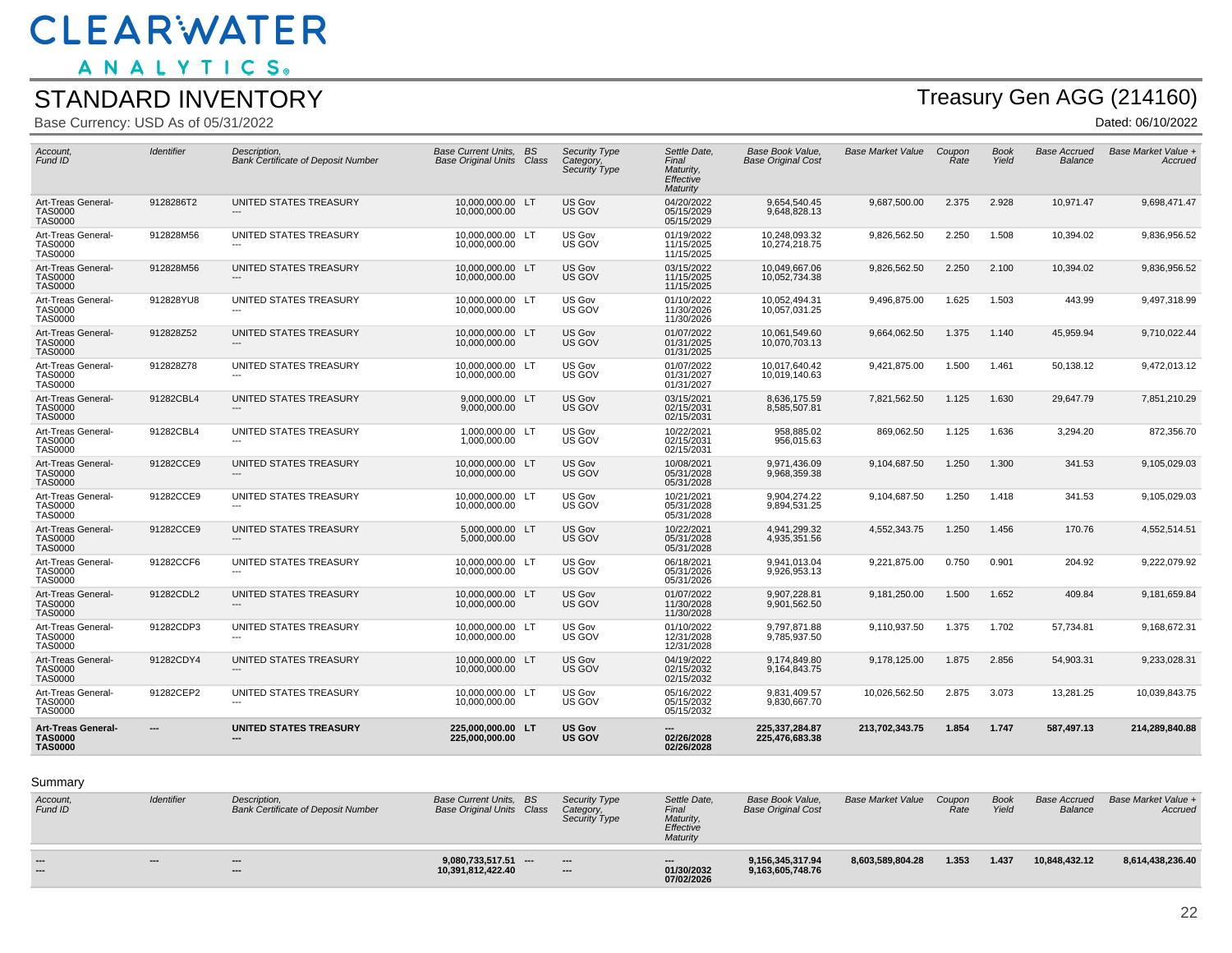ANALYTICS.

#### STANDARD INVENTORY

Base Currency: USD As of 05/31/2022

# Treasury Gen AGG (214160)

| Account.<br>Fund ID                                           | <b>Identifier</b> | Description.<br><b>Bank Certificate of Deposit Number</b> | Base Current Units. BS<br><b>Base Original Units Class</b> | <b>Security Type</b><br>Category,<br><b>Security Type</b> | Settle Date.<br>Final<br>Maturity.<br>Effective<br>Maturity | Base Book Value.<br><b>Base Original Cost</b> | <b>Base Market Value</b> | Coupon<br>Rate | <b>Book</b><br>Yield | <b>Base Accrued</b><br>Balance | Base Market Value +<br>Accruea |
|---------------------------------------------------------------|-------------------|-----------------------------------------------------------|------------------------------------------------------------|-----------------------------------------------------------|-------------------------------------------------------------|-----------------------------------------------|--------------------------|----------------|----------------------|--------------------------------|--------------------------------|
| Art-Treas General-<br><b>TAS0000</b><br><b>TAS0000</b>        | 9128286T2         | UNITED STATES TREASURY<br>---                             | 10,000,000.00 LT<br>10,000,000.00                          | US Gov<br>US GOV                                          | 04/20/2022<br>05/15/2029<br>05/15/2029                      | 9,654,540.45<br>9,648,828.13                  | 9,687,500.00             | 2.375          | 2.928                | 10,971.47                      | 9,698,471.47                   |
| Art-Treas General-<br><b>TAS0000</b><br><b>TAS0000</b>        | 912828M56         | UNITED STATES TREASURY<br>---                             | 10,000,000.00 LT<br>10,000,000.00                          | US Gov<br>US GOV                                          | 01/19/2022<br>11/15/2025<br>11/15/2025                      | 10,248,093.32<br>10,274,218.75                | 9,826,562.50             | 2.250          | 1.508                | 10,394.02                      | 9,836,956.52                   |
| Art-Treas General-<br><b>TAS0000</b><br><b>TAS0000</b>        | 912828M56         | UNITED STATES TREASURY<br>---                             | 10,000,000.00 LT<br>10,000,000.00                          | US Gov<br>US GOV                                          | 03/15/2022<br>11/15/2025<br>11/15/2025                      | 10,049,667.06<br>10,052,734.38                | 9,826,562.50             | 2.250          | 2.100                | 10,394.02                      | 9,836,956.52                   |
| Art-Treas General-<br>TAS0000<br><b>TAS0000</b>               | 912828YU8         | UNITED STATES TREASURY                                    | 10,000,000.00 LT<br>10,000,000.00                          | US Gov<br>US GOV                                          | 01/10/2022<br>11/30/2026<br>11/30/2026                      | 10,052,494.31<br>10,057,031.25                | 9,496,875.00             | 1.625          | 1.503                | 443.99                         | 9,497,318.99                   |
| Art-Treas General-<br><b>TAS0000</b><br><b>TAS0000</b>        | 912828Z52         | UNITED STATES TREASURY                                    | 10,000,000.00 LT<br>10.000.000.00                          | US Gov<br>US GOV                                          | 01/07/2022<br>01/31/2025<br>01/31/2025                      | 10,061,549.60<br>10.070.703.13                | 9,664,062.50             | 1.375          | 1.140                | 45,959.94                      | 9,710,022.44                   |
| Art-Treas General-<br>TAS0000<br><b>TAS0000</b>               | 912828Z78         | UNITED STATES TREASURY                                    | 10.000.000.00 LT<br>10,000,000.00                          | US Gov<br>US GOV                                          | 01/07/2022<br>01/31/2027<br>01/31/2027                      | 10.017.640.42<br>10,019,140.63                | 9.421.875.00             | 1.500          | 1.461                | 50.138.12                      | 9,472,013.12                   |
| Art-Treas General-<br><b>TAS0000</b><br><b>TAS0000</b>        | 91282CBL4         | UNITED STATES TREASURY                                    | 9,000,000.00 LT<br>9,000,000.00                            | US Gov<br>US GOV                                          | 03/15/2021<br>02/15/2031<br>02/15/2031                      | 8,636,175.59<br>8,585,507.81                  | 7,821,562.50             | 1.125          | 1.630                | 29,647.79                      | 7,851,210.29                   |
| Art-Treas General-<br><b>TAS0000</b><br><b>TAS0000</b>        | 91282CBL4         | UNITED STATES TREASURY                                    | 1,000,000.00 LT<br>1.000.000.00                            | US Gov<br>US GOV                                          | 10/22/2021<br>02/15/2031<br>02/15/2031                      | 958,885.02<br>956,015.63                      | 869,062.50               | 1.125          | 1.636                | 3,294.20                       | 872,356.70                     |
| Art-Treas General-<br><b>TAS0000</b><br><b>TAS0000</b>        | 91282CCE9         | UNITED STATES TREASURY                                    | 10,000,000.00 LT<br>10.000.000.00                          | US Gov<br>US GOV                                          | 10/08/2021<br>05/31/2028<br>05/31/2028                      | 9,971,436.09<br>9,968,359.38                  | 9,104,687.50             | 1.250          | 1.300                | 341.53                         | 9,105,029.03                   |
| Art-Treas General-<br><b>TAS0000</b><br><b>TAS0000</b>        | 91282CCE9         | UNITED STATES TREASURY                                    | 10,000,000.00 LT<br>10,000,000.00                          | US Gov<br>US GOV                                          | 10/21/2021<br>05/31/2028<br>05/31/2028                      | 9,904,274.22<br>9,894,531.25                  | 9,104,687.50             | 1.250          | 1.418                | 341.53                         | 9,105,029.03                   |
| Art-Treas General-<br><b>TAS0000</b><br><b>TAS0000</b>        | 91282CCE9         | UNITED STATES TREASURY                                    | 5,000,000.00 LT<br>5.000.000.00                            | US Gov<br>US GOV                                          | 10/22/2021<br>05/31/2028<br>05/31/2028                      | 4,941,299.32<br>4.935.351.56                  | 4,552,343.75             | 1.250          | 1.456                | 170.76                         | 4,552,514.51                   |
| Art-Treas General-<br><b>TAS0000</b><br><b>TAS0000</b>        | 91282CCF6         | UNITED STATES TREASURY                                    | 10,000,000.00 LT<br>10,000,000.00                          | US Gov<br>US GOV                                          | 06/18/2021<br>05/31/2026<br>05/31/2026                      | 9.941.013.04<br>9,926,953.13                  | 9,221,875.00             | 0.750          | 0.901                | 204.92                         | 9.222.079.92                   |
| Art-Treas General-<br><b>TAS0000</b><br><b>TAS0000</b>        | 91282CDL2         | UNITED STATES TREASURY                                    | 10,000,000.00 LT<br>10,000,000.00                          | US Gov<br>US GOV                                          | 01/07/2022<br>11/30/2028<br>11/30/2028                      | 9,907,228.81<br>9,901,562.50                  | 9,181,250.00             | 1.500          | 1.652                | 409.84                         | 9,181,659.84                   |
| Art-Treas General-<br><b>TAS0000</b><br><b>TAS0000</b>        | 91282CDP3         | UNITED STATES TREASURY<br>---                             | 10,000,000.00 LT<br>10,000,000.00                          | US Gov<br>US GOV                                          | 01/10/2022<br>12/31/2028<br>12/31/2028                      | 9,797,871.88<br>9,785,937.50                  | 9,110,937.50             | 1.375          | 1.702                | 57,734.81                      | 9,168,672.31                   |
| Art-Treas General-<br><b>TAS0000</b><br><b>TAS0000</b>        | 91282CDY4         | UNITED STATES TREASURY                                    | 10,000,000.00 LT<br>10,000,000.00                          | US Gov<br>US GOV                                          | 04/19/2022<br>02/15/2032<br>02/15/2032                      | 9,174,849.80<br>9,164,843.75                  | 9,178,125.00             | 1.875          | 2.856                | 54,903.31                      | 9,233,028.31                   |
| Art-Treas General-<br><b>TAS0000</b><br><b>TAS0000</b>        | 91282CEP2         | UNITED STATES TREASURY<br>---                             | 10,000,000.00 LT<br>10,000,000.00                          | US Gov<br>US GOV                                          | 05/16/2022<br>05/15/2032<br>05/15/2032                      | 9,831,409.57<br>9,830,667.70                  | 10,026,562.50            | 2.875          | 3.073                | 13,281.25                      | 10,039,843.75                  |
| <b>Art-Treas General-</b><br><b>TAS0000</b><br><b>TAS0000</b> | ---               | <b>UNITED STATES TREASURY</b>                             | 225,000,000.00 LT<br>225.000.000.00                        | <b>US Gov</b><br>US GOV                                   | 02/26/2028<br>02/26/2028                                    | 225,337,284.87<br>225,476,683.38              | 213,702,343.75           | 1.854          | 1.747                | 587,497.13                     | 214,289,840.88                 |

Summary

| Account,<br>Fund ID | Identifier | Description.<br><b>Bank Certificate of Deposit Number</b> | <b>Base Current Units, BS</b><br><b>Base Original Units Class</b> | Security Type<br>Category,<br>Security Type | Settle Date.<br>Final<br>Maturity,<br>Effective<br>Maturity | Base Book Value.<br><b>Base Original Cost</b> | <b>Base Market Value</b> | Coupon<br>Rate | <b>Book</b><br>Yield | <b>Base Accrued</b><br>Balance | Base Market Value +<br>Accrued |
|---------------------|------------|-----------------------------------------------------------|-------------------------------------------------------------------|---------------------------------------------|-------------------------------------------------------------|-----------------------------------------------|--------------------------|----------------|----------------------|--------------------------------|--------------------------------|
| $-$                 | $- - -$    | $\overline{\phantom{a}}$<br>---                           | $9.080.733.517.51$ ---<br>10,391,812,422.40                       | $\overline{\phantom{a}}$<br>$\cdots$        | $\overline{\phantom{a}}$<br>01/30/2032<br>07/02/2026        | 9.156.345.317.94<br>9,163,605,748.76          | 8.603.589.804.28         | 1.353          | 1.437                | 10.848.432.12                  | 8,614,438,236.40               |